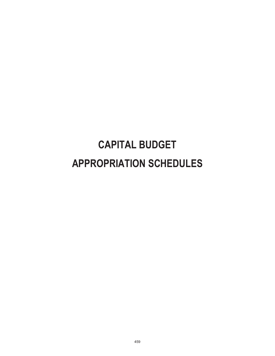# **CAPITAL BUDGET APPROPRIATION SCHEDULES**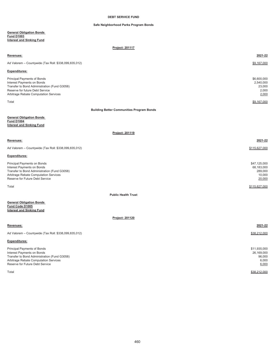## **DEBT SERVICE FUND**

## **Safe Neighborhood Parks Program Bonds**

### **General Obligation Bonds Fund D1003 Interest and Sinking Fund**

**Project: 201117**

| Revenues:                                                                                                                                                                             | 2021-22                                                   |
|---------------------------------------------------------------------------------------------------------------------------------------------------------------------------------------|-----------------------------------------------------------|
| Ad Valorem - Countywide (Tax Roll: \$338,099,835,012)                                                                                                                                 | \$9,167,000                                               |
| Expenditures:                                                                                                                                                                         |                                                           |
| Principal Payments of Bonds<br>Interest Payments on Bonds<br>Transfer to Bond Administration (Fund G3058)<br>Reserve for future Debt Service<br>Arbitrage Rebate Computation Services | \$6,600,000<br>2,540,000<br>23,000<br>2,000<br>2,000      |
| Total                                                                                                                                                                                 | \$9,167,000                                               |
| <b>Building Better Communities Program Bonds</b>                                                                                                                                      |                                                           |
| <b>General Obligation Bonds</b><br><b>Fund D1004</b><br><b>Interest and Sinking Fund</b>                                                                                              |                                                           |
| Project: 201119                                                                                                                                                                       |                                                           |
| Revenues:                                                                                                                                                                             | 2021-22                                                   |
| Ad Valorem - Countywide (Tax Roll: \$338,099,835,012)                                                                                                                                 | \$115,627,000                                             |
| Expenditures:                                                                                                                                                                         |                                                           |
| Principal Payments on Bonds<br>Interest Payments on Bonds<br>Transfer to Bond Administration (Fund G3058)<br>Arbitrage Rebate Computation Services<br>Reserve for Future Debt Service | \$47,125,000<br>68,183,000<br>289,000<br>10,000<br>20,000 |
| Total                                                                                                                                                                                 | \$115,627,000                                             |
| <b>Public Health Trust</b>                                                                                                                                                            |                                                           |
| <b>General Obligation Bonds</b><br>Fund Code D1005<br><b>Interest and Sinking Fund</b>                                                                                                |                                                           |
| <b>Project: 201120</b>                                                                                                                                                                |                                                           |
| Revenues:                                                                                                                                                                             | 2021-22                                                   |
| Ad Valorem - Countywide (Tax Roll: \$338,099,835,012)                                                                                                                                 | \$38,212,000                                              |
| <b>Expenditures:</b>                                                                                                                                                                  |                                                           |
| Principal Payments of Bonds<br>Interest Payments on Bonds<br>Transfer to Bond Administration (Fund G3058)<br>Arbitrage Rebate Computation Services<br>Reserve for Future Debt Service | \$11,935,000<br>26,169,000<br>96,000<br>6,000<br>6,000    |

Total \$38,212,000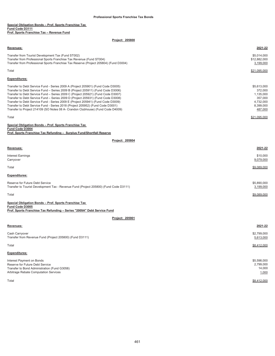## **Special Obligation Bonds – Prof. Sports Franchise Tax Fund Code D3111 Prof. Sports Franchise Tax – Revenue Fund**

## **Project: 205800**

| <b>Revenues:</b>                                                                                                                                                                                                    | 2021-22                                  |
|---------------------------------------------------------------------------------------------------------------------------------------------------------------------------------------------------------------------|------------------------------------------|
| Transfer from Tourist Development Tax (Fund ST002)<br>Transfer from Professional Sports Franchise Tax Revenue (Fund ST004)<br>Transfer from Professional Sports Franchise Tax Reserve (Project 205804) (Fund D3004) | \$5.014.000<br>\$12,882,000<br>3,199,000 |
| Total                                                                                                                                                                                                               | \$21.095.000                             |

## **Expenditures:**

| Transfer to Debt Service Fund - Series 2009 A (Project 205901) (Fund Code D3005) | \$5,613,000  |
|----------------------------------------------------------------------------------|--------------|
| Transfer to Debt Service Fund - Series 2009 B (Project 205911) (Fund Code D3006) | 372.000      |
| Transfer to Debt Service Fund – Series 2009 C (Project 205921) (Fund Code D3007) | 1,135,000    |
| Transfer to Debt Service Fund - Series 2009 D (Project 205931) (Fund Code D3008) | 357.000      |
| Transfer to Debt Service Fund - Series 2009 E (Project 205941) (Fund Code D3009) | 4.732.000    |
| Transfer to Debt Service Fund - Series 2018 (Project 205952) (Fund Code D3001)   | 8.399.000    |
| Transfer to Project 214109 (SO Notes 08 A- Crandon Clubhouse) (Fund Code D4009)  | 487,000      |
|                                                                                  |              |
| Total                                                                            | \$21.095.000 |

| Special Obligation Bonds - Prof. Sports Franchise Tax                 |  |
|-----------------------------------------------------------------------|--|
| Fund Code D3004                                                       |  |
| Prof. Sports Franchise Tax Refunding - Surplus Fund/Shortfall Reserve |  |

| Revenues:                                                                                                                | 2021-22                  |
|--------------------------------------------------------------------------------------------------------------------------|--------------------------|
| Interest Earnings<br>Carryover                                                                                           | \$10,000<br>9,079,000    |
| Total                                                                                                                    | \$9,089,000              |
| <b>Expenditures:</b>                                                                                                     |                          |
| Reserve for Future Debt Service<br>Transfer to Tourist Development Tax - Revenue Fund (Project 205800) (Fund Code D3111) | \$5,890,000<br>3,199,000 |
| Total                                                                                                                    | \$9,089,000              |

| Special Obligation Bonds - Prof. Sports Franchise Tax                   |
|-------------------------------------------------------------------------|
| <b>Fund Code D3005</b>                                                  |
| Prof. Sports Franchise Tax Refunding - Series "2009A" Debt Service Fund |

## **Project: 205901**

**Project: 205804**

## **Revenues: 2021-22** Cash Carryover \$2,799,000 Transfer from Revenue Fund (Project 205800) (Fund D3111) 5,613,000 Total \$8,412,000 **Expenditures:** Interest Payment on Bonds \$5,598,000 Reserve for Future Debt Service 2,799,000<br>Transfer to Bond Administration (Fund G3058) 88 (14,000 11 and 2007) 88 (14,000 11 and 2008) 88 (14,000 14,000 Transfer to Bond Administration (Fund G3058) Arbitrage Rebate Computation Services **1,000** and the state of the state of the state of the state of the state of the state Computation Services **1,000** and the state Computation Services **1,000** and the state of the stat Total \$8,412,000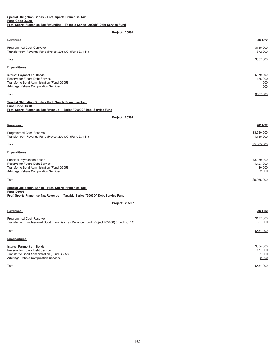| Revenues:                                                                                                                                             | 2021-22                                |
|-------------------------------------------------------------------------------------------------------------------------------------------------------|----------------------------------------|
| Programmed Cash Carryover<br>Transfer from Revenue Fund (Project 205800) (Fund D3111)                                                                 | \$185,000<br>372,000                   |
| Total                                                                                                                                                 | \$557,000                              |
| <b>Expenditures:</b>                                                                                                                                  |                                        |
| Interest Payment on Bonds<br>Reserve for Future Debt Service<br>Transfer to Bond Administration (Fund G3058)<br>Arbitrage Rebate Computation Services | \$370,000<br>185,000<br>1,000<br>1,000 |
| Total                                                                                                                                                 | \$557,000                              |
| Special Obligation Bonds - Prof. Sports Franchise Tax                                                                                                 |                                        |

#### **Fund Code D3008 Prof. Sports Franchise Tax Revenue – Series "2009C" Debt Service Fund**

**Special Obligation Bonds – Prof. Sports Franchise Tax** 

## **Project: 205921**

| Revenues:                                                                                                                                              | 2021-22                                     |
|--------------------------------------------------------------------------------------------------------------------------------------------------------|---------------------------------------------|
| Programmed Cash Reserve<br>Transfer from Revenue Fund (Project 205800) (Fund D3111)                                                                    | \$3,930,000<br>1,135,000                    |
| Total                                                                                                                                                  | \$5,065,000                                 |
| <b>Expenditures:</b>                                                                                                                                   |                                             |
| Principal Payment on Bonds<br>Reserve for Future Debt Service<br>Transfer to Bond Administration (Fund G3058)<br>Arbitrage Rebate Computation Services | \$3,930,000<br>1,123,000<br>10,000<br>2,000 |
| Total                                                                                                                                                  | \$5,065,000                                 |

| Prof. Sports Franchise Tax Revenue - Taxable Series "2009D" Debt Service Fund<br>Project: 205931                                                      |                                        |
|-------------------------------------------------------------------------------------------------------------------------------------------------------|----------------------------------------|
|                                                                                                                                                       |                                        |
|                                                                                                                                                       |                                        |
| Revenues:                                                                                                                                             | 2021-22                                |
| Programmed Cash Reserve<br>Transfer from Professional Sport Franchise Tax Revenue Fund (Project 205800) (Fund D3111)                                  | \$177,000<br>357,000                   |
| Total                                                                                                                                                 | \$534,000                              |
| <b>Expenditures:</b>                                                                                                                                  |                                        |
| Interest Payment on Bonds<br>Reserve for Future Debt Service<br>Transfer to Bond Administration (Fund G3058)<br>Arbitrage Rebate Computation Services | \$354,000<br>177,000<br>1,000<br>2,000 |

**Fund D3008**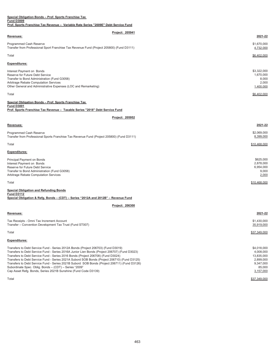| Special Obligation Bonds - Prof. Sports Franchise Tax                          |
|--------------------------------------------------------------------------------|
| <b>Fund D3009</b>                                                              |
| <b>Prof. Sports Franchise Tay Revenue - Variable Rate Series "2009F" Debt.</b> |

| Prof. Sports Franchise Tax Revenue - Variable Rate Series "2009E" Debt Service Fund                                                                                                                                                                                                                                                                                                                                                                                                                                                                                                                |                                                                                         |
|----------------------------------------------------------------------------------------------------------------------------------------------------------------------------------------------------------------------------------------------------------------------------------------------------------------------------------------------------------------------------------------------------------------------------------------------------------------------------------------------------------------------------------------------------------------------------------------------------|-----------------------------------------------------------------------------------------|
| Project: 205941                                                                                                                                                                                                                                                                                                                                                                                                                                                                                                                                                                                    |                                                                                         |
| Revenues:                                                                                                                                                                                                                                                                                                                                                                                                                                                                                                                                                                                          | 2021-22                                                                                 |
| Programmed Cash Reserve<br>Transfer from Professional Sport Franchise Tax Revenue Fund (Project 205800) (Fund D3111)                                                                                                                                                                                                                                                                                                                                                                                                                                                                               | \$1,670,000<br>4,732,000                                                                |
| Total                                                                                                                                                                                                                                                                                                                                                                                                                                                                                                                                                                                              | \$6,402,000                                                                             |
| <b>Expenditures:</b>                                                                                                                                                                                                                                                                                                                                                                                                                                                                                                                                                                               |                                                                                         |
| Interest Payment on Bonds<br>Reserve for Future Debt Service<br>Transfer to Bond Administration (Fund G3058)<br>Arbitrage Rebate Computation Services<br>Other General and Administrative Expenses (LOC and Remarketing)                                                                                                                                                                                                                                                                                                                                                                           | \$3,322,000<br>1,670,000<br>8,000<br>2,000<br>1,400,000                                 |
| Total                                                                                                                                                                                                                                                                                                                                                                                                                                                                                                                                                                                              | \$6,402,000                                                                             |
| Special Obligation Bonds - Prof. Sports Franchise Tax<br><b>Fund D3001</b><br>Prof. Sports Franchise Tax Revenue - Taxable Series "2018" Debt Service Fund                                                                                                                                                                                                                                                                                                                                                                                                                                         |                                                                                         |
| Project: 205952                                                                                                                                                                                                                                                                                                                                                                                                                                                                                                                                                                                    |                                                                                         |
| Revenues:                                                                                                                                                                                                                                                                                                                                                                                                                                                                                                                                                                                          | 2021-22                                                                                 |
| Programmed Cash Reserve<br>Transfer from Professional Sports Franchise Tax Revenue Fund (Project 205800) (Fund D3111)                                                                                                                                                                                                                                                                                                                                                                                                                                                                              | \$2,069,000<br>8,399,000                                                                |
| Total                                                                                                                                                                                                                                                                                                                                                                                                                                                                                                                                                                                              | \$10.468.000                                                                            |
| <b>Expenditures:</b>                                                                                                                                                                                                                                                                                                                                                                                                                                                                                                                                                                               |                                                                                         |
| Principal Payment on Bonds<br>Interest Payment on Bonds<br>Reserve for Future Debt Service<br>Transfer to Bond Administration (Fund G3058)<br>Arbitrage Rebate Computation Services                                                                                                                                                                                                                                                                                                                                                                                                                | \$625,000<br>2,878,000<br>6,954,000<br>9,000<br>2,000                                   |
| Total                                                                                                                                                                                                                                                                                                                                                                                                                                                                                                                                                                                              | \$10,468,000                                                                            |
| <b>Special Obligation and Refunding Bonds</b><br><b>Fund D3112</b><br>Special Obligation & Refg. Bonds - (CDT) - Series "2012A and 2012B" - Revenue Fund                                                                                                                                                                                                                                                                                                                                                                                                                                           |                                                                                         |
| Project: 206300                                                                                                                                                                                                                                                                                                                                                                                                                                                                                                                                                                                    |                                                                                         |
| Revenues:                                                                                                                                                                                                                                                                                                                                                                                                                                                                                                                                                                                          | 2021-22                                                                                 |
| Tax Receipts - Omni Tax Increment Account<br>Transfer - Convention Development Tax Trust (Fund ST007)                                                                                                                                                                                                                                                                                                                                                                                                                                                                                              | \$1,430,000<br>35,919,000                                                               |
| Total                                                                                                                                                                                                                                                                                                                                                                                                                                                                                                                                                                                              | \$37,349,000                                                                            |
| <b>Expenditures:</b>                                                                                                                                                                                                                                                                                                                                                                                                                                                                                                                                                                               |                                                                                         |
| Transfers to Debt Service Fund - Series 2012A Bonds (Project 206703) (Fund D3019)<br>Transfers to Debt Service Fund - Series 2016A Junior Lien Bonds (Project 206707) (Fund D3023)<br>Transfers to Debt Service Fund - Series 2016 Bonds (Project 206708) (Fund D3024)<br>Transfers to Debt Service Fund - Series 2021A Subord SOB Bonds (Project 206710) (Fund D3125)<br>Transfers to Debt Service Fund - Series 2021B Subord SOB Bonds (Project 206711) (Fund D3126)<br>Subordinate Spec. Oblig. Bonds - (CDT) - Series "2009"<br>Cap Asset Refg. Bonds, Series 2021B Sunshine (Fund Code D3139) | \$4,018,000<br>4,008,000<br>13,835,000<br>2,899,000<br>9,347,000<br>85,000<br>3,157,000 |

Total \$37,349,000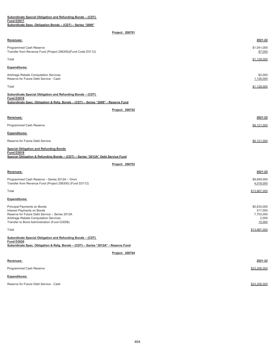| Subordinate Special Obligation and Refunding Bonds - (CDT)                                                                                                                                           |                                                        |
|------------------------------------------------------------------------------------------------------------------------------------------------------------------------------------------------------|--------------------------------------------------------|
| <b>Fund D3017</b><br>Subordinate Spec. Obligation Bonds - (CDT) - Series "2009"                                                                                                                      |                                                        |
| Project: 206701                                                                                                                                                                                      |                                                        |
| Revenues:                                                                                                                                                                                            | 2021-22                                                |
| Programmed Cash Reserve<br>Transfer from Revenue Fund (Project 206300)(Fund Code D3112)                                                                                                              | \$1,041,000<br>87,000                                  |
| Total                                                                                                                                                                                                | \$1,128,000                                            |
| Expenditures:                                                                                                                                                                                        |                                                        |
| Arbitrage Rebate Computation Services<br>Reserve for Future Debt Service - Cash                                                                                                                      | \$2,000<br>1,126,000                                   |
| Total                                                                                                                                                                                                | \$1,128,000                                            |
| Subordinate Special Obligation and Refunding Bonds - (CDT)                                                                                                                                           |                                                        |
| <b>Fund D3018</b><br>Subordinate Spec. Obligation & Refg. Bonds - (CDT) - Series "2009" - Reserve Fund                                                                                               |                                                        |
| Project: 206702                                                                                                                                                                                      |                                                        |
| Revenues:                                                                                                                                                                                            | 2021-22                                                |
| Programmed Cash Reserve                                                                                                                                                                              | \$9,121,000                                            |
| <b>Expenditures:</b>                                                                                                                                                                                 |                                                        |
| Reserve for Future Debt Service                                                                                                                                                                      | \$9,121,000                                            |
| <b>Special Obligation and Refunding Bonds</b><br><b>Fund D3019</b><br>Special Obligation & Refunding Bonds - (CDT) - Series "2012A" Debt Service Fund                                                |                                                        |
| Project: 206703                                                                                                                                                                                      |                                                        |
| Revenues:                                                                                                                                                                                            | 2021-22                                                |
| Programmed Cash Reserve - Series 2012A - Omni<br>Transfer from Revenue Fund (Project 206300) (Fund D3112)                                                                                            | \$9,849,000<br>4,018,000                               |
| Total                                                                                                                                                                                                | \$13,867,000                                           |
| Expenditures:                                                                                                                                                                                        |                                                        |
| Principal Payments on Bonds<br>Interest Payments on Bonds<br>Reserve for Future Debt Service - Series 2012A<br>Arbitrage Rebate Computation Services<br>Transfer to Bond Administration (Fund G3058) | \$5,630,000<br>517,000<br>7,703,000<br>2,000<br>15,000 |
| Total                                                                                                                                                                                                | \$13,867,000                                           |
| Subordinate Special Obligation and Refunding Bonds - (CDT)<br><b>Fund D3020</b><br>Subordinate Spec. Obligation & Refg. Bonds - (CDT) - Series "2012A" - Reserve Fund                                |                                                        |
| Project: 206704                                                                                                                                                                                      |                                                        |
| Revenues:                                                                                                                                                                                            | 2021-22                                                |
| Programmed Cash Reserve                                                                                                                                                                              | \$23,206,000                                           |
| <b>Expenditures:</b>                                                                                                                                                                                 |                                                        |

Reserve for Future Debt Service - Cash  $$23,206,000$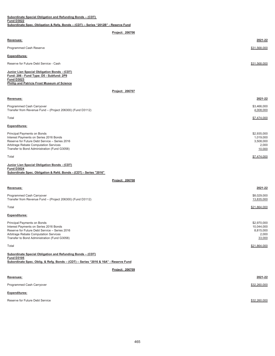| Revenues:                                                                                                                                                     | 2021-22         |
|---------------------------------------------------------------------------------------------------------------------------------------------------------------|-----------------|
| Programmed Cash Reserve                                                                                                                                       | \$31,568,000    |
| <b>Expenditures:</b>                                                                                                                                          |                 |
| Reserve for Future Debt Service - Cash                                                                                                                        | \$31,568,000    |
| Junior Lien Special Obligation Bonds - (CDT)<br>Fund: 206 - Fund Type: D5 - Subfund: 2P9<br><b>Fund D3023</b><br>Phillip and Patricia Frost Museum of Science |                 |
|                                                                                                                                                               | Project: 206707 |

|--|

**Project: 206706**

| Revenues:                                                                                                                                                                                                       | 2021-22                                                  |
|-----------------------------------------------------------------------------------------------------------------------------------------------------------------------------------------------------------------|----------------------------------------------------------|
| Programmed Cash Carryover<br>Transfer from Revenue Fund - (Project 206300) (Fund D3112)                                                                                                                         | \$3,466,000<br>4,008,000                                 |
| Total                                                                                                                                                                                                           | \$7,474,000                                              |
| <b>Expenditures:</b>                                                                                                                                                                                            |                                                          |
| Principal Payments on Bonds<br>Interest Payments on Series 2016 Bonds<br>Reserve for Future Debt Service - Series 2016<br>Arbitrage Rebate Computation Services<br>Transfer to Bond Administration (Fund G3058) | \$2,935,000<br>1,019,000<br>3,508,000<br>2,000<br>10,000 |
| Total                                                                                                                                                                                                           | \$7,474,000                                              |

### **Junior Lien Special Obligation Bonds - (CDT) Fund D3024 Subordinate Spec. Obligation & Refd. Bonds - (CDT) - Series "2016"**

| Revenues:                                                                                                                                                                                                       | 2021-22                                                   |
|-----------------------------------------------------------------------------------------------------------------------------------------------------------------------------------------------------------------|-----------------------------------------------------------|
| Programmed Cash Carryover<br>Transfer from Revenue Fund - (Project 206300) (Fund D3112)                                                                                                                         | \$8,029,000<br>13,835,000                                 |
| Total                                                                                                                                                                                                           | \$21,864,000                                              |
| <b>Expenditures:</b>                                                                                                                                                                                            |                                                           |
| Principal Payments on Bonds<br>Interest Payments on Series 2016 Bonds<br>Reserve for Future Debt Service - Series 2016<br>Arbitrage Rebate Computation Services<br>Transfer to Bond Administration (Fund G3058) | \$2,970,000<br>10,044,000<br>8,815,000<br>2,000<br>33,000 |
| Total                                                                                                                                                                                                           | \$21.864.000                                              |
| Subordinate Special Obligation and Refunding Bonds - (CDT)<br><b>Fund D3105</b><br>Subordinate Spec. Oblig. & Refg. Bonds - (CDT) - Series "2016 & 16A" - Reserve Fund                                          |                                                           |

**Project: 206709**

### **Revenues: 2021-22**

| Programmed Cash Carryover       | \$32,260,000 |
|---------------------------------|--------------|
| <b>Expenditures:</b>            |              |
| Reserve for Future Debt Service | \$32,260,000 |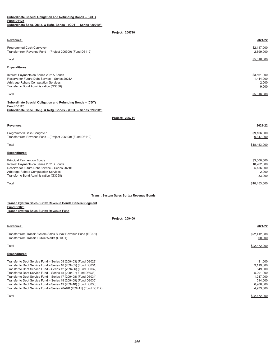**Subordinate Special Obligation and Refunding Bonds – (CDT) Fund D3125 Subordinate Spec. Oblig. & Refg. Bonds – (CDT) – Series "2021A"** 

## **Project: 206710**

| Revenues:                                                                                                                                                                     | 2021-22                                    |
|-------------------------------------------------------------------------------------------------------------------------------------------------------------------------------|--------------------------------------------|
| Programmed Cash Carryover<br>Transfer from Revenue Fund - (Project 206300) (Fund D3112)                                                                                       | \$2,117,000<br>2,899,000                   |
| Total                                                                                                                                                                         | \$5,016,000                                |
| <b>Expenditures:</b>                                                                                                                                                          |                                            |
| Interest Payments on Series 2021A Bonds<br>Reserve for Future Debt Service - Series 2021A<br>Arbitrage Rebate Computation Services<br>Transfer to Bond Administration (G3058) | \$3,561,000<br>1,444,000<br>2,000<br>9,000 |
| Total                                                                                                                                                                         | \$5,016,000                                |
| Subordinate Special Obligation and Refunding Bonds - (CDT)<br><b>Fund D3126</b><br>Subordinate Spec. Oblig. & Refg. Bonds - (CDT) - Series "2021B"                            |                                            |
| Project: 206711                                                                                                                                                               |                                            |
| Revenues:                                                                                                                                                                     | 2021-22                                    |
| Programmed Cash Carryover<br>Transfer from Revenue Fund - (Project 206300) (Fund D3112)                                                                                       | \$9,106,000<br>9,347,000                   |
| Total                                                                                                                                                                         | \$18,453,000                               |
| <b>Expenditures:</b>                                                                                                                                                          |                                            |
| Principal Payment on Bonds                                                                                                                                                    | \$3,000,000                                |

| Principal Payment on Bonds                     | \$3.000.000  |
|------------------------------------------------|--------------|
| Interest Payments on Series 2021B Bonds        | 10,262,000   |
| Reserve for Future Debt Service - Series 2021B | 5,156,000    |
| Arbitrage Rebate Computation Services          | 2,000        |
| Transfer to Bond Administration (G3058)        | 33,000       |
|                                                |              |
| Total                                          | \$18,453,000 |

## **Transit System Sales Surtax Revenue Bonds**

|                                          | Transit System Sales Surtax Revenue Bonds General Segment |
|------------------------------------------|-----------------------------------------------------------|
| <b>Fund D3026</b>                        |                                                           |
| Transit System Sales Surtax Revenue Fund |                                                           |

| Revenues:                                                          | 2021-22      |
|--------------------------------------------------------------------|--------------|
| Transfer from Transit System Sales Surtax Revenue Fund (ET001)     | \$22,412,000 |
| Transfer from Transit, Public Works (G1001)                        | 60,000       |
| Total                                                              | \$22,472,000 |
| <b>Expenditures:</b>                                               |              |
| Transfer to Debt Service Fund - Series 08 (209403) (Fund D3029)    | \$1,000      |
| Transfer to Debt Service Fund - Series 10 (209405) (Fund D3031)    | 3,119,000    |
| Transfer to Debt Service Fund - Series 12 (209406) (Fund D3032)    | 549.000      |
| Transfer to Debt Service Fund - Series 15 (209407) Fund D3033)     | 5.201.000    |
| Transfer to Debt Service Fund - Series 17 (209408) (Fund D3034)    | 1,247,000    |
| Transfer to Debt Service Fund - Series 18 (209409) (Fund D3035)    | 514.000      |
| Transfer to Debt Service Fund - Series 19 (209410) (Fund D3036)    | 6,908,000    |
| Transfer to Debt Service Fund - Series 20A&B (209411) (Fund D3117) | 4,933,000    |
| Total                                                              | \$22,472,000 |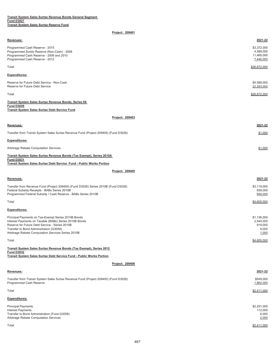| Transit Svstem Sales Surtax Revenue Bonds General Segment |  |  |  |
|-----------------------------------------------------------|--|--|--|
| <b>Fund D3027</b>                                         |  |  |  |
| Transit System Sales Surtax Reserve Fund                  |  |  |  |

| Revenues:                                                                                                       | 2021-22                   |
|-----------------------------------------------------------------------------------------------------------------|---------------------------|
| Programmed Cash Reserve - 2015                                                                                  | \$3,372,000               |
| Programmed Surety Reserve (Non-Cash) - 2008                                                                     | 4,589,000                 |
| Programmed Cash Reserve - 2009 and 2010<br>Programmed Cash Reserve - 2012                                       | 11,465,000<br>7,446,000   |
|                                                                                                                 |                           |
| Total                                                                                                           | \$26,872,000              |
| <b>Expenditures:</b>                                                                                            |                           |
|                                                                                                                 |                           |
| Reserve for Future Debt Service - Non-Cash<br>Reserve for Future Debt Service                                   | \$4,589,000<br>22,283,000 |
| Total                                                                                                           | \$26,872,000              |
| Transit System Sales Surtax Revenue Bonds, Series 08                                                            |                           |
| <b>Fund D3029</b>                                                                                               |                           |
| <b>Transit System Sales Surtax Debt Service Fund</b>                                                            |                           |
| Project: 209403                                                                                                 |                           |
| Revenues:                                                                                                       | 2021-22                   |
| Transfer from Transit System Sales Surtax Revenue Fund (Project 209400) (Fund D3026)                            | \$1,000                   |
|                                                                                                                 |                           |
| <b>Expenditures:</b>                                                                                            |                           |
| Arbitrage Rebate Computation Services                                                                           | \$1,000                   |
| Transit System Sales Surtax Revenue Bonds (Tax Exempt), Series 2010A                                            |                           |
| <b>Fund D3031</b><br>Transit System Sales Surtax Debt Service Fund - Public Works Portion                       |                           |
| Project: 209405                                                                                                 |                           |
|                                                                                                                 |                           |
| Revenues:                                                                                                       | 2021-22                   |
| Transfer from Revenue Fund (Project 209400) (Fund D3026) Series 2010B (Fund D3026)                              | \$3,119,000               |
| Federal Subsidy Receipts - BABs Series 2010B                                                                    | 838,000                   |
| Programmed Federal Subsidy / Cash Reserve - BABs Series 2010B                                                   | 648,000                   |
| Total                                                                                                           | \$4,605,000               |
|                                                                                                                 |                           |
| <b>Expenditures:</b>                                                                                            |                           |
| Principal Payments on Tax-Exempt Series 2010B Bonds                                                             | \$1,136,000               |
| Interest Payments on Taxable (BABs) Series 2010B Bonds                                                          | 2,540,000                 |
| Reserve for Future Debt Service - Series 2010B<br>Transfer to Bond Administration (G3058)                       | 919,000<br>9,000          |
| Arbitrage Rebate Computation Services Series 2010B                                                              | 1,000                     |
| Total                                                                                                           | \$4,605,000               |
|                                                                                                                 |                           |
| Transit System Sales Surtax Revenue Bonds (Tax Exempt), Series 2012<br><b>Fund D3032</b>                        |                           |
| Transit System Sales Surtax Debt Service Fund - Public Works Portion                                            |                           |
| Project: 209406                                                                                                 |                           |
| Revenues:                                                                                                       | 2021-22                   |
|                                                                                                                 |                           |
| Transfer from Transit System Sales Surtax Revenue Fund (Project 209400) (Fund D3026)<br>Programmed Cash Reserve | \$549,000<br>1,862,000    |
| Total                                                                                                           | \$2,411,000               |
| Expenditures:                                                                                                   |                           |
|                                                                                                                 |                           |
| <b>Principal Payments</b><br><b>Interest Payments</b>                                                           | \$2,291,000<br>112,000    |
| Transfer to Bond Administration (Fund G3058)                                                                    | 6,000                     |
| Arbitrage Rebate Computation Services                                                                           | 2,000                     |
| Total                                                                                                           | \$2,411,000               |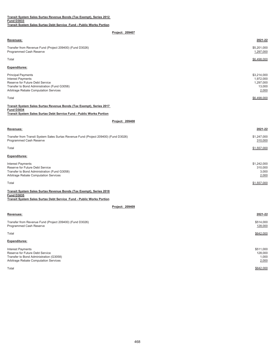| Transit System Sales Surtax Revenue Bonds (Tax Exempt), Series 2012  |  |  |  |  |
|----------------------------------------------------------------------|--|--|--|--|
| <b>Fund D3033</b>                                                    |  |  |  |  |
| Transit System Sales Surtax Debt Service Fund - Public Works Portion |  |  |  |  |

| Revenues:                                                                                                                                                                         | 2021-22                                                  |
|-----------------------------------------------------------------------------------------------------------------------------------------------------------------------------------|----------------------------------------------------------|
| Transfer from Revenue Fund (Project 209400) (Fund D3026)<br>Programmed Cash Reserve                                                                                               | \$5,201,000<br>1,297,000                                 |
| Total                                                                                                                                                                             | \$6,498,000                                              |
| <b>Expenditures:</b>                                                                                                                                                              |                                                          |
| <b>Principal Payments</b><br><b>Interest Payments</b><br>Reserve for Future Debt Service<br>Transfer to Bond Administration (Fund G3058)<br>Arbitrage Rebate Computation Services | \$3,214,000<br>1,972,000<br>1,297,000<br>13,000<br>2,000 |
| Total                                                                                                                                                                             | \$6,498,000                                              |
| Transit System Sales Surtax Revenue Bonds (Tax Exempt), Series 2017<br><b>Fund D3034</b><br>Transit System Sales Surtax Debt Service Fund - Public Works Portion                  |                                                          |
| Project: 209408                                                                                                                                                                   |                                                          |
| Revenues:                                                                                                                                                                         | 2021-22                                                  |
| Transfer from Transit System Sales Surtax Revenue Fund (Project 209400) (Fund D3026)<br>Programmed Cash Reserve                                                                   | \$1,247,000<br>310,000                                   |
| Total                                                                                                                                                                             | \$1,557,000                                              |
| <b>Expenditures:</b>                                                                                                                                                              |                                                          |
| <b>Interest Payments</b><br>Reserve for Future Debt Service<br>Transfer to Bond Administration (Fund G3058)<br>Arbitrage Rebate Computation Services                              | \$1,242,000<br>310,000<br>3,000<br>2,000                 |
| Total                                                                                                                                                                             | \$1,557,000                                              |
| Transit System Sales Surtax Revenue Bonds (Tax Exempt), Series 2018                                                                                                               |                                                          |
| <b>Fund D3035</b><br>Transit System Sales Surtax Debt Service Fund - Public Works Portion                                                                                         |                                                          |
| Project: 209409                                                                                                                                                                   |                                                          |
| Revenues:                                                                                                                                                                         | 2021-22                                                  |
| Transfer from Revenue Fund (Project 209400) (Fund D3026)<br>Programmed Cash Reserve                                                                                               | \$514,000<br>128,000                                     |
| Total                                                                                                                                                                             | \$642,000                                                |
| <b>Expenditures:</b>                                                                                                                                                              |                                                          |
| <b>Interest Payments</b><br>Reserve for Future Debt Service<br>Transfer to Bond Administration (G3058)<br>Arbitrage Rebate Computation Services                                   | \$511,000<br>128,000<br>1,000<br>2,000                   |

 $\frac{\$642,000}{}$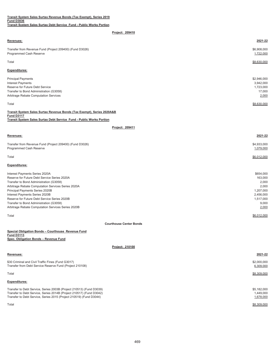| Transit System Sales Surtax Revenue Bonds (Tax Exempt), Series 2019  |  |  |  |  |
|----------------------------------------------------------------------|--|--|--|--|
| <b>Fund D3036</b>                                                    |  |  |  |  |
| Transit System Sales Surtax Debt Service Fund - Public Works Portion |  |  |  |  |

| Revenues:                                                                                                                                                                    | 2021-22                                                  |
|------------------------------------------------------------------------------------------------------------------------------------------------------------------------------|----------------------------------------------------------|
| Transfer from Revenue Fund (Project 209400) (Fund D3026)<br>Programmed Cash Reserve                                                                                          | \$6,908,000<br>1,722,000                                 |
| Total                                                                                                                                                                        | \$8,630,000                                              |
| <b>Expenditures:</b>                                                                                                                                                         |                                                          |
| <b>Principal Payments</b><br><b>Interest Payments</b><br>Reserve for Future Debt Service<br>Transfer to Bond Administration (G3058)<br>Arbitrage Rebate Computation Services | \$2,946,000<br>3,942,000<br>1,723,000<br>17,000<br>2,000 |
| Total                                                                                                                                                                        | \$8,630,000                                              |

| Transit System Sales Surtax Revenue Bonds (Tax Exempt), Series 2020A&B |
|------------------------------------------------------------------------|
| <b>Fund D3117</b>                                                      |
| Transit System Sales Surtax Debt Service Fund - Public Works Portion   |

## **Project: 209411**

| Revenues:                                                                           | 2021-22                  |
|-------------------------------------------------------------------------------------|--------------------------|
| Transfer from Revenue Fund (Project 209400) (Fund D3026)<br>Programmed Cash Reserve | \$4,933,000<br>1,079,000 |
| Total                                                                               | \$6,012,000              |
| <b>Expenditures:</b>                                                                |                          |
| Interest Payments Series 2020A                                                      | \$654,000                |
| Reserve for Future Debt Service Series 2020A                                        | 163,000                  |
| Transfer to Bond Administration (G3058)                                             | 2,000                    |
| Arbitrage Rebate Computation Services Series 2020A                                  | 2,000                    |
| Principal Payments Series 2020B                                                     | 1,207,000                |
| Interest Payments Series 2020B                                                      | 2,456,000                |
| Reserve for Future Debt Service Series 2020B                                        | 1,517,000                |
| Transfer to Bond Administration (G3058)                                             | 9,000                    |
| Arbitrage Rebate Computation Services Series 2020B                                  | 2,000                    |

Total \$6,012,000

## **Courthouse Center Bonds**

| Special Obligation Bonds - Courthouse Revenue Fund |
|----------------------------------------------------|
| <b>Fund D3113</b>                                  |
| Spec. Obligation Bonds - Revenue Fund              |

**Project: 210100**

| Revenues:                                                                                                                                                                                                           | 2021-22                               |
|---------------------------------------------------------------------------------------------------------------------------------------------------------------------------------------------------------------------|---------------------------------------|
| \$30 Criminal and Civil Traffic Fines (Fund G3017)<br>Transfer from Debt Service Reserve Fund (Project 210108)                                                                                                      | \$2,000,000<br>6,309,000              |
| Total                                                                                                                                                                                                               | \$8,309,000                           |
| <b>Expenditures:</b>                                                                                                                                                                                                |                                       |
| Transfer to Debt Service, Series 2003B (Project 210513) (Fund D3039)<br>Transfer to Debt Service, Series 2014B (Project 210517) (Fund D3042)<br>Transfer to Debt Service, Series 2015 (Project 210519) (Fund D3044) | \$5,182,000<br>1,449,000<br>1,678,000 |

Total \$8,309,000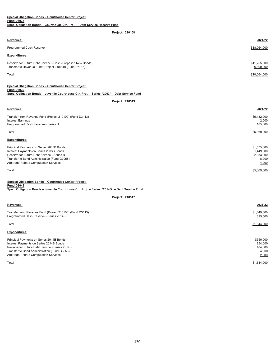| <b>Revenues:</b>                                                                                                      | 2021-22                   |
|-----------------------------------------------------------------------------------------------------------------------|---------------------------|
| Programmed Cash Reserve                                                                                               | \$18,064,000              |
| <b>Expenditures:</b>                                                                                                  |                           |
| Reserve for Future Debt Service - Cash (Proposed New Bonds)<br>Transfer to Revenue Fund (Project 210100) (Fund D3113) | \$11,755,000<br>6,309,000 |
| Total                                                                                                                 | \$18,064,000              |
|                                                                                                                       |                           |

| Special Obligation Bonds - Courthouse Center Project                                        |
|---------------------------------------------------------------------------------------------|
| <b>Fund D3039</b>                                                                           |
| Spec. Obligation Bonds - Juvenile Courthouse Ctr. Proj. - Series "2003" - Debt Service Fund |

**Project: 210513**

## **Revenues: 2021-22**

| Transfer from Revenue Fund (Project 210100) (Fund D3113) | \$5,182,000 |
|----------------------------------------------------------|-------------|
| <b>Interest Earnings</b>                                 | 2.000       |
| Programmed Cash Reserve - Series B                       | 185,000     |
| Total                                                    | \$5,369,000 |
| <b>Expenditures:</b>                                     |             |
| Principal Payments on Series 2003B Bonds                 | \$1,575,000 |
| Interest Payments on Series 2003B Bonds                  | 1.449.000   |
| Reserve for Future Debt Service - Series B               | 2,333,000   |
| Transfer to Bond Administration (Fund G3058)             | 8.000       |
| Arbitrage Rebate Computation Services                    | 4,000       |

Total \$5,369,000

| Special Obligation Bonds - Courthouse Center Project                                         |
|----------------------------------------------------------------------------------------------|
| <b>Fund D3042</b>                                                                            |
| Spec. Obligation Bonds – Juvenile Courthouse Ctr. Proj. – Series "2014B" – Debt Service Fund |

**Project: 210517**

| Revenues:                                                                                                                                                                                                                      | 2021-22                                           |
|--------------------------------------------------------------------------------------------------------------------------------------------------------------------------------------------------------------------------------|---------------------------------------------------|
| Transfer from Revenue Fund (Project 210100) (Fund D3113)<br>Programmed Cash Reserve - Series 2014B                                                                                                                             | \$1,449,000<br>395,000                            |
| Total                                                                                                                                                                                                                          | \$1,844,000                                       |
| <b>Expenditures:</b>                                                                                                                                                                                                           |                                                   |
| Principal Payments on Series 2014B Bonds<br>Interest Payments on Series 2014B Bonds<br>Reserve for Future Debt Service - Series 2014B<br>Transfer to Bond Administration (Fund G3058)<br>Arbitrage Rebate Computation Services | \$550,000<br>884,000<br>404.000<br>4,000<br>2,000 |

Total \$1,844,000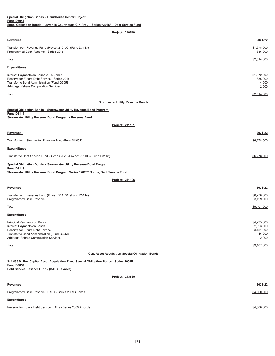| Special Obligation Bonds - Courthouse Center Project<br><b>Fund D3044</b>                                                                                                             |                                                          |
|---------------------------------------------------------------------------------------------------------------------------------------------------------------------------------------|----------------------------------------------------------|
| Spec. Obligation Bonds - Juvenile Courthouse Ctr. Proj. - Series "2015" - Debt Service Fund                                                                                           |                                                          |
| Project: 210519                                                                                                                                                                       |                                                          |
| Revenues:                                                                                                                                                                             | 2021-22                                                  |
| Transfer from Revenue Fund (Project 210100) (Fund D3113)<br>Programmed Cash Reserve - Series 2015                                                                                     | \$1,678,000<br>836,000                                   |
| Total                                                                                                                                                                                 | \$2,514,000                                              |
| <b>Expenditures:</b>                                                                                                                                                                  |                                                          |
| Interest Payments on Series 2015 Bonds<br>Reserve for Future Debt Service - Series 2015<br>Transfer to Bond Administration (Fund G3058)<br>Arbitrage Rebate Computation Services      | \$1,672,000<br>836,000<br>4,000<br>2,000                 |
| Total                                                                                                                                                                                 | \$2,514,000                                              |
| <b>Stormwater Utility Revenue Bonds</b>                                                                                                                                               |                                                          |
| Special Obligation Bonds - Stormwater Utility Revenue Bond Program<br><b>Fund D3114</b><br>Stormwater Utility Revenue Bond Program - Revenue Fund                                     |                                                          |
| Project: 211101                                                                                                                                                                       |                                                          |
| Revenues:                                                                                                                                                                             | 2021-22                                                  |
| Transfer from Stormwater Revenue Fund (Fund SU001)                                                                                                                                    | \$6,278,000                                              |
| <b>Expenditures:</b>                                                                                                                                                                  |                                                          |
| Transfer to Debt Service Fund - Series 2020 (Project 211106) (Fund D3118)                                                                                                             | \$6,278,000                                              |
| Special Obligation Bonds - Stormwater Utility Revenue Bond Program                                                                                                                    |                                                          |
| <b>Fund D3118</b><br>Stormwater Utility Revenue Bond Program Series "2020" Bonds, Debt Service Fund                                                                                   |                                                          |
| Project: 211106                                                                                                                                                                       |                                                          |
| Revenues:                                                                                                                                                                             | 2021-22                                                  |
| Transfer from Revenue Fund (Project 211101) (Fund D3114)<br>Programmed Cash Reserve                                                                                                   | \$6,278,000<br>3,129,000                                 |
| Total                                                                                                                                                                                 | \$9,407,000                                              |
| <b>Expenditures:</b>                                                                                                                                                                  |                                                          |
| Principal Payments on Bonds<br>Interest Payments on Bonds<br>Reserve for Future Debt Service<br>Transfer to Bond Administration (Fund G3058)<br>Arbitrage Rebate Computation Services | \$4,235,000<br>2,023,000<br>3,131,000<br>16,000<br>2,000 |
| Total                                                                                                                                                                                 | \$9,407,000                                              |
| Cap. Asset Acquisition Special Obligation Bonds                                                                                                                                       |                                                          |
| \$44.595 Million Capital Asset Acquisition Fixed Special Obligation Bonds -Series 2009B<br><b>Fund D3059</b>                                                                          |                                                          |
| Debt Service Reserve Fund - (BABs Taxable)                                                                                                                                            |                                                          |
| Project: 213835                                                                                                                                                                       |                                                          |
| Revenues:                                                                                                                                                                             | 2021-22                                                  |
| Programmed Cash Reserve - BABs - Series 2009B Bonds                                                                                                                                   | \$4,500,000                                              |
| <b>Expenditures:</b>                                                                                                                                                                  |                                                          |
| Reserve for Future Debt Service, BABs - Series 2009B Bonds                                                                                                                            | \$4,500,000                                              |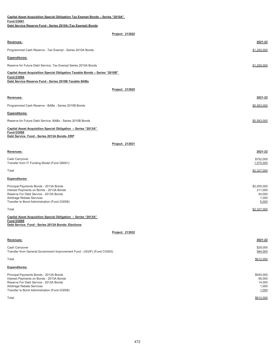| <b>Capital Asset Acquisition Special Obligation Tax Exempt Bonds - Series "2010A"</b>                                                                                                                     |                                                    |
|-----------------------------------------------------------------------------------------------------------------------------------------------------------------------------------------------------------|----------------------------------------------------|
| <b>Fund D3061</b><br>Debt Service Reserve Fund - Series 2010A (Tax Exempt) Bonds                                                                                                                          |                                                    |
| Project: 213922                                                                                                                                                                                           |                                                    |
| Revenues:                                                                                                                                                                                                 | 2021-22                                            |
| Programmed Cash Reserve - Tax Exempt - Series 2010A Bonds                                                                                                                                                 | \$1,250,000                                        |
| <b>Expenditures:</b>                                                                                                                                                                                      |                                                    |
| Reserve for Future Debt Service, Tax Exempt Series 2010A Bonds                                                                                                                                            | \$1,250,000                                        |
| Capital Asset Acquisition Special Obligation Taxable Bonds - Series "2010B"<br><b>Fund D3064</b><br>Debt Service Reserve Fund - Series 2010B Taxable BABs                                                 |                                                    |
| Project: 213925                                                                                                                                                                                           |                                                    |
| Revenues:                                                                                                                                                                                                 | 2021-22                                            |
| Programmed Cash Reserve - BABs - Series 2010B Bonds                                                                                                                                                       | \$5,583,000                                        |
|                                                                                                                                                                                                           |                                                    |
| <b>Expenditures:</b>                                                                                                                                                                                      |                                                    |
| Reserve for Future Debt Service, BABs - Series 2010B Bonds                                                                                                                                                | \$5,583,000                                        |
| Capital Asset Acquisition Special Obligation - Series "2013A"<br><b>Fund D3068</b>                                                                                                                        |                                                    |
| Debt Service Fund - Series 2013A Bonds- ERP                                                                                                                                                               |                                                    |
| Project: 213931                                                                                                                                                                                           |                                                    |
| Revenues:                                                                                                                                                                                                 | 2021-22                                            |
| Cash Carryover<br>Transfer from IT Funding Model (Fund G6001)                                                                                                                                             | \$752,000<br>1,575,000                             |
| Total                                                                                                                                                                                                     | \$2,327,000                                        |
| <b>Expenditures:</b>                                                                                                                                                                                      |                                                    |
| Principal Payments Bonds - 2013A Bonds<br>Interest Payments on Bonds - 2013A Bonds<br>Reserve For Debt Service - 2013A Bonds<br>Arbitrage Rebate Services<br>Transfer to Bond Administration (Fund G3058) | \$2,055,000<br>211,000<br>54,000<br>1,000<br>6,000 |
| Total                                                                                                                                                                                                     | \$2,327,000                                        |
| Capital Asset Acquisition Special Obligation - Series "2013A"<br><b>Fund D3069</b><br>Debt Service Fund - Series 2013A Bonds- Elections                                                                   |                                                    |
| Project: 213932                                                                                                                                                                                           |                                                    |
| Revenues:                                                                                                                                                                                                 | 2021-22                                            |
| Cash Carryover<br>Transfer from General Government Improvement Fund - (GGIF) (Fund CO003)                                                                                                                 | \$28,000<br>584,000                                |
| Total                                                                                                                                                                                                     | \$612,000                                          |
| <b>Expenditures:</b>                                                                                                                                                                                      |                                                    |
| Principal Payments Bonds - 2013A Bonds<br>Interest Payments on Bonds - 2013A Bonds<br>Reserve For Debt Service - 2013A Bonds<br>Arbitrage Rebate Services<br>Transfer to Bond Administration (Fund G3058) | \$540,000<br>56,000<br>14,000<br>1,000<br>1,000    |
| Total                                                                                                                                                                                                     | \$612,000                                          |

472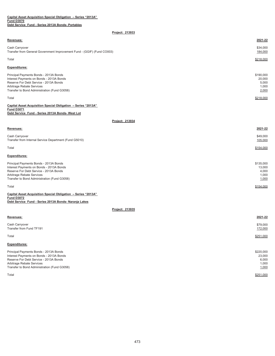| <b>Revenues:</b>                                                                                                                                                                                          | 2021-22                                        |
|-----------------------------------------------------------------------------------------------------------------------------------------------------------------------------------------------------------|------------------------------------------------|
| Cash Carryover<br>Transfer from General Government Improvement Fund - (GGIF) (Fund CO003)                                                                                                                 | \$34,000<br>184,000                            |
| Total                                                                                                                                                                                                     | \$218,000                                      |
| <b>Expenditures:</b>                                                                                                                                                                                      |                                                |
| Principal Payments Bonds - 2013A Bonds<br>Interest Payments on Bonds - 2013A Bonds<br>Reserve For Debt Service - 2013A Bonds<br>Arbitrage Rebate Services<br>Transfer to Bond Administration (Fund G3058) | \$190,000<br>20,000<br>5,000<br>1,000<br>2,000 |
| Total                                                                                                                                                                                                     | \$218,000                                      |
| realization of the contract of the contract of the contract of the contract of the contract of the contract of                                                                                            |                                                |

**Capital Asset Acquisition Special Obligation – Series "2013A" Fund D3071 Debt Service Fund - Series 2013A Bonds- West Lot**

**Project: 213934**

| <b>Revenues:</b>                                                                                                                                                                                          | 2021-22                                        |
|-----------------------------------------------------------------------------------------------------------------------------------------------------------------------------------------------------------|------------------------------------------------|
| Cash Carryover<br>Transfer from Internal Service Department (Fund G5010)                                                                                                                                  | \$49,000<br>105,000                            |
| Total                                                                                                                                                                                                     | \$154,000                                      |
| <b>Expenditures:</b>                                                                                                                                                                                      |                                                |
| Principal Payments Bonds - 2013A Bonds<br>Interest Payments on Bonds - 2013A Bonds<br>Reserve For Debt Service - 2013A Bonds<br>Arbitrage Rebate Services<br>Transfer to Bond Administration (Fund G3058) | \$135,000<br>13,000<br>4,000<br>1,000<br>1,000 |

Total \$154,000

#### **Debt Service Fund - Series 2013A Bonds- Naranja Lakes Capital Asset Acquisition Special Obligation – Series "2013A" Fund D3072**

| <b>Revenues:</b>                                                                                                                                                                                          | 2021-22                                        |
|-----------------------------------------------------------------------------------------------------------------------------------------------------------------------------------------------------------|------------------------------------------------|
| Cash Carryover<br>Transfer from Fund TF191                                                                                                                                                                | \$79,000<br>172,000                            |
| Total                                                                                                                                                                                                     | \$251,000                                      |
| <b>Expenditures:</b>                                                                                                                                                                                      |                                                |
| Principal Payments Bonds - 2013A Bonds<br>Interest Payments on Bonds - 2013A Bonds<br>Reserve For Debt Service - 2013A Bonds<br>Arbitrage Rebate Services<br>Transfer to Bond Administration (Fund G3058) | \$220,000<br>23,000<br>6,000<br>1,000<br>1,000 |
| Total                                                                                                                                                                                                     | \$251,000                                      |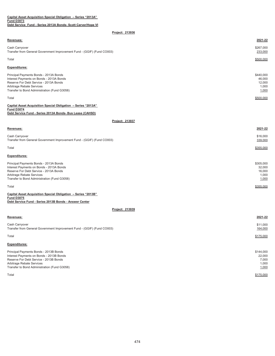### **Capital Asset Acquisition Special Obligation – Series "2013A" Fund D3073 Debt Service Fund - Series 2013A Bonds- Scott Carver/Hope VI**

## **Project: 213936**

| <b>Revenues:</b>                                                                                                                                                                                          | 2021-22                                         |
|-----------------------------------------------------------------------------------------------------------------------------------------------------------------------------------------------------------|-------------------------------------------------|
| Cash Carryover<br>Transfer from General Government Improvement Fund - (GGIF) (Fund CO003)                                                                                                                 | \$267,000<br>233,000                            |
| Total                                                                                                                                                                                                     | \$500,000                                       |
| <b>Expenditures:</b>                                                                                                                                                                                      |                                                 |
| Principal Payments Bonds - 2013A Bonds<br>Interest Payments on Bonds - 2013A Bonds<br>Reserve For Debt Service - 2013A Bonds<br>Arbitrage Rebate Services<br>Transfer to Bond Administration (Fund G3058) | \$440,000<br>46,000<br>12,000<br>1,000<br>1,000 |
| Total                                                                                                                                                                                                     | \$500,000                                       |
| Capital Accot Acquisition Special Obligation - Series "2012A"                                                                                                                                             |                                                 |

#### **Capital Asset Acquisition Special Obligation – Series "2013A" Fund D3074 Debt Service Fund - Series 2013A Bonds- Bus Lease (CAHSD)**

**Project: 213937**

| <b>Revenues:</b>                                                                                                             | 2021-22                       |
|------------------------------------------------------------------------------------------------------------------------------|-------------------------------|
| Cash Carryover<br>Transfer from General Government Improvement Fund - (GGIF) (Fund CO003)                                    | \$16,000<br>339,000           |
| Total                                                                                                                        | \$355,000                     |
| <b>Expenditures:</b>                                                                                                         |                               |
| Principal Payments Bonds - 2013A Bonds<br>Interest Payments on Bonds - 2013A Bonds<br>Reserve For Debt Service - 2013A Bonds | \$305,000<br>32,000<br>16,000 |
| Arbitrage Rebate Services                                                                                                    | 1.000                         |

1,000

| Transfer to Bond Administration (Fund G3058)                  | ,000      |
|---------------------------------------------------------------|-----------|
| Total                                                         | \$355,000 |
| Capital Asset Acquisition Special Obligation - Series "2013B" |           |

| <b>Fund D3075</b>                                      |  |
|--------------------------------------------------------|--|
| Debt Service Fund - Series 2013B Bonds - Answer Center |  |

| <b>Revenues:</b>                                                                                                                                                                                          | 2021-22                                        |
|-----------------------------------------------------------------------------------------------------------------------------------------------------------------------------------------------------------|------------------------------------------------|
| Cash Carryover<br>Transfer from General Government Improvement Fund - (GGIF) (Fund CO003)                                                                                                                 | \$11,000<br>164,000                            |
| Total                                                                                                                                                                                                     | \$175,000                                      |
| <b>Expenditures:</b>                                                                                                                                                                                      |                                                |
| Principal Payments Bonds - 2013B Bonds<br>Interest Payments on Bonds - 2013B Bonds<br>Reserve For Debt Service - 2013B Bonds<br>Arbitrage Rebate Services<br>Transfer to Bond Administration (Fund G3058) | \$144,000<br>22,000<br>7,000<br>1.000<br>1,000 |
| Total                                                                                                                                                                                                     | \$175,000                                      |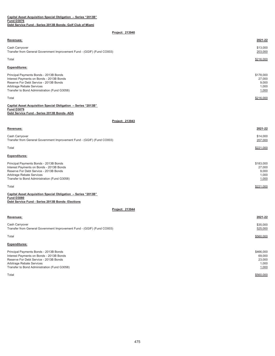| Capital Asset Acquisition Special Obligation - Series "2013B"                                                                                                                                             |                                                |
|-----------------------------------------------------------------------------------------------------------------------------------------------------------------------------------------------------------|------------------------------------------------|
| <b>Fund D3076</b><br>Debt Service Fund - Series 2013B Bonds- Golf Club of Miami                                                                                                                           |                                                |
| Project: 213940                                                                                                                                                                                           |                                                |
| Revenues:                                                                                                                                                                                                 | 2021-22                                        |
|                                                                                                                                                                                                           |                                                |
| Cash Carryover<br>Transfer from General Government Improvement Fund - (GGIF) (Fund CO003)                                                                                                                 | \$13,000<br>203,000                            |
| Total                                                                                                                                                                                                     | \$216,000                                      |
| Expenditures:                                                                                                                                                                                             |                                                |
| Principal Payments Bonds - 2013B Bonds<br>Interest Payments on Bonds - 2013B Bonds<br>Reserve For Debt Service - 2013B Bonds<br>Arbitrage Rebate Services<br>Transfer to Bond Administration (Fund G3058) | \$178,000<br>27,000<br>9,000<br>1,000<br>1,000 |
| Total                                                                                                                                                                                                     | \$216,000                                      |
| Capital Asset Acquisition Special Obligation - Series "2013B"<br><b>Fund D3079</b><br>Debt Service Fund - Series 2013B Bonds- ADA                                                                         |                                                |
| Project: 213943                                                                                                                                                                                           |                                                |
| Revenues:                                                                                                                                                                                                 | 2021-22                                        |
| Cash Carryover<br>Transfer from General Government Improvement Fund - (GGIF) (Fund CO003)                                                                                                                 | \$14,000<br>207,000                            |
| Total                                                                                                                                                                                                     | \$221,000                                      |
| <b>Expenditures:</b>                                                                                                                                                                                      |                                                |
| Principal Payments Bonds - 2013B Bonds<br>Interest Payments on Bonds - 2013B Bonds<br>Reserve For Debt Service - 2013B Bonds<br>Arbitrage Rebate Services<br>Transfer to Bond Administration (Fund G3058) | \$183,000<br>27,000<br>9,000<br>1,000<br>1,000 |
| Total                                                                                                                                                                                                     | \$221,000                                      |
| Capital Asset Acquisition Special Obligation - Series "2013B"<br><b>Fund D3080</b><br>Debt Service Fund - Series 2013B Bonds- Elections                                                                   |                                                |
| Project: 213944                                                                                                                                                                                           |                                                |
| Revenues:                                                                                                                                                                                                 | 2021-22                                        |
| Cash Carryover<br>Transfer from General Government Improvement Fund - (GGIF) (Fund CO003)                                                                                                                 | \$35,000<br>525,000                            |

 $\textsf{Total}$  to the state of the state of the state of the state of the state of the state of the state of the state of the state of the state of the state of the state of the state of the state of the state of the state of t

| <b>Expenditures:</b>                         |           |
|----------------------------------------------|-----------|
| Principal Payments Bonds - 2013B Bonds       | \$466,000 |
| Interest Payments on Bonds - 2013B Bonds     | 69,000    |
| Reserve For Debt Service - 2013B Bonds       | 23,000    |
| Arbitrage Rebate Services                    | 1.000     |
| Transfer to Bond Administration (Fund G3058) | 1,000     |

 $\textsf{Total}$  to the state of the state of the state of the state of the state of the state of the state of the state of the state of the state of the state of the state of the state of the state of the state of the state of t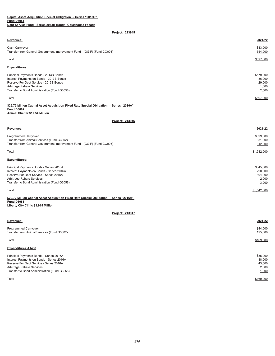| Capital Asset Acquisition Special Obligation - Series "2013B"<br><b>Fund D3081</b>                                                                                                                           |                                                   |
|--------------------------------------------------------------------------------------------------------------------------------------------------------------------------------------------------------------|---------------------------------------------------|
| Debt Service Fund - Series 2013B Bonds- Courthouse Facade                                                                                                                                                    |                                                   |
| Project: 213945                                                                                                                                                                                              |                                                   |
| Revenues:                                                                                                                                                                                                    | 2021-22                                           |
| Cash Carryover<br>Transfer from General Government Improvement Fund - (GGIF) (Fund CO003)                                                                                                                    | \$43,000<br>654,000                               |
| Total                                                                                                                                                                                                        | \$697,000                                         |
| Expenditures:                                                                                                                                                                                                |                                                   |
| Principal Payments Bonds - 2013B Bonds<br>Interest Payments on Bonds - 2013B Bonds<br>Reserve For Debt Service - 2013B Bonds<br>Arbitrage Rebate Services<br>Transfer to Bond Administration (Fund G3058)    | \$579.000<br>86,000<br>29,000<br>1,000<br>2,000   |
| Total                                                                                                                                                                                                        | \$697,000                                         |
| \$29.72 Million Capital Asset Acquisition Fixed Rate Special Obligation - Series "2016A"<br><b>Fund D3082</b><br><b>Animal Shelter \$17.54 Million</b>                                                       |                                                   |
| Project: 213946                                                                                                                                                                                              |                                                   |
| Revenues:                                                                                                                                                                                                    | 2021-22                                           |
| Programmed Carryover<br>Transfer from Animal Services (Fund G3002)<br>Transfer from General Government Improvement Fund - (GGIF) (Fund CO003)                                                                | \$399.000<br>331,000<br>812,000                   |
| Total                                                                                                                                                                                                        | \$1,542,000                                       |
| <b>Expenditures:</b>                                                                                                                                                                                         |                                                   |
| Principal Payments Bonds - Series 2016A<br>Interest Payments on Bonds - Series 2016A<br>Reserve For Debt Service - Series 2016A<br>Arbitrage Rebate Services<br>Transfer to Bond Administration (Fund G3058) | \$345,000<br>798,000<br>394,000<br>2,000<br>3,000 |
| Total                                                                                                                                                                                                        | \$1,542,000                                       |
| \$29.72 Million Capital Asset Acquisition Fixed Rate Special Obligation - Series "2016A"<br><b>Fund D3083</b><br>Liberty City Clinic \$1.915 Million                                                         |                                                   |
| Project: 213947                                                                                                                                                                                              |                                                   |
| Revenues:                                                                                                                                                                                                    | 2021-22                                           |
| Programmed Carryover<br>Transfer from Animal Services (Fund G3002)                                                                                                                                           | \$44,000<br>125,000                               |
| Total                                                                                                                                                                                                        | \$169,000                                         |
| Expenditures:A1486                                                                                                                                                                                           |                                                   |
| Principal Payments Bonds - Series 2016A<br>Interest Payments on Bonds - Series 2016A<br>Reserve For Debt Service - Series 2016A<br>Arbitrage Rebate Services<br>Transfer to Bond Administration (Fund G3058) | \$35,000<br>88,000<br>43,000<br>2,000<br>1,000    |
| Total                                                                                                                                                                                                        | \$169,000                                         |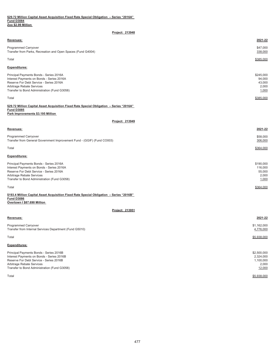| \$29.72 Million Capital Asset Acquisition Fixed Rate Special Obligation - Series "2016A" |  |  |  |  |  |
|------------------------------------------------------------------------------------------|--|--|--|--|--|
| <b>Fund D3084</b>                                                                        |  |  |  |  |  |
| Zoo \$2.99 Million                                                                       |  |  |  |  |  |

| Project: 213948                                                                                                                                                                                              |                                                 |
|--------------------------------------------------------------------------------------------------------------------------------------------------------------------------------------------------------------|-------------------------------------------------|
| Revenues:                                                                                                                                                                                                    | 2021-22                                         |
| <b>Programmed Carryover</b><br>Transfer from Parks, Recreation and Open Spaces (Fund G4004)                                                                                                                  | \$47,000<br>338,000                             |
| Total                                                                                                                                                                                                        | \$385,000                                       |
| <b>Expenditures:</b>                                                                                                                                                                                         |                                                 |
| Principal Payments Bonds - Series 2016A<br>Interest Payments on Bonds - Series 2016A<br>Reserve For Debt Service - Series 2016A<br>Arbitrage Rebate Services<br>Transfer to Bond Administration (Fund G3058) | \$245,000<br>94,000<br>43,000<br>2,000<br>1,000 |
| Total                                                                                                                                                                                                        | \$385,000                                       |
| \$29.72 Million Capital Asset Acquisition Fixed Rate Special Obligation - Series "2016A"<br><b>Fund D3085</b><br>Park Improvements \$3.195 Million                                                           |                                                 |
| Project: 213949                                                                                                                                                                                              |                                                 |
| Revenues:                                                                                                                                                                                                    | 2021-22                                         |
| Programmed Carryover<br>Transfer from General Government Improvement Fund - (GGIF) (Fund CO003)                                                                                                              | \$58,000<br>306,000                             |
| Total                                                                                                                                                                                                        | \$364,000                                       |
| <b>Expenditures:</b>                                                                                                                                                                                         |                                                 |
| Principal Payments Bonds - Series 2016A                                                                                                                                                                      | \$190,000                                       |

| Interest Payments on Bonds - Series 2016A    | 116,000   |
|----------------------------------------------|-----------|
| Reserve For Debt Service - Series 2016A      | 55,000    |
| Arbitrage Rebate Services                    | 2.000     |
| Transfer to Bond Administration (Fund G3058) | 1,000     |
|                                              |           |
| Total                                        | \$364,000 |

**\$193.4 Million Capital Asset Acquisition Fixed Rate Special Obligation – Series "2016B" Overtown I \$87.690 Million Fund D3086**

| <b>Revenues:</b>                                                                                                                                                                                             | 2021-22                                                  |
|--------------------------------------------------------------------------------------------------------------------------------------------------------------------------------------------------------------|----------------------------------------------------------|
| Programmed Carryover<br>Transfer from Internal Services Department (Fund G5010)                                                                                                                              | \$1,162,000<br>4,776,000                                 |
| Total                                                                                                                                                                                                        | \$5,938,000                                              |
| <b>Expenditures:</b>                                                                                                                                                                                         |                                                          |
| Principal Payments Bonds - Series 2016B<br>Interest Payments on Bonds - Series 2016B<br>Reserve For Debt Service - Series 2016B<br>Arbitrage Rebate Services<br>Transfer to Bond Administration (Fund G3058) | \$2,500,000<br>2,324,000<br>1,100,000<br>2,000<br>12,000 |
| Total                                                                                                                                                                                                        | \$5,938,000                                              |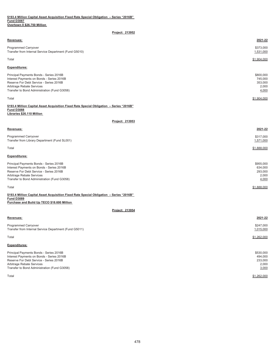## **Overtown II \$26.750 Million \$193.4 Million Capital Asset Acquisition Fixed Rate Special Obligation – Series "2016B" Fund D3087**

| Project: 213952                                                                                                                                                                                              |                                                   |
|--------------------------------------------------------------------------------------------------------------------------------------------------------------------------------------------------------------|---------------------------------------------------|
| <b>Revenues:</b>                                                                                                                                                                                             | 2021-22                                           |
| <b>Programmed Carryover</b><br>Transfer from Internal Service Department (Fund G5010)                                                                                                                        | \$373,000<br>1,531,000                            |
| Total                                                                                                                                                                                                        | \$1,904,000                                       |
| <b>Expenditures:</b>                                                                                                                                                                                         |                                                   |
| Principal Payments Bonds - Series 2016B<br>Interest Payments on Bonds - Series 2016B<br>Reserve For Debt Service - Series 2016B<br>Arbitrage Rebate Services<br>Transfer to Bond Administration (Fund G3058) | \$800,000<br>745,000<br>353,000<br>2,000<br>4,000 |
| Total                                                                                                                                                                                                        | \$1,904,000                                       |
| \$193.4 Million Capital Asset Acquisition Fixed Rate Special Obligation - Series "2016B"                                                                                                                     |                                                   |

**Fund D3088 Libraries \$26.110 Million** 

**Project: 213953**

| <b>Revenues:</b>                                                      | 2021-22                |
|-----------------------------------------------------------------------|------------------------|
| Programmed Carryover<br>Transfer from Library Department (Fund SL001) | \$317,000<br>1,571,000 |
| Total                                                                 | \$1,888,000            |
| <b>Expenditures:</b>                                                  |                        |
| Principal Payments Bonds - Series 2016B                               | \$955,000              |
| Interest Payments on Bonds - Series 2016B                             | 634,000                |
| Reserve For Debt Service - Series 2016B                               | 293,000                |
| Arbitrage Rebate Services                                             | 2,000                  |
| Transfer to Bond Administration (Fund G3058)                          | 4,000                  |

Total \$1,888,000 **\$193.4 Million Capital Asset Acquisition Fixed Rate Special Obligation – Series "2016B" Fund D3089**

**Purchase and Build Up TECO \$18.600 Million** 

| Revenues:                                                                                                                                                                                                    | 2021-22                                           |
|--------------------------------------------------------------------------------------------------------------------------------------------------------------------------------------------------------------|---------------------------------------------------|
| <b>Programmed Carryover</b><br>Transfer from Internal Service Department (Fund G5011)                                                                                                                        | \$247,000<br>1,015,000                            |
| Total                                                                                                                                                                                                        | \$1,262,000                                       |
| <b>Expenditures:</b>                                                                                                                                                                                         |                                                   |
| Principal Payments Bonds - Series 2016B<br>Interest Payments on Bonds - Series 2016B<br>Reserve For Debt Service - Series 2016B<br>Arbitrage Rebate Services<br>Transfer to Bond Administration (Fund G3058) | \$530,000<br>494.000<br>233,000<br>2,000<br>3,000 |
| Total                                                                                                                                                                                                        | \$1,262,000                                       |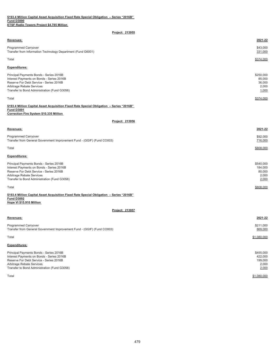|                   |  | \$193.4 Million Capital Asset Acquisition Fixed Rate Special Obligation - Series "2016B" |  |  |  |
|-------------------|--|------------------------------------------------------------------------------------------|--|--|--|
| <b>Fund D3090</b> |  |                                                                                          |  |  |  |
|                   |  | <b>ETSF Radio Towers Project \$4.785 Million</b>                                         |  |  |  |

| <u><b>LIST Radio TOWERS FTOJECT \$4.700 MILITOIT</b></u>                                                                                                                                                     |                                                  |
|--------------------------------------------------------------------------------------------------------------------------------------------------------------------------------------------------------------|--------------------------------------------------|
| Project: 213955                                                                                                                                                                                              |                                                  |
| Revenues:                                                                                                                                                                                                    | 2021-22                                          |
| Programmed Carryover<br>Transfer from Information Technology Department (Fund G6001)                                                                                                                         | \$43,000<br>331,000                              |
| Total                                                                                                                                                                                                        | \$374,000                                        |
| <b>Expenditures:</b>                                                                                                                                                                                         |                                                  |
| Principal Payments Bonds - Series 2016B<br>Interest Payments on Bonds - Series 2016B<br>Reserve For Debt Service - Series 2016B<br>Arbitrage Rebate Services<br>Transfer to Bond Administration (Fund G3058) | \$250,000<br>85,000<br>36,000<br>2,000<br>1,000  |
| Total                                                                                                                                                                                                        | \$374,000                                        |
| \$193.4 Million Capital Asset Acquisition Fixed Rate Special Obligation - Series "2016B"<br><b>Fund D3091</b><br>Correction Fire System \$10.335 Million                                                     |                                                  |
| Project: 213956                                                                                                                                                                                              |                                                  |
| Revenues:                                                                                                                                                                                                    | 2021-22                                          |
| <b>Programmed Carryover</b><br>Transfer from General Government Improvement Fund - (GGIF) (Fund CO003)                                                                                                       | \$92,000<br>716,000                              |
| Total                                                                                                                                                                                                        | \$808,000                                        |
| Expenditures:                                                                                                                                                                                                |                                                  |
| Principal Payments Bonds - Series 2016B<br>Interest Payments on Bonds - Series 2016B<br>Reserve For Debt Service - Series 2016B<br>Arbitrage Rebate Services<br>Transfer to Bond Administration (Fund G3058) | \$540,000<br>184,000<br>80,000<br>2,000<br>2,000 |
| Total                                                                                                                                                                                                        | \$808,000                                        |
| \$193.4 Million Capital Asset Acquisition Fixed Rate Special Obligation - Series "2016B"<br><b>Fund D3092</b><br>Hope VI \$15.910 Million                                                                    |                                                  |
| Project: 213957                                                                                                                                                                                              |                                                  |
| Revenues:                                                                                                                                                                                                    | 2021-22                                          |
| Programmed Carryover<br>Transfer from General Government Improvement Fund - (GGIF) (Fund CO003)                                                                                                              | \$211,000<br>869,000                             |
| Total                                                                                                                                                                                                        | \$1,080,000                                      |

**Expenditures:**

| Principal Payments Bonds - Series 2016B      | \$455,000   |
|----------------------------------------------|-------------|
| Interest Payments on Bonds - Series 2016B    | 422,000     |
| Reserve For Debt Service - Series 2016B      | 199.000     |
| Arbitrage Rebate Services                    | 2.000       |
| Transfer to Bond Administration (Fund G3058) | 2,000       |
|                                              |             |
| Total                                        | \$1,080,000 |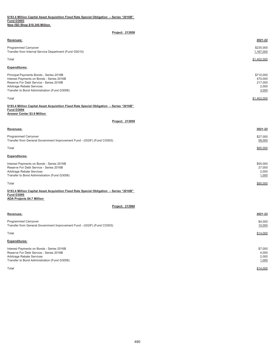| \$193.4 Million Capital Asset Acquisition Fixed Rate Special Obligation  – Series "2016B" |  |  |
|-------------------------------------------------------------------------------------------|--|--|
| <b>Fund D3093</b>                                                                         |  |  |
| New ISD Shop \$19.345 Million                                                             |  |  |

| Project: 213958                                                                                                                                                                                              |                                                   |
|--------------------------------------------------------------------------------------------------------------------------------------------------------------------------------------------------------------|---------------------------------------------------|
| Revenues:                                                                                                                                                                                                    | 2021-22                                           |
| Programmed Carryover<br>Transfer from Internal Service Department (Fund G5010)                                                                                                                               | \$235,000<br>1,167,000                            |
| Total                                                                                                                                                                                                        | \$1,402,000                                       |
| Expenditures:                                                                                                                                                                                                |                                                   |
| Principal Payments Bonds - Series 2016B<br>Interest Payments on Bonds - Series 2016B<br>Reserve For Debt Service - Series 2016B<br>Arbitrage Rebate Services<br>Transfer to Bond Administration (Fund G3058) | \$710,000<br>470,000<br>217,000<br>2,000<br>3,000 |
| Total                                                                                                                                                                                                        | \$1,402,000                                       |
| \$193.4 Million Capital Asset Acquisition Fixed Rate Special Obligation - Series "2016B"<br><b>Fund D3094</b><br><b>Answer Center \$3.9 Million</b>                                                          |                                                   |
| Project: 213959                                                                                                                                                                                              |                                                   |
| Revenues:                                                                                                                                                                                                    | 2021-22                                           |
| <b>Programmed Carryover</b><br>Transfer from General Government Improvement Fund - (GGIF) (Fund CO003)                                                                                                       | \$27,000<br>58,000                                |
| Total                                                                                                                                                                                                        | \$85,000                                          |
| <b>Expenditures:</b>                                                                                                                                                                                         |                                                   |
| Interest Payments on Bonds - Series 2016B<br>Reserve For Debt Service - Series 2016B<br>Arbitrage Rebate Services<br>Transfer to Bond Administration (Fund G3058)                                            | \$55,000<br>27,000<br>2,000<br>1,000              |
| Total                                                                                                                                                                                                        | \$85,000                                          |
| \$193.4 Million Capital Asset Acquisition Fixed Rate Special Obligation - Series "2016B"<br><b>Fund D3095</b><br><b>ADA Projects \$4.7 Million</b>                                                           |                                                   |
| Project: 213960                                                                                                                                                                                              |                                                   |
| Revenues:                                                                                                                                                                                                    | 2021-22                                           |
| <b>Programmed Carryover</b><br>Transfer from General Government Improvement Fund - (GGIF) (Fund CO003)                                                                                                       | \$4,000<br>10,000                                 |
| Total                                                                                                                                                                                                        | \$14,000                                          |
| <b>Expenditures:</b>                                                                                                                                                                                         |                                                   |
| Interest Payments on Bonds - Series 2016B<br>Reserve For Debt Service - Series 2016B<br>Arbitrage Rebate Services<br>Transfer to Bond Administration (Fund G3058)                                            | \$7,000<br>4,000<br>2,000<br>1,000                |

Total \$14,000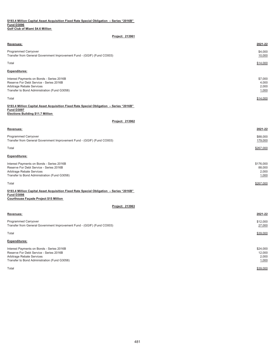## **\$193.4 Million Capital Asset Acquisition Fixed Rate Special Obligation – Series "2016B" Fund D3096 Golf Club of Miami \$4.6 Million**

| Project: 213961                                                                                                                                                   |                                    |
|-------------------------------------------------------------------------------------------------------------------------------------------------------------------|------------------------------------|
| Revenues:                                                                                                                                                         | 2021-22                            |
| Programmed Carryover<br>Transfer from General Government Improvement Fund - (GGIF) (Fund CO003)                                                                   | \$4,000<br>10,000                  |
| Total                                                                                                                                                             | \$14,000                           |
| <b>Expenditures:</b>                                                                                                                                              |                                    |
| Interest Payments on Bonds - Series 2016B<br>Reserve For Debt Service - Series 2016B<br>Arbitrage Rebate Services<br>Transfer to Bond Administration (Fund G3058) | \$7,000<br>4,000<br>2,000<br>1,000 |
| Total                                                                                                                                                             | \$14,000                           |
| \$193.4 Million Capital Asset Acquisition Fixed Rate Special Obligation - Series "2016B"<br><b>Fund D3097</b><br>Elections Building \$11.7 Million                |                                    |
| Project: 213962                                                                                                                                                   |                                    |

#### **Revenues: 2021-22**

Programmed Carryover \$88,000 Transfer from General Government Improvement Fund - (GGIF) (Fund CO003)

 $\textsf{Total}$  to the set of the set of the set of the set of the set of the set of the set of the set of the set of the set of the set of the set of the set of the set of the set of the set of the set of the set of the set of

## **Expenditures:**

| Interest Payments on Bonds - Series 2016B    | \$176,000 |
|----------------------------------------------|-----------|
| Reserve For Debt Service - Series 2016B      | 88,000    |
| Arbitrage Rebate Services                    | 2.000     |
| Transfer to Bond Administration (Fund G3058) | 1,000     |
|                                              |           |
| Total                                        | \$267,000 |

179,000

**\$193.4 Million Capital Asset Acquisition Fixed Rate Special Obligation – Series "2016B" Fund D3098 Courthouse Façade Project \$15 Million** 

## **Project: 213963**

| Revenues:                                                                                       | 2021-22            |
|-------------------------------------------------------------------------------------------------|--------------------|
| Programmed Carryover<br>Transfer from General Government Improvement Fund - (GGIF) (Fund CO003) | \$12,000<br>27,000 |
| Total                                                                                           | \$39,000           |
| <b>Expenditures:</b>                                                                            |                    |
| Interest Payments on Bonds - Series 2016B                                                       | \$24,000           |
| Reserve For Debt Service - Series 2016B                                                         | 12.000             |
| Arbitrage Rebate Services                                                                       | 2,000              |
| Transfer to Bond Administration (Fund G3058)                                                    | 1,000              |

Total \$39,000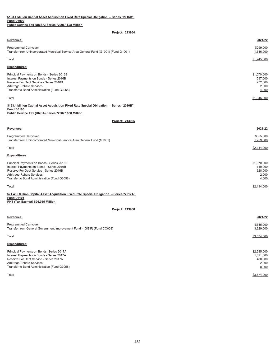| \$193.4 Million Capital Asset Acquisition Fixed Rate Special Obligation - Series "2016B"<br><b>Fund D3099</b><br>Public Service Tax (UMSA) Series "2006" \$28 Million                                           |                                                       |
|-----------------------------------------------------------------------------------------------------------------------------------------------------------------------------------------------------------------|-------------------------------------------------------|
| Project: 213964                                                                                                                                                                                                 |                                                       |
| Revenues:                                                                                                                                                                                                       | 2021-22                                               |
| Programmed Carryover<br>Transfer from Unincorporated Municipal Service Area General Fund (G1001) (Fund G1001)                                                                                                   | \$299,000<br>1,646,000                                |
| Total                                                                                                                                                                                                           | \$1,945,000                                           |
| <b>Expenditures:</b>                                                                                                                                                                                            |                                                       |
| Principal Payments on Bonds - Series 2016B<br>Interest Payments on Bonds - Series 2016B<br>Reserve For Debt Service - Series 2016B<br>Arbitrage Rebate Services<br>Transfer to Bond Administration (Fund G3058) | \$1,070,000<br>597,000<br>272,000<br>2,000<br>4,000   |
| Total                                                                                                                                                                                                           | \$1,945,000                                           |
| \$193.4 Million Capital Asset Acquisition Fixed Rate Special Obligation - Series "2016B"<br><b>Fund D3100</b><br>Public Service Tax (UMSA) Series "2007" \$30 Million                                           |                                                       |
| Project: 213965                                                                                                                                                                                                 |                                                       |
| Revenues:                                                                                                                                                                                                       | 2021-22                                               |
| Programmed Carryover<br>Transfer from Unincorporated Municipal Service Area General Fund (G1001)                                                                                                                | \$355,000<br>1,759,000                                |
| Total                                                                                                                                                                                                           | \$2,114,000                                           |
| <b>Expenditures:</b>                                                                                                                                                                                            |                                                       |
| Principal Payments on Bonds - Series 2016B<br>Interest Payments on Bonds - Series 2016B<br>Reserve For Debt Service - Series 2016B<br>Arbitrage Rebate Services<br>Transfer to Bond Administration (Fund G3058) | \$1,070,000<br>710,000<br>328,000<br>2,000<br>4,000   |
| Total                                                                                                                                                                                                           | \$2,114,000                                           |
| \$74.435 Million Capital Asset Acquisition Fixed Rate Special Obligation - Series "2017A"<br><b>Fund D3101</b>                                                                                                  |                                                       |
| PHT (Tax Exempt) \$26.055 Million                                                                                                                                                                               |                                                       |
| Project: 213966                                                                                                                                                                                                 |                                                       |
| Revenues:                                                                                                                                                                                                       | 2021-22                                               |
| <b>Programmed Carryover</b><br>Transfer from General Government Improvement Fund - (GGIF) (Fund CO003)                                                                                                          | \$545,000<br>3,329,000                                |
| Total                                                                                                                                                                                                           | \$3,874,000                                           |
| <b>Expenditures:</b>                                                                                                                                                                                            |                                                       |
| Principal Payments on Bonds, Series 2017A<br>Interest Payments on Bonds - Series 2017A<br>Reserve For Debt Service - Series 2017A<br>Arbitrage Rebate Services<br>Transfer to Bond Administration (Fund G3058)  | \$2,285,000<br>1,091,000<br>488,000<br>2,000<br>8,000 |
| Total                                                                                                                                                                                                           | \$3,874,000                                           |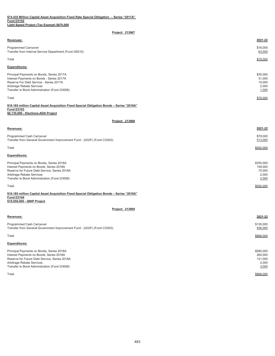| \$74.435 Million Capital Asset Acquisition Fixed Rate Special Obligation  – Series "2017A" |  |
|--------------------------------------------------------------------------------------------|--|
| <b>Fund D3102</b>                                                                          |  |
| Light Speed Proiect (Tax Exempt) \$870.000                                                 |  |

| <b>Revenues:</b>                                                                                                                                                                                               | 2021-22                                        |
|----------------------------------------------------------------------------------------------------------------------------------------------------------------------------------------------------------------|------------------------------------------------|
| <b>Programmed Carryover</b><br>Transfer from Internal Service Department (Fund G5010)                                                                                                                          | \$16,000<br>63,000                             |
| Total                                                                                                                                                                                                          | \$79,000                                       |
| <b>Expenditures:</b>                                                                                                                                                                                           |                                                |
| Principal Payments on Bonds, Series 2017A<br>Interest Payments on Bonds - Series 2017A<br>Reserve For Debt Service - Series 2017A<br>Arbitrage Rebate Services<br>Transfer to Bond Administration (Fund G3058) | \$30,000<br>31,000<br>15,000<br>2,000<br>1,000 |
| Total                                                                                                                                                                                                          | \$79,000                                       |

### **Fund D3103 \$6,135,000 - Elections-ADA Project \$16.185 million Capital Asset Acquisition Fixed Special Obligation Bonds – Series "2018A"**

**Project: 213968**

| <b>Revenues:</b>                                                                                                                                                                                                                                                                                                               | 2021-22       |
|--------------------------------------------------------------------------------------------------------------------------------------------------------------------------------------------------------------------------------------------------------------------------------------------------------------------------------|---------------|
| Programmed Cash Carryover                                                                                                                                                                                                                                                                                                      | \$79.000      |
| $\tau$ ( $\alpha$ ) $\alpha$ ) ( $\alpha$ ) ( $\alpha$ ) ( $\alpha$ ) ( $\alpha$ ) ( $\alpha$ ) ( $\alpha$ ) ( $\alpha$ ) ( $\alpha$ ) ( $\alpha$ ) ( $\alpha$ ) ( $\alpha$ ) ( $\alpha$ ) ( $\alpha$ ) ( $\alpha$ ) ( $\alpha$ ) ( $\alpha$ ) ( $\alpha$ ) ( $\alpha$ ) ( $\alpha$ ) ( $\alpha$ ) ( $\alpha$ ) ( $\alpha$ ) ( | $F \sim 0.00$ |

| Programmed Cash Carryover                                               | \$79.000 |
|-------------------------------------------------------------------------|----------|
| Transfer from General Government Improvement Fund - (GGIF) (Fund CO003) | 513.000  |

Total \$592,000

## **Expenditures:**

| Principal Payments on Bonds, Series 2018A     | \$355,000 |
|-----------------------------------------------|-----------|
| Interest Payments on Bonds, Series 2018A      | 159,000   |
| Reserve for Future Debt Service, Series 2018A | 74.000    |
| Arbitrage Rebate Services                     | 2.000     |
| Transfer to Bond Administration (Fund G3058)  | 2,000     |
|                                               |           |
| Total                                         | \$592,000 |

#### **Fund D3104 \$10,050,000 - QNIP Project \$16.185 million Capital Asset Acquisition Fixed Special Obligation Bonds – Series "2018A"**

| Revenues:                                                                                                                                                                                                           | 2021-22                                           |
|---------------------------------------------------------------------------------------------------------------------------------------------------------------------------------------------------------------------|---------------------------------------------------|
| Programmed Cash Carryover<br>Transfer from General Government Improvement Fund - (GGIF) (Fund CO003)                                                                                                                | \$130,000<br>836,000                              |
| Total                                                                                                                                                                                                               | \$966,000                                         |
| <b>Expenditures:</b>                                                                                                                                                                                                |                                                   |
| Principal Payments on Bonds, Series 2018A<br>Interest Payments on Bonds, Series 2018A<br>Reserve for Future Debt Service, Series 2018A<br>Arbitrage Rebate Services<br>Transfer to Bond Administration (Fund G3058) | \$580,000<br>260,000<br>121,000<br>2,000<br>3,000 |
| Total                                                                                                                                                                                                               | \$966,000                                         |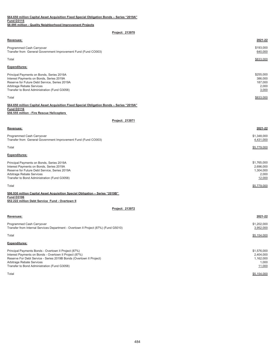| \$64.650 million Capital Asset Acquisition Fixed Special Obligation Bonds - Series "2019A"<br><b>Fund D3115</b>                                                                                                                                                    |                                                          |
|--------------------------------------------------------------------------------------------------------------------------------------------------------------------------------------------------------------------------------------------------------------------|----------------------------------------------------------|
| \$8.095 million - Quality Neighborhood Improvement Projects                                                                                                                                                                                                        |                                                          |
| Project: 213970                                                                                                                                                                                                                                                    |                                                          |
| Revenues:                                                                                                                                                                                                                                                          | 2021-22                                                  |
| Programmed Cash Carryover<br>Transfer from General Government Improvement Fund (Fund CO003)                                                                                                                                                                        | \$193,000<br>640,000                                     |
| Total                                                                                                                                                                                                                                                              | \$833,000                                                |
| <b>Expenditures:</b>                                                                                                                                                                                                                                               |                                                          |
| Principal Payments on Bonds, Series 2019A<br>Interest Payments on Bonds, Series 2019A<br>Reserve for Future Debt Service, Series 2019A<br>Arbitrage Rebate Services<br>Transfer to Bond Administration (Fund G3058)                                                | \$255.000<br>386,000<br>187,000<br>2,000<br>3,000        |
| Total                                                                                                                                                                                                                                                              | \$833,000                                                |
| \$64.650 million Capital Asset Acquisition Fixed Special Obligation Bonds - Series "2019A"<br><b>Fund D3116</b><br>\$56.555 million - Fire Rescue Helicopters                                                                                                      |                                                          |
| Project: 213971                                                                                                                                                                                                                                                    |                                                          |
| Revenues:                                                                                                                                                                                                                                                          | 2021-22                                                  |
| Programmed Cash Carryover<br>Transfer from General Government Improvement Fund (Fund CO003)                                                                                                                                                                        | \$1,348,000<br>4,431,000                                 |
| Total                                                                                                                                                                                                                                                              | \$5,779,000                                              |
| <b>Expenditures:</b>                                                                                                                                                                                                                                               |                                                          |
| Principal Payments on Bonds, Series 2019A<br>Interest Payments on Bonds, Series 2019A<br>Reserve for Future Debt Service, Series 2019A<br>Arbitrage Rebate Services<br>Transfer to Bond Administration (Fund G3058)                                                | \$1,765,000<br>2,696,000<br>1,304,000<br>2,000<br>12,000 |
| Total                                                                                                                                                                                                                                                              | \$5,779,000                                              |
| \$96.930 million Capital Asset Acquisition Special Obligation - Series "2019B"<br><b>Fund D3106</b><br>\$52.222 million Debt Service Fund - Overtown II                                                                                                            |                                                          |
| Project: 213972                                                                                                                                                                                                                                                    |                                                          |
| Revenues:                                                                                                                                                                                                                                                          | 2021-22                                                  |
| Programmed Cash Carryover<br>Transfer from Internal Services Department - Overtown II Project (87%) (Fund G5010)                                                                                                                                                   | \$1,202,000<br>3,952,000                                 |
| Total                                                                                                                                                                                                                                                              | \$5,154,000                                              |
| <b>Expenditures:</b>                                                                                                                                                                                                                                               |                                                          |
| Principal Payments Bonds - Overtown II Project (87%)<br>Interest Payments on Bonds - Overtown II Project (87%)<br>Reserve For Debt Service - Series 2019B Bonds (Overtown II Project)<br>Arbitrage Rebate Services<br>Transfer to Bond Administration (Fund G3058) | \$1,576,000<br>2,404,000<br>1,162,000<br>1,000<br>11,000 |
| Total                                                                                                                                                                                                                                                              | \$5,154,000                                              |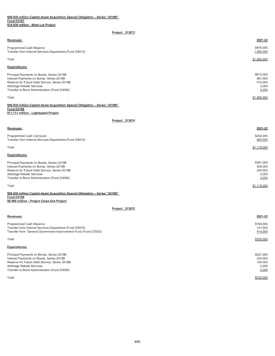| Revenues:                                                                                                                                                                                                           | 2021-22                                           |
|---------------------------------------------------------------------------------------------------------------------------------------------------------------------------------------------------------------------|---------------------------------------------------|
| Programmed Cash Reserve<br>Transfer from Internal Services Department (Fund G5010)                                                                                                                                  | \$430,000<br>1,465,000                            |
| Total                                                                                                                                                                                                               | \$1,895,000                                       |
| <b>Expenditures:</b>                                                                                                                                                                                                |                                                   |
| Principal Payments on Bonds, Series 2019B<br>Interest Payments on Bonds, Series 2019B<br>Reserve for Future Debt Service, Series 2019B<br>Arbitrage Rebate Services<br>Transfer to Bond Administration (Fund G3058) | \$612,000<br>861,000<br>415,000<br>2,000<br>5,000 |
| Total                                                                                                                                                                                                               | \$1,895,000                                       |

## **\$96.930 million Capital Asset Acquisition Special Obligation – Series "2019B" Fund D3108**

## **\$11.111 million - Lightspeed Project**

## **Project: 213974**

| Revenues:                                                                                                                                                                                                           | 2021-22                                           |
|---------------------------------------------------------------------------------------------------------------------------------------------------------------------------------------------------------------------|---------------------------------------------------|
| Programmed Cash Carryover<br>Transfer from Internal Services Department (Fund G5010)                                                                                                                                | \$254,000<br>865,000                              |
| Total                                                                                                                                                                                                               | \$1,119,000                                       |
| <b>Expenditures:</b>                                                                                                                                                                                                |                                                   |
| Principal Payments on Bonds, Series 2019B<br>Interest Payments on Bonds, Series 2019B<br>Reserve for Future Debt Service, Series 2019B<br>Arbitrage Rebate Services<br>Transfer to Bond Administration (Fund G3058) | \$361,000<br>508,000<br>245,000<br>2,000<br>3,000 |

Total \$1,119,000

### **Fund D3109 \$6.989 million - Project Close-Out Project \$96.930 million Capital Asset Acquisition Special Obligation – Series "2019B"**

| <b>Revenues:</b>                                                                                                                                                                                                    | 2021-22                                           |
|---------------------------------------------------------------------------------------------------------------------------------------------------------------------------------------------------------------------|---------------------------------------------------|
| <b>Programmed Cash Reserve</b><br>Transfer from Internal Services Department (Fund G5010)<br>Transfer from General Government Improvement Fund (Fund CO003)                                                         | \$160,000<br>131,000<br>414,000                   |
| Total                                                                                                                                                                                                               | \$705,000                                         |
| <b>Expenditures:</b>                                                                                                                                                                                                |                                                   |
| Principal Payments on Bonds, Series 2019B<br>Interest Payments on Bonds, Series 2019B<br>Reserve for Future Debt Service, Series 2019B<br>Arbitrage Rebate Services<br>Transfer to Bond Administration (Fund G3058) | \$227,000<br>320,000<br>154,000<br>2,000<br>2,000 |
| Total                                                                                                                                                                                                               | \$705,000                                         |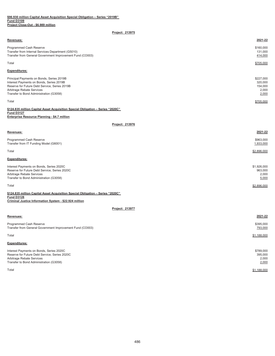## **\$96.930 million Capital Asset Acquisition Special Obligation – Series "2019B" Fund D3109 Project Close-Out - \$6.989 million**

## **Project: 213975**

| Revenues:                                                                                                                                                                                                      | 2021-22                                           |
|----------------------------------------------------------------------------------------------------------------------------------------------------------------------------------------------------------------|---------------------------------------------------|
| <b>Programmed Cash Reserve</b><br>Transfer from Internal Services Department (G5010)<br>Transfer from General Government Improvement Fund (CO003)                                                              | \$160,000<br>131,000<br>414,000                   |
| Total                                                                                                                                                                                                          | \$705,000                                         |
| <b>Expenditures:</b>                                                                                                                                                                                           |                                                   |
| Principal Payments on Bonds, Series 2019B<br>Interest Payments on Bonds, Series 2019B<br>Reserve for Future Debt Service, Series 2019B<br>Arbitrage Rebate Services<br>Transfer to Bond Administration (G3058) | \$227,000<br>320,000<br>154,000<br>2,000<br>2,000 |
| Total                                                                                                                                                                                                          | \$705,000                                         |
| \$124.835 million Capital Asset Acquisition Special Obligation - Series "2020C"                                                                                                                                |                                                   |

## **Fund D3127 Enterprise Resource Planning - \$4.7 million**

| Project: 213976                                                                                                                                                   |                                          |
|-------------------------------------------------------------------------------------------------------------------------------------------------------------------|------------------------------------------|
| Revenues:                                                                                                                                                         | 2021-22                                  |
| Programmed Cash Reserve<br>Transfer from IT Funding Model (G6001)                                                                                                 | \$963,000<br>1,933,000                   |
| Total                                                                                                                                                             | \$2,896,000                              |
| <b>Expenditures:</b>                                                                                                                                              |                                          |
| Interest Payments on Bonds, Series 2020C<br>Reserve for Future Debt Service, Series 2020C<br>Arbitrage Rebate Services<br>Transfer to Bond Administration (G3058) | \$1,926,000<br>963,000<br>2,000<br>5,000 |
| Total                                                                                                                                                             | \$2,896,000                              |

## **\$124.835 million Capital Asset Acquisition Special Obligation – Series "2020C" Fund D3128 Criminal Justice Information System - \$22.924 million**

| <b>Revenues:</b>                                                                                                                                                  | 2021-22                                |
|-------------------------------------------------------------------------------------------------------------------------------------------------------------------|----------------------------------------|
| Programmed Cash Reserve<br>Transfer from General Government Improvement Fund (CO003)                                                                              | \$395,000<br>793,000                   |
| Total                                                                                                                                                             | \$1,188,000                            |
| <b>Expenditures:</b>                                                                                                                                              |                                        |
| Interest Payments on Bonds, Series 2020C<br>Reserve for Future Debt Service, Series 2020C<br>Arbitrage Rebate Services<br>Transfer to Bond Administration (G3058) | \$789,000<br>395,000<br>2,000<br>2,000 |
| Total                                                                                                                                                             | \$1,188,000                            |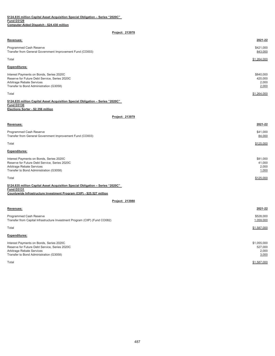#### **Fund D3129 Computer-Aided Dispatch - \$24.430 million \$124.835 million Capital Asset Acquisition Special Obligation – Series "2020C"**

## **Project: 213978**

| Project. $213970$                                                                                                                                                              |                                        |
|--------------------------------------------------------------------------------------------------------------------------------------------------------------------------------|----------------------------------------|
| Revenues:                                                                                                                                                                      | 2021-22                                |
| Programmed Cash Reserve<br>Transfer from General Government Improvement Fund (CO003)                                                                                           | \$421,000<br>843,000                   |
| Total                                                                                                                                                                          | \$1,264,000                            |
| <b>Expenditures:</b>                                                                                                                                                           |                                        |
| Interest Payments on Bonds, Series 2020C<br>Reserve for Future Debt Service, Series 2020C<br>Arbitrage Rebate Services<br>Transfer to Bond Administration (G3058)              | \$840,000<br>420,000<br>2,000<br>2,000 |
| Total                                                                                                                                                                          | \$1,264.000                            |
| \$124.835 million Capital Asset Acquisition Special Obligation - Series "2020C"<br><b>Fund D3130</b><br>Elections Sorter - \$2.356 million                                     |                                        |
| Project: 213979                                                                                                                                                                |                                        |
| Revenues:                                                                                                                                                                      | 2021-22                                |
| Programmed Cash Reserve<br>Transfer from General Government Improvement Fund (CO003)                                                                                           | \$41,000<br>84,000                     |
| Total                                                                                                                                                                          | \$125,000                              |
| <b>Expenditures:</b>                                                                                                                                                           |                                        |
| Interest Payments on Bonds, Series 2020C<br>Reserve for Future Debt Service, Series 2020C<br>Arbitrage Rebate Services<br>Transfer to Bond Administration (G3058)              | \$81,000<br>41,000<br>2,000<br>1,000   |
| Total                                                                                                                                                                          | \$125,000                              |
| \$124.835 million Capital Asset Acquisition Special Obligation - Series "2020C"<br><b>Fund D3131</b><br>Countywide Infrastructure Investment Program (CIIP) - \$25.527 million |                                        |
| Project: 213980                                                                                                                                                                |                                        |
| Revenues:                                                                                                                                                                      | 2021-22                                |
| Programmed Cash Reserve<br>Transfer from Capital Infrastructure Investment Program (CIIP) (Fund CO082)                                                                         | \$528,000<br>1,059,000                 |

Total \$1,587,000

## **Expenditures:**

| Interest Payments on Bonds, Series 2020C      | \$1,055,000 |
|-----------------------------------------------|-------------|
| Reserve for Future Debt Service, Series 2020C | 527,000     |
| Arbitrage Rebate Services                     | 2,000       |
| Transfer to Bond Administration (G3058)       | 3,000       |
| Total                                         | \$1,587,000 |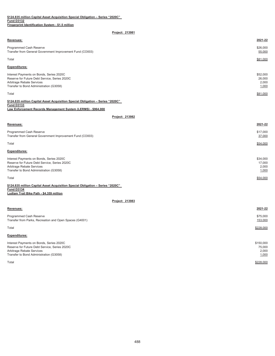## **\$124.835 million Capital Asset Acquisition Special Obligation – Series "2020C" Fund D3132 Fingerprint Identification System - \$1.5 million**

## **Project: 213981**

| Revenues:                                                                                                                                                             | 2021-22                              |
|-----------------------------------------------------------------------------------------------------------------------------------------------------------------------|--------------------------------------|
| Programmed Cash Reserve<br>Transfer from General Government Improvement Fund (CO003)                                                                                  | \$26,000<br>55,000                   |
| Total                                                                                                                                                                 | \$81,000                             |
| <b>Expenditures:</b>                                                                                                                                                  |                                      |
| Interest Payments on Bonds, Series 2020C<br>Reserve for Future Debt Service, Series 2020C<br>Arbitrage Rebate Services<br>Transfer to Bond Administration (G3058)     | \$52,000<br>26,000<br>2,000<br>1,000 |
| Total                                                                                                                                                                 | \$81,000                             |
| \$124.835 million Capital Asset Acquisition Special Obligation - Series "2020C"<br><b>Fund D3133</b><br>Law Enforcement Records Management System (LERMS) - \$964,000 |                                      |
| Project: 213982                                                                                                                                                       |                                      |
| Revenues:                                                                                                                                                             | 2021-22                              |
| Programmed Cash Reserve<br>Transfer from General Government Improvement Fund (CO003)                                                                                  | \$17,000<br>37,000                   |

## $\texttt{Total}$

| <b>Expenditures:</b>                          |          |
|-----------------------------------------------|----------|
| Interest Payments on Bonds, Series 2020C      | \$34,000 |
| Reserve for Future Debt Service, Series 2020C | 17,000   |
| Arbitrage Rebate Services                     | 2,000    |
| Transfer to Bond Administration (G3058)       | 1,000    |
| Total                                         | \$54,000 |

**Fund D3134 Ludlam Trail Bike Path - \$4.359 million \$124.835 million Capital Asset Acquisition Special Obligation – Series "2020C"** 

**Project: 213983**

| Revenues:                                                                                                                                                         | 2021-22                               |
|-------------------------------------------------------------------------------------------------------------------------------------------------------------------|---------------------------------------|
| Programmed Cash Reserve<br>Transfer from Parks, Recreation and Open Spaces (G4001)                                                                                | \$75,000<br>153,000                   |
| Total                                                                                                                                                             | \$228,000                             |
| <b>Expenditures:</b>                                                                                                                                              |                                       |
| Interest Payments on Bonds, Series 2020C<br>Reserve for Future Debt Service, Series 2020C<br>Arbitrage Rebate Services<br>Transfer to Bond Administration (G3058) | \$150,000<br>75,000<br>2,000<br>1,000 |

 $\textsf{Total}$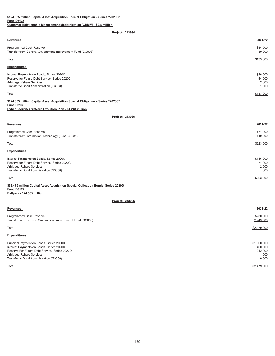| \$124.835 million Capital Asset Acquisition Special Obligation - Series "2020C"                                                                                                                               |                                                     |
|---------------------------------------------------------------------------------------------------------------------------------------------------------------------------------------------------------------|-----------------------------------------------------|
| <b>Fund D3135</b><br>Customer Relationship Management Modernization (CRMM) - \$2.5 million                                                                                                                    |                                                     |
| Project: 213984                                                                                                                                                                                               |                                                     |
| Revenues:                                                                                                                                                                                                     | 2021-22                                             |
| Programmed Cash Reserve<br>Transfer from General Government Improvement Fund (CO003)                                                                                                                          | \$44,000<br>89,000                                  |
| Total                                                                                                                                                                                                         | \$133,000                                           |
| <b>Expenditures:</b>                                                                                                                                                                                          |                                                     |
| Interest Payments on Bonds, Series 2020C<br>Reserve for Future Debt Service, Series 2020C<br>Arbitrage Rebate Services<br>Transfer to Bond Administration (G3058)                                             | \$86,000<br>44,000<br>2,000<br>1,000                |
| Total                                                                                                                                                                                                         | \$133,000                                           |
| \$124.835 million Capital Asset Acquisition Special Obligation - Series "2020C"<br><b>Fund D3136</b><br>Cyber Security Strategic Evolution Plan - \$4.248 million                                             |                                                     |
| Project: 213985                                                                                                                                                                                               |                                                     |
| Revenues:                                                                                                                                                                                                     | 2021-22                                             |
| Programmed Cash Reserve<br>Transfer from Information Technology (Fund G6001)                                                                                                                                  | \$74,000<br>149,000                                 |
| Total                                                                                                                                                                                                         | \$223,000                                           |
| <b>Expenditures:</b>                                                                                                                                                                                          |                                                     |
| Interest Payments on Bonds, Series 2020C<br>Reserve for Future Debt Service, Series 2020C<br>Arbitrage Rebate Services<br>Transfer to Bond Administration (G3058)                                             | \$146,000<br>74,000<br>2,000<br>1,000               |
| Total                                                                                                                                                                                                         | \$223,000                                           |
| \$73.475 million Capital Asset Acquisition Special Obligation Bonds, Series 2020D<br><b>Fund D3122</b><br>Ballpark - \$24.565 million                                                                         |                                                     |
| Project: 213986                                                                                                                                                                                               |                                                     |
| Revenues:                                                                                                                                                                                                     | 2021-22                                             |
| Programmed Cash Reserve<br>Transfer from General Government Improvement Fund (CO003)                                                                                                                          | \$230,000<br>2,249,000                              |
| Total                                                                                                                                                                                                         | \$2,479,000                                         |
| Expenditures:                                                                                                                                                                                                 |                                                     |
| Principal Payment on Bonds, Series 2020D<br>Interest Payments on Bonds, Series 2020D<br>Reserve For Future Debt Service, Series 2020D<br>Arbitrage Rebate Services<br>Transfer to Bond Administration (G3058) | \$1,800,000<br>460,000<br>212,000<br>1,000<br>6,000 |

Total \$2,479,000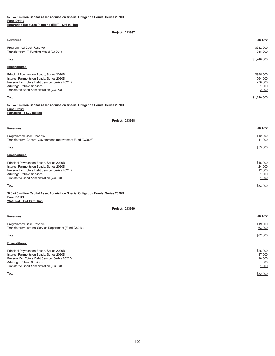| Revenues:                                                                                                                                                                                                     | 2021-22                                           |
|---------------------------------------------------------------------------------------------------------------------------------------------------------------------------------------------------------------|---------------------------------------------------|
| <b>Programmed Cash Reserve</b><br>Transfer from IT Funding Model (G6001)                                                                                                                                      | \$282,000<br>958,000                              |
| Total                                                                                                                                                                                                         | \$1,240,000                                       |
| <b>Expenditures:</b>                                                                                                                                                                                          |                                                   |
| Principal Payment on Bonds, Series 2020D<br>Interest Payments on Bonds, Series 2020D<br>Reserve For Future Debt Service, Series 2020D<br>Arbitrage Rebate Services<br>Transfer to Bond Administration (G3058) | \$395,000<br>564,000<br>278,000<br>1,000<br>2,000 |
| Total                                                                                                                                                                                                         | \$1,240,000                                       |

## **\$73.475 million Capital Asset Acquisition Special Obligation Bonds, Series 2020D Fund D3120 Portables - \$1.22 million**

**Project: 213988**

| <b>Revenues:</b>                                                                                                                                                   | 2021-22                               |
|--------------------------------------------------------------------------------------------------------------------------------------------------------------------|---------------------------------------|
| Programmed Cash Reserve<br>Transfer from General Government Improvement Fund (CO003)                                                                               | \$12,000<br>41,000                    |
| Total                                                                                                                                                              | \$53,000                              |
| <b>Expenditures:</b>                                                                                                                                               |                                       |
| Principal Payment on Bonds, Series 2020D<br>Interest Payments on Bonds, Series 2020D<br>Reserve For Future Debt Service, Series 2020D<br>Arbitrage Rebate Services | \$15,000<br>24.000<br>12,000<br>1,000 |
| Transfer to Bond Administration (G3058)                                                                                                                            | 1,000                                 |

 $\texttt{Total} \quad \textcolor{red}{\blacksquare} \quad \textcolor{red}{\texttt{53,000}}$ 

### **\$73.475 million Capital Asset Acquisition Special Obligation Bonds, Series 2020D Fund D3124 West Lot - \$2.010 million**

| <b>Revenues:</b>                                                                                                                                                                                              | 2021-22                                        |
|---------------------------------------------------------------------------------------------------------------------------------------------------------------------------------------------------------------|------------------------------------------------|
| Programmed Cash Reserve<br>Transfer from Internal Service Department (Fund G5010)                                                                                                                             | \$19,000<br>63,000                             |
| Total                                                                                                                                                                                                         | \$82,000                                       |
| <b>Expenditures:</b>                                                                                                                                                                                          |                                                |
| Principal Payment on Bonds, Series 2020D<br>Interest Payments on Bonds, Series 2020D<br>Reserve For Future Debt Service, Series 2020D<br>Arbitrage Rebate Services<br>Transfer to Bond Administration (G3058) | \$25,000<br>37,000<br>18,000<br>1,000<br>1,000 |
| Total                                                                                                                                                                                                         | \$82,000                                       |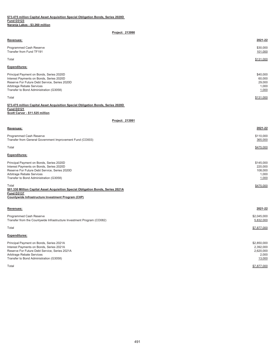| <b>Revenues:</b>                                                                                                                                                                                              | 2021-22                                        |
|---------------------------------------------------------------------------------------------------------------------------------------------------------------------------------------------------------------|------------------------------------------------|
| Programmed Cash Reserve<br>Transfer from Fund TF191                                                                                                                                                           | \$30,000<br>101,000                            |
| Total                                                                                                                                                                                                         | \$131,000                                      |
| <b>Expenditures:</b>                                                                                                                                                                                          |                                                |
| Principal Payment on Bonds, Series 2020D<br>Interest Payments on Bonds, Series 2020D<br>Reserve For Future Debt Service, Series 2020D<br>Arbitrage Rebate Services<br>Transfer to Bond Administration (G3058) | \$40,000<br>60,000<br>29,000<br>1,000<br>1,000 |
| Total                                                                                                                                                                                                         | \$131,000                                      |

## **\$73.475 million Capital Asset Acquisition Special Obligation Bonds, Series 2020D Fund D3121 Scott Carver - \$11.525 million**

| Revenues:                                                                                                                                                                                                                                                                                                                                                                               | 2021-22                                                        |
|-----------------------------------------------------------------------------------------------------------------------------------------------------------------------------------------------------------------------------------------------------------------------------------------------------------------------------------------------------------------------------------------|----------------------------------------------------------------|
| Programmed Cash Reserve<br>Transfer from General Government Improvement Fund (CO003)                                                                                                                                                                                                                                                                                                    | \$110,000<br>365,000                                           |
| Total                                                                                                                                                                                                                                                                                                                                                                                   | \$475,000                                                      |
| <b>Expenditures:</b>                                                                                                                                                                                                                                                                                                                                                                    |                                                                |
| Principal Payment on Bonds, Series 2020D<br>Interest Payments on Bonds, Series 2020D<br>Reserve For Future Debt Service, Series 2020D<br>Arbitrage Rebate Services<br>Transfer to Bond Administration (G3058)<br>Total<br>\$81.330 Million Capital Asset Acquisition Special Obligation Bonds, Series 2021A<br><b>Fund D3137</b><br>Countywide Infrastructure Investment Program (CIIP) | \$145,000<br>220,000<br>108,000<br>1,000<br>1,000<br>\$475,000 |
| Revenues:                                                                                                                                                                                                                                                                                                                                                                               | 2021-22                                                        |
| Programmed Cash Reserve<br>Transfer from the Countywide Infrastructure Investment Program (CO082)                                                                                                                                                                                                                                                                                       | \$2,045,000<br>5,832,000                                       |
| Total                                                                                                                                                                                                                                                                                                                                                                                   | \$7,877,000                                                    |
| <b>Expenditures:</b>                                                                                                                                                                                                                                                                                                                                                                    |                                                                |

| Principal Payment on Bonds, Series 2021A      | \$2,850,000 |
|-----------------------------------------------|-------------|
| Interest Payments on Bonds, Series 2021A      | 2,392,000   |
| Reserve For Future Debt Service, Series 2021A | 2,620,000   |
| Arbitrage Rebate Services                     | 2.000       |
| Transfer to Bond Administration (G3058)       | 13,000      |
| Total                                         | \$7,877,000 |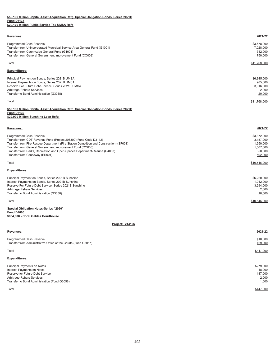## **\$59.160 Million Capital Asset Acquisition Refg. Special Obligation Bonds, Series 2021B Fund D3138 \$29.170 Million Public Service Tax UMSA Refg**

| Revenues:                                                                                                                                                                                                                    | 2021-22                                                |
|------------------------------------------------------------------------------------------------------------------------------------------------------------------------------------------------------------------------------|--------------------------------------------------------|
| Programmed Cash Reserve<br>Transfer from Unincorporated Municipal Service Area General Fund (G1001)<br>Transfer from Countywide General Fund (G1001)<br>Transfer from General Government Improvement Fund (CO003)            | \$3,678,000<br>7,028,000<br>312,000<br>750,000         |
| Total                                                                                                                                                                                                                        | \$11,768,000                                           |
| <b>Expenditures:</b>                                                                                                                                                                                                         |                                                        |
| Principal Payment on Bonds, Series 2021B UMSA<br>Interest Payments on Bonds, Series 2021B UMSA<br>Reserve For Future Debt Service, Series 2021B UMSA<br>Arbitrage Rebate Services<br>Transfer to Bond Administration (G3058) | \$6,845,000<br>985,000<br>3,916,000<br>2,000<br>20,000 |
| Total                                                                                                                                                                                                                        | \$11,768,000                                           |

## **\$59.160 Million Capital Asset Acquisition Refg. Special Obligation Bonds, Series 2021B Fund D3139**

## **\$29.990 Million Sunshine Loan Refg**

#### **Revenues: 2021-22**

| Programmed Cash Reserve                                                                 | \$3,372,000  |
|-----------------------------------------------------------------------------------------|--------------|
| Transfer from CDT Revenue Fund (Project 206300) (Fund Code D3112)                       | 3,157,000    |
| Transfer from Fire Rescue Department (Fire Station Demolition and Construction) (SF001) | 1,650,000    |
| Transfer from General Government Improvement Fund (CO003)                               | 1,507,000    |
| Transfer from Parks, Recreation and Open Spaces Department- Marina (G4003)              | 358.000      |
| Transfer from Causeway (ER001)                                                          | 502,000      |
| Total                                                                                   | \$10,546,000 |
| <b>Expenditures:</b>                                                                    |              |
| Principal Payment on Bonds, Series 2021B Sunshine                                       | \$6,220,000  |

|                                                        | $-$ - $-$ - $    -$ |
|--------------------------------------------------------|---------------------|
| Interest Payments on Bonds, Series 2021B Sunshine      | 1,012,000           |
| Reserve For Future Debt Service, Series 2021B Sunshine | 3.294.000           |
| Arbitrage Rebate Services                              | 2.000               |
| Transfer to Bond Administration (G3058)                | 18,000              |
|                                                        |                     |
| Total                                                  | \$10,546,000        |

## **Fund D4006 Special Obligation Notes-Series "2020"**

## **\$854,000 - Coral Gables Courthouse**

| <b>Revenues:</b>                                                                                                                                                          | 2021-22                                          |
|---------------------------------------------------------------------------------------------------------------------------------------------------------------------------|--------------------------------------------------|
| Programmed Cash Reserve<br>Transfer from Administrative Office of the Courts (Fund G3017)                                                                                 | \$18,000<br>429,000                              |
| Total                                                                                                                                                                     | \$447,000                                        |
| <b>Expenditures:</b>                                                                                                                                                      |                                                  |
| Principal Payments on Notes<br>Interest Payments on Notes<br>Reserve for Future Debt Service<br>Arbitrage Rebate Services<br>Transfer to Bond Administration (Fund G3058) | \$279,000<br>18,000<br>147,000<br>2,000<br>1,000 |
| Total                                                                                                                                                                     | \$447,000                                        |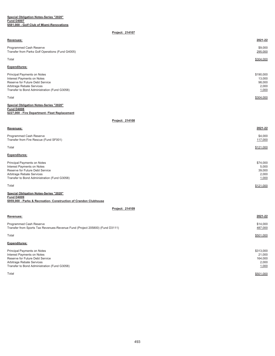#### **Special Obligation Notes-Series "2020" Fund D4007 \$581,000 - Golf Club of Miami-Renovations**

## **Project: 214107**

| Revenues:                                                                                                                                                                 | 2021-22                                         |
|---------------------------------------------------------------------------------------------------------------------------------------------------------------------------|-------------------------------------------------|
| Programmed Cash Reserve<br>Transfer from Parks Golf Operations (Fund G4005)                                                                                               | \$9,000<br>295,000                              |
| Total                                                                                                                                                                     | \$304,000                                       |
| <b>Expenditures:</b>                                                                                                                                                      |                                                 |
| Principal Payments on Notes<br>Interest Payments on Notes<br>Reserve for Future Debt Service<br>Arbitrage Rebate Services<br>Transfer to Bond Administration (Fund G3058) | \$190,000<br>13,000<br>98,000<br>2,000<br>1,000 |
| Total                                                                                                                                                                     | \$304,000                                       |

**Fund D4008 \$227,000 - Fire Department- Fleet Replacement Special Obligation Notes-Series "2020"**

**Project: 214108**

| Revenues:                                                                                                                                                                 | 2021-22                                       |
|---------------------------------------------------------------------------------------------------------------------------------------------------------------------------|-----------------------------------------------|
| Programmed Cash Reserve<br>Transfer from Fire Rescue (Fund SF001)                                                                                                         | \$4,000<br>117,000                            |
| Total                                                                                                                                                                     | \$121,000                                     |
| <b>Expenditures:</b>                                                                                                                                                      |                                               |
| Principal Payments on Notes<br>Interest Payments on Notes<br>Reserve for Future Debt Service<br>Arbitrage Rebate Services<br>Transfer to Bond Administration (Fund G3058) | \$74,000<br>5,000<br>39,000<br>2,000<br>1,000 |
| Total                                                                                                                                                                     | \$121,000                                     |

| Special Obligation Notes-Series "2020"                            |
|-------------------------------------------------------------------|
| Fund D4009                                                        |
| \$959,000 - Parks & Recreation- Construction of Crandon Clubhouse |

| <b>Revenues:</b>                                                                                                                                                          | 2021-22                                          |
|---------------------------------------------------------------------------------------------------------------------------------------------------------------------------|--------------------------------------------------|
| Programmed Cash Reserve<br>Transfer from Sports Tax Revenues-Revenue Fund (Project 205800) (Fund D3111)                                                                   | \$14,000<br>487,000                              |
| Total                                                                                                                                                                     | \$501.000                                        |
| <b>Expenditures:</b>                                                                                                                                                      |                                                  |
| Principal Payments on Notes<br>Interest Payments on Notes<br>Reserve for Future Debt Service<br>Arbitrage Rebate Services<br>Transfer to Bond Administration (Fund G3058) | \$313,000<br>21,000<br>164,000<br>2,000<br>1,000 |
| Total                                                                                                                                                                     | \$501.000                                        |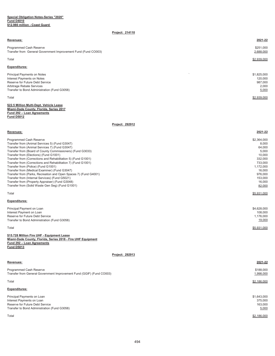| <b>Revenues:</b>                                                                                                                                                                                           | 2021-22                                                            |
|------------------------------------------------------------------------------------------------------------------------------------------------------------------------------------------------------------|--------------------------------------------------------------------|
| Programmed Cash Reserve<br>Transfer from General Government Improvement Fund (Fund CO003)                                                                                                                  | \$251,000<br>2,688,000                                             |
| Total                                                                                                                                                                                                      | \$2,939,000                                                        |
| <b>Expenditures:</b>                                                                                                                                                                                       |                                                                    |
| $\ddot{\phantom{1}}$<br>Principal Payments on Notes<br>Interest Payments on Notes<br>Reserve for Future Debt Service<br>Arbitrage Rebate Services<br>Transfer to Bond Administration (Fund G3058)<br>Total | \$1,825,000<br>120,000<br>987,000<br>2,000<br>5,000<br>\$2,939,000 |
|                                                                                                                                                                                                            |                                                                    |

**\$22.5 Million Multi-Dept. Vehicle Lease Miami-Dade County, Florida, Series 2017 Fund 292 – Loan Agreements Fund D5012**

## **Project: 292912**

| Revenues:                                                        | 2021-22     |
|------------------------------------------------------------------|-------------|
| Programmed Cash Reserve                                          | \$2,364,000 |
| Transfer from (Animal Services 5) (Fund G3047)                   | 8.000       |
| Transfer from (Animal Services 7) (Fund G3047)                   | 64,000      |
| Transfer from (Board of County Commissioners) (Fund G3033)       | 5.000       |
| Transfer from (Elections) (Fund G1001)                           | 10,000      |
| Transfer from (Corrections and Rehabilitation 5) (Fund G1001)    | 332.000     |
| Transfer from (Corrections and Rehabilitation 7) (Fund G1001)    | 733,000     |
| Transfer from (Police) (Fund G1001)                              | 1,172,000   |
| Transfer from (Medical Examiner) (Fund G3047)                    | 16,000      |
| Transfer from (Parks, Recreation and Open Spaces 7) (Fund G4001) | 976.000     |
| Transfer from (Internal Services) (Fund G5021)                   | 153,000     |
| Transfer from (Property Appraiser) (Fund G3048)                  | 16,000      |
| Transfer from (Solid Waste Gen Seg) (Fund G1001)                 | 82,000      |
| Total                                                            | \$5,931,000 |
| <b>Expenditures:</b>                                             |             |
| Principal Payment on Loan                                        | \$4,628,000 |
| Interest Payment on Loan                                         | 108,000     |
| Reserve for Future Debt Service                                  | 1,176,000   |
| Transfer to Bond Administration (Fund G3058)                     | 19,000      |
| Total                                                            | \$5,931,000 |
| あえき 宝色色 あむけいしゃ せいこうせいせい せいしいかいしゅんしょうこう                           |             |

**Miami-Dade County, Florida, Series 2018 - Fire UHF Equipment Fund 292 – Loan Agreements Fund D5013 \$15.728 Million Fire UHF - Equipment Lease**

| Revenues:                                                                                                                                  | 2021-22                                    |
|--------------------------------------------------------------------------------------------------------------------------------------------|--------------------------------------------|
| Programmed Cash Reserve<br>Transfer from General Government Improvement Fund (GGIF) (Fund CO003)                                           | \$188,000<br>1,998,000                     |
| Total                                                                                                                                      | \$2,186,000                                |
| <b>Expenditures:</b>                                                                                                                       |                                            |
| Principal Payments on Loan<br>Interest Payments on Loan<br>Reserve for Future Debt Service<br>Transfer to Bond Administration (Fund G3058) | \$1,643,000<br>375,000<br>163.000<br>5,000 |
| Total                                                                                                                                      | \$2,186,000                                |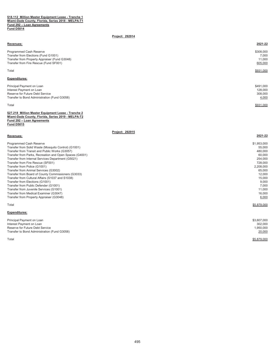#### **\$18.112 Million Master Equipment Lease - Tranche 1 Miami-Dade County, Florida, Series 2018 - MELPA-T1 Fund 292 – Loan Agreements Fund D5014**

## **Project: 292914**

## **Revenues: 2021-22** 9308,000 \$308,000<br>Transfer from Elections (Fund G1001) \$308,000 \$308,000 \$308,000 \$308,000 \$ Transfer from Elections (Fund G1001) 7,000<br>Transfer from Property Appraiser (Fund G3048) 7,000<br>Transfer from Property Appraiser (Fund G3048) Transfer from Property Appraiser (Fund G3048) 11,000<br>Transfer from Fire Rescue (Fund G3048) 11,000<br>Transfer from Fire Rescue (Fund SF001) 11,000 Transfer from Fire Rescue (Fund SF001) Total \$931,000 **Expenditures:** Principal Payment on Loan \$491,000<br>Interest Payment on Loan \$128,000 Interest Payment on Loan \$128,000 Provide the Universe Payment on Loan 128,000<br>
Reserve for Future Debt Service 308,000<br>
Subset of Future Debt Service Reserve for Future Debt Service Transfer to Bond Administration (Fund G3058) 4,000 Total \$931,000

#### **\$27.218 Million Master Equipment Lease - Tranche 2 Miami-Dade County, Florida, Series 2019 - MELPA-T2 Fund 292 – Loan Agreements Fund D5015**

**Project: 292915**

| Revenues:                                               | 2021-22     |
|---------------------------------------------------------|-------------|
| Programmed Cash Reserve                                 | \$1,953,000 |
| Transfer from Solid Waste (Mosquito Control) (G1001)    | 55,000      |
| Transfer from Transit and Public Works (G3057)          | 480,000     |
| Transfer from Parks, Recreation and Open Spaces (G4001) | 60,000      |
| Transfer from Internal Services Department (G5021)      | 254,000     |
| Transfer from Fire Rescue (SF001)                       | 728,000     |
| Transfer from Police (G1001)                            | 2,208,000   |
| Transfer from Animal Services (G3002)                   | 65,000      |
| Transfer from Board of County Commissioners (G3033)     | 12,000      |
| Transfer from Cultural Affairs (S1037 and S1038)        | 15,000      |
| Transfer from Elections (G1001)                         | 9,000       |
| Transfer from Public Defender (G1001)                   | 7,000       |
| Transfer from Juvenile Services (G1001)                 | 11,000      |
| Transfer from Medical Examiner (G3047)                  | 16,000      |
| Transfer from Property Appraiser (G3048)                | 6,000       |
| Total                                                   | \$5,879,000 |
| <b>Expenditures:</b>                                    |             |
| Principal Payment on Loan                               | \$3,607,000 |
| Interest Payment on Loan                                | 302,000     |
| .                                                       | 1.050.000   |

| Reserve for Future Debt Service              | .950.000 |
|----------------------------------------------|----------|
| Transfer to Bond Administration (Fund G3058) | 20,000   |
|                                              |          |

Total \$5,879,000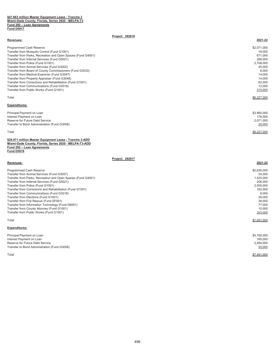## **\$47.663 million Master Equipment Lease - Tranche 3 Miami-Dade County, Florida, Series 2020 - MELPA-T3 Fund 292 – Loan Agreements Fund D5017**

| Project: 292916                                              |             |
|--------------------------------------------------------------|-------------|
| Revenues:                                                    | 2021-22     |
| Programmed Cash Reserve                                      | \$2,071,000 |
| Transfer from Mosquito Control (Fund G1001)                  | 18.000      |
| Transfer from Parks, Recreation and Open Spaces (Fund G4001) | 671,000     |
| Transfer from Internal Services (Fund G5021)                 | 289,000     |
| Transfer from Police (Fund G1001)                            | 2,708,000   |
| Transfer from Animal Services (Fund G3002)                   | 45,000      |
| Transfer from Board of County Commissioners (Fund G3033)     | 8,000       |
| Transfer from Medical Examiner (Fund G3047)                  | 14,000      |
| Transfer from Property Appraiser (Fund G3048)                | 14,000      |
| Transfer from Corrections and Rehabilitation (Fund G1001)    | 62,000      |
| Transfer from Communications (Fund G3018)                    | 12,000      |
| Transfer from Public Works (Fund G1001)                      | 315,000     |
| Total                                                        | \$6,227,000 |
| <b>Expenditures:</b>                                         |             |
| Principal Payment on Loan                                    | \$3,960,000 |
| Interest Payment on Loan                                     | 176,000     |
| Reserve for Future Debt Service                              | 2,071,000   |
| Transfer to Bond Administration (Fund G3058)                 | 20,000      |
| Total                                                        | \$6,227,000 |

**\$26.971 million Master Equipment Lease - Tranche 3-ADD Miami-Dade County, Florida, Series 2020 - MELPA-T3-ADD Fund 292 – Loan Agreements Fund D5018**

## **Project: 292917**

## **Revenues: 2021-22** Programmed Cash Reserve \$2,635,000 Transfer from Animal Services (Fund G3057) 24,000<br>Transfer from Parks, Recreation and Open Spaces (Fund G4001) 2008 2014 1999 2012 2013 2014 2014 2015 2016 2017 Transfer from Parks, Recreation and Open Spaces (Fund G4001) Transfer from Internal Services (Fund G5021) 206,000<br>Transfer from Police (Fund G1001) 2,555,000 2,555,000 Transfer from Police (Fund G1001) Transfer from Corrections and Rehabilitation (Fund G1001) 182,000 Transfer from Communications (Fund G3018) 8,000<br>Transfer from Elections (Fund G1001) 8,000<br>28,000 28,000 8,000 1 Transfer from Elections (Fund G1001) 28,000 Transfer from Fire Rescue (Fund SF001) 38,000 Transfer from Information Technology (Fund G6001) Transfer from County Attorney (Fund G1001) 10,000<br>Transfer from Public Works (Fund G1001) 203,000 12 and the country of the country of the country of the country of the country of the country of the country of the country Transfer from Public Works (Fund G1001) Total \$7,491,000 **Expenditures:** Principal Payment on Loan \$4,792,000<br>Interest Payment on Loan \$1,792,000 \$1,85,000 \$1,792,000 \$1,192,000 \$1,199,000 \$1,199,000 \$1,199,000 \$1,199,00<br>Interest Payment on Loan \$1,000 \$1,000 \$1,000 \$1,000 \$1,000 \$1,000 \$1,000 Interest Payment on Loan 185,000<br>Reserve for Future Debt Service 2,494,000<br>2,494,000 Reserve for Future Debt Service 2,494,000<br>Transfer to Bond Administration (Fund G3058) **20,000** 20,000 **20,000** 20,000 **20,000** Transfer to Bond Administration (Fund G3058)

Total \$7,491,000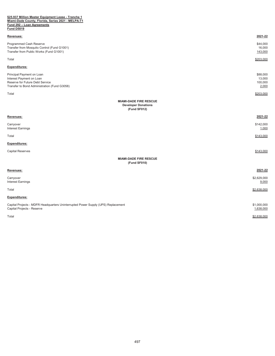#### **\$25.937 Million Master Equipment Lease - Tranche 1 Miami-Dade County, Florida, Series 2021 - MELPA-T1 Fund 292 – Loan Agreements Fund D5019**

| Revenues:                                                                                                                                | 2021-22                                |
|------------------------------------------------------------------------------------------------------------------------------------------|----------------------------------------|
| Programmed Cash Reserve<br>Transfer from Mosquito Control (Fund G1001)<br>Transfer from Public Works (Fund G1001)                        | \$44,000<br>16,000<br>143,000          |
| Total                                                                                                                                    | \$203,000                              |
| <b>Expenditures:</b>                                                                                                                     |                                        |
| Principal Payment on Loan<br>Interest Payment on Loan<br>Reserve for Future Debt Service<br>Transfer to Bond Administration (Fund G3058) | \$88,000<br>13,000<br>100,000<br>2,000 |
| Total                                                                                                                                    | \$203,000                              |
| <b>MIAMI-DADE FIRE RESCUE</b><br><b>Developer Donations</b><br>(Fund SF012)                                                              |                                        |
| Revenues:                                                                                                                                | 2021-22                                |
| Carryover<br><b>Interest Earnings</b>                                                                                                    | \$142,000<br>1,000                     |
| Total                                                                                                                                    | \$143,000                              |
| <b>Expenditures:</b>                                                                                                                     |                                        |
| <b>Capital Reserves</b>                                                                                                                  | \$143,000                              |
| <b>MIAMI-DADE FIRE RESCUE</b><br>(Fund SF010)                                                                                            |                                        |
| Revenues:                                                                                                                                | 2021-22                                |
| Carryover<br><b>Interest Earnings</b>                                                                                                    | \$2,629,000<br>9,000                   |
| Total                                                                                                                                    | \$2,638,000                            |
| <b>Expenditures:</b>                                                                                                                     |                                        |
| Capital Projects - MDFR Headquarters Uninterrupted Power Supply (UPS) Replacement<br>Capital Projects - Reserve                          | \$1,000,000<br>1,638,000               |
| Total                                                                                                                                    | \$2,638,000                            |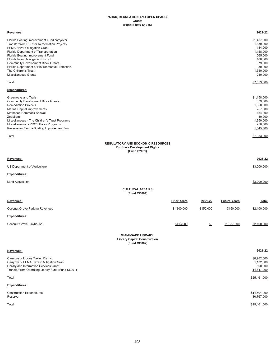## **PARKS, RECREATION AND OPEN SPACES Grants (Fund S1040-S1056)**

| Revenues:                                                                                                                                                                                                                                                                                                                                                                                        |                                                                                                |           |                     | 2021-22                                                                                                             |
|--------------------------------------------------------------------------------------------------------------------------------------------------------------------------------------------------------------------------------------------------------------------------------------------------------------------------------------------------------------------------------------------------|------------------------------------------------------------------------------------------------|-----------|---------------------|---------------------------------------------------------------------------------------------------------------------|
| Florida Boating Improvement Fund carryover<br>Transfer from RER for Remediation Projects<br>FEMA Hazard Mitigation Grant<br>Florida Department of Transportation<br>Florida Boating Improvement Fund<br>Florida Inland Navigation District<br><b>Community Development Block Grants</b><br>Florida Department of Environmental Protection<br>The Children's Trust<br><b>Miscellaneous Grants</b> |                                                                                                |           |                     | \$1,437,000<br>1,350,000<br>134,000<br>1,158,000<br>565,000<br>400,000<br>379,000<br>30,000<br>1,350,000<br>250,000 |
| Total                                                                                                                                                                                                                                                                                                                                                                                            |                                                                                                |           |                     | \$7.053.000                                                                                                         |
| <b>Expenditures:</b>                                                                                                                                                                                                                                                                                                                                                                             |                                                                                                |           |                     |                                                                                                                     |
| Greenways and Trails<br><b>Community Development Block Grants</b><br><b>Remediation Projects</b><br>Marina Capital Improvements<br>Matheson Hammock Seawall<br>ZooMiami<br>Miscellaneous - The Children's Trust Programs<br>Miscellaneous - PROS Parks Programs<br>Reserve for Florida Boating Improvement Fund                                                                                  |                                                                                                |           |                     | \$1,158,000<br>379,000<br>1,350,000<br>757,000<br>134,000<br>30,000<br>1,350,000<br>250,000<br>1,645,000            |
| Total                                                                                                                                                                                                                                                                                                                                                                                            |                                                                                                |           |                     | \$7,053,000                                                                                                         |
|                                                                                                                                                                                                                                                                                                                                                                                                  | <b>REGULATORY AND ECONOMIC RESOURCES</b><br><b>Purchase Development Rights</b><br>(Fund S2001) |           |                     |                                                                                                                     |
| Revenues:                                                                                                                                                                                                                                                                                                                                                                                        |                                                                                                |           |                     | 2021-22                                                                                                             |
| US Department of Agriculture                                                                                                                                                                                                                                                                                                                                                                     |                                                                                                |           |                     | \$3,000,000                                                                                                         |
| <b>Expenditures:</b>                                                                                                                                                                                                                                                                                                                                                                             |                                                                                                |           |                     |                                                                                                                     |
| <b>Land Acquisition</b>                                                                                                                                                                                                                                                                                                                                                                          |                                                                                                |           |                     | \$3,000,000                                                                                                         |
|                                                                                                                                                                                                                                                                                                                                                                                                  | <b>CULTURAL AFFAIRS</b><br>(Fund CO001)                                                        |           |                     |                                                                                                                     |
| Revenues:                                                                                                                                                                                                                                                                                                                                                                                        | <b>Prior Years</b>                                                                             | 2021-22   | <b>Future Years</b> | <b>Total</b>                                                                                                        |
| <b>Coconut Grove Parking Revenues</b>                                                                                                                                                                                                                                                                                                                                                            | \$1,800,000                                                                                    | \$150,000 | \$150,000           | \$2,100,000                                                                                                         |
| <b>Expenditures:</b>                                                                                                                                                                                                                                                                                                                                                                             |                                                                                                |           |                     |                                                                                                                     |
| Coconut Grove Playhouse                                                                                                                                                                                                                                                                                                                                                                          | \$113,000                                                                                      | \$0       | \$1,987,000         | \$2,100,000                                                                                                         |
|                                                                                                                                                                                                                                                                                                                                                                                                  | <b>MIAMI-DADE LIBRARY</b><br><b>Library Capital Construction</b><br>(Fund CO002)               |           |                     |                                                                                                                     |
| Revenues:                                                                                                                                                                                                                                                                                                                                                                                        |                                                                                                |           |                     | 2021-22                                                                                                             |
| Carryover - Library Taxing District<br>Carryover - FEMA Hazard Mitigation Grant<br>Library and Information Services Grant<br>Transfer from Operating Library Fund (Fund SL001)                                                                                                                                                                                                                   |                                                                                                |           |                     | \$8,982,000<br>1,132,000<br>500,000<br>14,847,000                                                                   |
| Total                                                                                                                                                                                                                                                                                                                                                                                            |                                                                                                |           |                     | \$25,461,000                                                                                                        |
| <b>Expenditures:</b>                                                                                                                                                                                                                                                                                                                                                                             |                                                                                                |           |                     |                                                                                                                     |
| <b>Construction Expenditures</b><br>Reserve                                                                                                                                                                                                                                                                                                                                                      |                                                                                                |           |                     | \$14,694,000<br>10,767,000                                                                                          |
| Total                                                                                                                                                                                                                                                                                                                                                                                            |                                                                                                |           |                     | \$25,461,000                                                                                                        |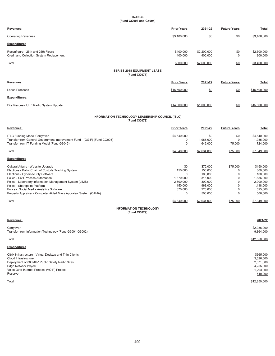## **FINANCE (Fund CO003 and G5004)**

| Revenues:                                                                      | <b>Prior Years</b>   | 2021-22                | <b>Future Years</b>   | <b>Total</b>           |
|--------------------------------------------------------------------------------|----------------------|------------------------|-----------------------|------------------------|
| <b>Operating Revenues</b>                                                      | \$3,400,000          | \$0                    | \$0                   | \$3,400,000            |
| <b>Expenditures</b>                                                            |                      |                        |                       |                        |
| Reconfigure - 25th and 26th Floors<br>Credit and Collection System Replacement | \$400,000<br>400,000 | \$2,200,000<br>400,000 | \$0<br>$\overline{0}$ | \$2,600,000<br>800,000 |
| Total                                                                          | \$800,000            | \$2,600,000            | \$0                   | \$3,400,000            |
| <b>SERIES 2018 EQUIPMENT LEASE</b><br>(Fund CO077)                             |                      |                        |                       |                        |
| Revenues:                                                                      | <b>Prior Years</b>   | 2021-22                | <b>Future Years</b>   | Total                  |
| Lease Proceeds                                                                 | \$15,500,000         | \$0                    | \$0                   | \$15,500,000           |
| <b>Expenditures:</b>                                                           |                      |                        |                       |                        |
| Fire Rescue - UHF Radio System Update                                          | \$14,500,000         | \$1,000,000            | \$0                   | \$15,500,000           |

## **INFORMATION TECHNOLOGY LEADERSHIP COUNCIL (ITLC)**

**(Fund CO078)**

| Revenues:                                                                                                                                                                                                                                                                                                                                                                                 | <b>Prior Years</b>                                                                              | 2021-22                                                                                              | <b>Future Years</b>                                                      | <b>Total</b>                                                                                                |
|-------------------------------------------------------------------------------------------------------------------------------------------------------------------------------------------------------------------------------------------------------------------------------------------------------------------------------------------------------------------------------------------|-------------------------------------------------------------------------------------------------|------------------------------------------------------------------------------------------------------|--------------------------------------------------------------------------|-------------------------------------------------------------------------------------------------------------|
| <b>ITLC Funding Model Carryover</b><br>Transfer from General Government Improvement Fund - (GGIF) (Fund CO003)<br>Transfer from IT Funding Model (Fund G3045)                                                                                                                                                                                                                             | \$4,640,000<br>0<br>$\overline{0}$                                                              | \$0<br>1,985,000<br>649,000                                                                          | \$0<br>$\Omega$<br>75,000                                                | \$4,640,000<br>1,985,000<br>724,000                                                                         |
| Total                                                                                                                                                                                                                                                                                                                                                                                     | \$4,640,000                                                                                     | \$2,634,000                                                                                          | \$75,000                                                                 | \$7,349,000                                                                                                 |
| <b>Expenditures</b>                                                                                                                                                                                                                                                                                                                                                                       |                                                                                                 |                                                                                                      |                                                                          |                                                                                                             |
| Cultural Affairs - Website Upgrade<br>Elections - Ballot Chain of Custody Tracking System<br>Elections - Cybersecurity Software<br>Police - Civil Process Automation<br>Police - Laboratory Information Management System (LIMS)<br>Police - Sharepoint Platform<br>Police - Social Media Analytics Software<br>Property Appraiser - Computer Aided Mass Appraisal System (CAMA)<br>Total | \$0<br>150,000<br>1,370,000<br>2,600,000<br>150,000<br>370,000<br>$\overline{0}$<br>\$4,640,000 | \$75,000<br>150,000<br>100,000<br>316,000<br>300,000<br>968,000<br>225,000<br>500,000<br>\$2,634,000 | \$75,000<br>$\Omega$<br>0<br>0<br>$\Omega$<br>$\overline{0}$<br>\$75,000 | \$150,000<br>300,000<br>100,000<br>1,686,000<br>2,900,000<br>1,118,000<br>595,000<br>500,000<br>\$7,349,000 |
| <b>INFORMATION TECHNOLOGY</b><br>(Fund CO079)                                                                                                                                                                                                                                                                                                                                             |                                                                                                 |                                                                                                      |                                                                          |                                                                                                             |
| Revenues:                                                                                                                                                                                                                                                                                                                                                                                 |                                                                                                 |                                                                                                      |                                                                          | 2021-22                                                                                                     |
| Carryover                                                                                                                                                                                                                                                                                                                                                                                 |                                                                                                 |                                                                                                      |                                                                          | \$2.986.000                                                                                                 |

| Transfer from Information Technology (Fund G6001-G6002)                                                                                                                                                              | 9,864,000                                                                |
|----------------------------------------------------------------------------------------------------------------------------------------------------------------------------------------------------------------------|--------------------------------------------------------------------------|
| Total                                                                                                                                                                                                                | \$12,850,000                                                             |
| <b>Expenditures</b>                                                                                                                                                                                                  |                                                                          |
| Citrix Infrastructure - Virtual Desktop and Thin Clients<br>Cloud Infrastructure<br>Deployment of 800MHZ Public Safety Radio Sites<br>Edge Network Project<br>Voice Over Internet Protocol (VOIP) Project<br>Reserve | \$365,000<br>3,626,000<br>2,671,000<br>4,255,000<br>1,293,000<br>640,000 |
| Total                                                                                                                                                                                                                | \$12,850,000                                                             |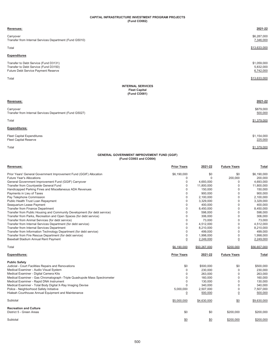## **CAPITAL INFRASTRUCTURE INVESTMENT PROGRAM PROJECTS (Fund CO082)**

## **Revenues: 2021-22** Carryover \$6,287,000 Transfer from Internal Services Department (Fund G5010) 7,346,000 Total \$13,633,000 **Expenditures** Transfer to Debt Service (Fund D3131) \$1,059,000 Transfer to Debt Service (Fund D3150) 5,832,000 Future Debt Service Payment Reserve 6,742,000 Total \$13,633,000 **Revenues: 2021-22** Carryover \$879,000 Transfer from Internal Services Department (Fund G5027) 600,000 states and the state of the state of the state of the state of the state of the state of the state of the state of the state of the state of the state of the **INTERNAL SERVICES Fleet Capital (Fund CO081)**

Total \$1,379,000

## **Expenditures:**

Fleet Capital Expenditures \$1,154,000 Fleet Capital Reserve 225,000 and the serve and the server of the server and the server and the server of the server of the server of the server of the server of the server of the server of the server of the server of the

Total \$1,379,000

## **GENERAL GOVERNMENT IMPROVEMENT FUND (GGIF) (Fund CO003 and CO004)**

| Revenues:                                                                  | <b>Prior Years</b> | 2021-22      | <b>Future Years</b> | Total        |
|----------------------------------------------------------------------------|--------------------|--------------|---------------------|--------------|
| Prior Years' General Government Improvement Fund (GGIF) Allocation         | \$6,190,000        | \$0          | \$0                 | \$6,190,000  |
| <b>Future Year's Allocations</b>                                           | 0                  | $\mathbf 0$  | 200,000             | 200,000      |
| General Government Improvement Fund (GGIF) Carryover                       | 0                  | 4.693.000    | 0                   | 4.693.000    |
| Transfer from Countywide General Fund                                      | $\Omega$           | 11,800,000   | $\mathbf 0$         | 11,800,000   |
| Handicapped Parking Fines and Miscellaneous ADA Revenues                   | $\Omega$           | 150,000      | $\mathbf 0$         | 150,000      |
| Payments in Lieu of Taxes                                                  | $\Omega$           | 900,000      | $\mathbf 0$         | 900,000      |
| Pay Telephone Commission                                                   | 0                  | 2,100,000    | $\mathbf 0$         | 2,100,000    |
| Public Health Trust Loan Repayment                                         | 0                  | 3,329,000    | $\mathbf 0$         | 3,329,000    |
| Seaguarium Lease Payment                                                   | $\Omega$           | 400,000      | 0                   | 400,000      |
| Transfer from Finance Department                                           | 0                  | 8,450,000    | $\mathbf 0$         | 8,450,000    |
| Transfer from Public Housing and Community Development (for debt service)  | 0                  | 598,000      | $\mathbf 0$         | 598.000      |
| Transfer from Parks, Recreation and Open Spaces (for debt service)         | 0                  | 306,000      | $\mathbf 0$         | 306,000      |
| Transfer from Animal Services (for debt service)                           | $\mathbf 0$        | 73,000       | $\mathbf 0$         | 73,000       |
| Transfer from Internal Services Department (for debt service)              | 0                  | 4,512,000    | 0                   | 4,512,000    |
| Transfer from Internal Services Department                                 | $\Omega$           | 8,210,000    | 0                   | 8,210,000    |
| Transfer from Information Technology Department (for debt service)         | 0                  | 499,000      | 0                   | 499,000      |
| Transfer from Fire Rescue Department (for debt service)                    | $\mathbf 0$        | 1,998,000    | $\mathbf 0$         | 1,998,000    |
| Baseball Stadium Annual Rent Payment                                       | $\overline{0}$     | 2,249,000    | $\overline{0}$      | 2,249,000    |
| Total                                                                      | \$6,190,000        | \$50,267,000 | \$200,000           | \$56,657,000 |
|                                                                            |                    |              |                     |              |
| <b>Expenditures:</b>                                                       | <b>Prior Years</b> | 2021-22      | <b>Future Years</b> | Total        |
| <b>Public Safety</b>                                                       |                    |              |                     |              |
| Judicial - Court Facilities Repairs and Renovations                        | \$0                | \$500,000    | \$0                 | \$500,000    |
| Medical Examiner - Audio Visual System                                     | $\mathbf 0$        | 230,000      | $\mathbf 0$         | 230,000      |
| Medical Examiner - Digital Camera Kits                                     | 0                  | 263,000      | $\mathbf 0$         | 263,000      |
| Medical Examiner - Gas Chromatograph - Triple Quadrupole Mass Spectrometer | $\Omega$           | 160,000      | $\mathbf 0$         | 160,000      |
| Medical Examiner - Rapid DNA Instrument                                    | 0                  | 130,000      | $\mathbf 0$         | 130,000      |
| Medical Examiner - Total Body Digital X-Ray Imaging Devise                 | $\Omega$           | 340,000      | 0                   | 340,000      |
| Police - Neighborhood Safety Initiative                                    | 5,000,000          | 2,507,000    | $\mathbf 0$         | 7,507,000    |
| Hialeah Courthouse Annual Equipment and Maintenance                        | $\overline{0}$     | 500,000      | $\overline{0}$      | 500,000      |
| Subtotal                                                                   | \$5,000,000        | \$4,630,000  | \$0                 | \$9,630,000  |
| <b>Recreation and Culture</b>                                              |                    |              |                     |              |
| District 5 - Green Areas                                                   | \$0                | \$0          | \$200,000           | \$200,000    |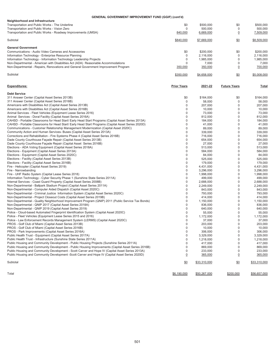## **GENERAL GOVERNMENT IMPROVEMENT FUND (GGIF) (cont'd)**

| Neighborhood and Infrastructure<br>Transportation and Public Works - The Underline<br>Transportation and Public Works - Vision Zero<br>Transportation and Public Works - Roadway Improvements (UMSA) | \$0<br>n<br>840,000 | \$500,000<br>500.000<br>6,669,000 | \$0<br>0<br>$\overline{0}$ | \$500,000<br>500,000<br>7,509,000 |
|------------------------------------------------------------------------------------------------------------------------------------------------------------------------------------------------------|---------------------|-----------------------------------|----------------------------|-----------------------------------|
| Subtotal                                                                                                                                                                                             | \$840,000           | \$7,669,000                       | \$0                        | \$8,509,000                       |
| <b>General Government</b>                                                                                                                                                                            |                     |                                   |                            |                                   |
| Communications - Audio Video Cameras and Accessories                                                                                                                                                 | \$0                 | \$200.000                         | \$0                        | \$200,000                         |
| Information Technology - Enterprise Resource Planning                                                                                                                                                | 0                   | 2.116.000                         | 0                          | 2.116.000                         |
| Information Technology - Information Technology Leadership Projects                                                                                                                                  | C                   | 1,985,000                         | $\Omega$                   | 1,985,000                         |
| Non-Departmental - American with Disabilities Act (ADA) Reasonable Accommodations                                                                                                                    |                     | 7.000                             | 0                          | 7.000                             |
| Non-Departmental - Repairs, Renovations and General Government Improvement Program                                                                                                                   | 350,000             | 350,000                           | $\overline{0}$             | 700,000                           |
| Subtotal                                                                                                                                                                                             | \$350,000           | \$4,658,000                       | \$0                        | \$5,008,000                       |
|                                                                                                                                                                                                      |                     |                                   |                            |                                   |
| <b>Expenditures:</b>                                                                                                                                                                                 | <b>Prior Years</b>  | 2021-22                           | <b>Future Years</b>        | <b>Total</b>                      |
| <b>Debt Service</b>                                                                                                                                                                                  |                     |                                   |                            |                                   |
| 311 Answer Center (Capital Asset Series 2013B)                                                                                                                                                       | \$0                 | \$164,000                         | \$0                        | \$164,000                         |
| 311 Answer Center (Capital Asset Series 2016B)                                                                                                                                                       |                     | 58,000                            | $\Omega$                   | 58,000                            |
| Americans with Disabilities Act (Capital Asset Series 2013B)                                                                                                                                         |                     | 207.000                           | 0                          | 207.000                           |
| Americans with Disabilities Act (Capital Asset Series 2016B)                                                                                                                                         |                     | 10,000                            | $\Omega$                   | 10.000                            |
| Animal Services - Fleet Vehicles (Equipment Lease Series 2016)                                                                                                                                       |                     | 73,000                            | 0                          | 73,000                            |
| Animal Services - Doral Facility (Capital Asset Series 2016A)                                                                                                                                        |                     | 812.000                           | $\Omega$                   | 812,000                           |
| CAHSD - Portable Classrooms for Head Start/ Early Head Start Programs (Capital Asset Series 2013A)                                                                                                   |                     | 184.000                           | 0                          | 184.000                           |
| CAHSD - Portable Classrooms for Head Start/ Early Head Start Programs (Capital Asset Series 2020D)<br>Communications - Customer Relationship Management Modernization (Capital Asset 2020C)          |                     | 41.000<br>89,000                  | $\Omega$<br>0              | 41,000<br>89,000                  |

| Corrections and Rehabilitation - Fire Systems Phase 4 (Capital Asset Series 2016B)                  | 0 | 716,000   | 0 | 716,000   |
|-----------------------------------------------------------------------------------------------------|---|-----------|---|-----------|
| Dade County Courthouse Façade Repair (Capital Asset Series 2013B)                                   |   | 654.000   |   | 654.000   |
| Dade County Courthouse Façade Repair (Capital Asset Series 2016B)                                   |   | 27,000    |   | 27,000    |
| Elections - ADA Voting Equipment (Capital Asset Series 2018A)                                       |   | 513.000   |   | 513,000   |
| Elections - Equipment (Capital Asset Series 2013A)                                                  |   | 584.000   |   | 584.000   |
| Elections - Equipment (Capital Asset Series 2020C)                                                  |   | 84,000    |   | 84,000    |
| Elections - Facility (Capital Asset Series 2013B)                                                   |   | 525,000   |   | 525,000   |
| Elections - Facility (Capital Asset Series 2016B)                                                   |   | 179,000   |   | 179,000   |
| Fire - Helicopter (Capital Asset Series 2019)                                                       | O | 4,431,000 |   | 4,431,000 |
| Fire - Narrowbanding                                                                                |   | 3,296,000 |   | 3,296,000 |
| Fire - UHF Radio System (Capital Lease Series 2018)                                                 |   | 1,998,000 |   | 1,998,000 |
| Information Technology - Cyber Security Phase 1 (Sunshine State Series 2011A)                       |   | 499,000   |   | 499,000   |
| Internal Services - Coast Guard Property (Capital Asset Series 2008B)                               |   | 2,688,000 |   | 2,688,000 |
| Non-Departmental - Ballpark Stadium Project (Capital Asset Series 2011A)                            |   | 2,249,000 |   | 2,249,000 |
| Non-Departmental - Computer Aided Dispatch (Capital Asset 2020C)                                    |   | 843,000   |   | 843,000   |
| Non-Departmental - Criminal Justice Information System (Capital Asset Series 2020C)                 |   | 793,000   |   | 793,000   |
| Non-Departmental - Project Closeout Costs (Capital Asset Series 2019B)                              |   | 414,000   |   | 414,000   |
| Non-Departmental - Quality Neighborhood Improvement Program (QNIP) 2011 (Public Service Tax Bonds)  |   | 1,150,000 |   | 1,150,000 |
| Non-Departmental - QNIP 2017 (Capital Asset Series 2018A)                                           |   | 836,000   |   | 836,000   |
| Non-Departmental - QNIP 2019 (Capital Asset Series 2019)                                            |   | 640.000   |   | 640,000   |
| Police - Cloud-based Automated Fingerprint Identification System (Capital Asset 2020C)              |   | 55,000    |   | 55,000    |
| Police - Fleet Vehicles (Equipment Lease Series 2015 and 2016)                                      |   | 1,172,000 |   | 1,172,000 |
| Police - Law Enforcement Records Management System (LERMS) (Capital Asset 2020C)                    |   | 37,000    |   | 37,000    |
| PROS - Golf Club of Miami (Capital Asset Series 2013B)                                              |   | 203,000   |   | 203,000   |
| PROS - Golf Club of Miami (Capital Asset Series 2016B)                                              |   | 10,000    |   | 10,000    |
| PROS - Park Improvements (Capital Asset Series 2016A)                                               |   | 306,000   |   | 306,000   |
| Public Health Trust - Equipment (Capital Asset Series 2017A)                                        |   | 3.329.000 |   | 3,329,000 |
| Public Health Trust - Infrastructure (Sunshine State Series 2011A)                                  |   | 1,218,000 |   | 1,218,000 |
| Public Housing and Community Development - Public Housing Projects (Sunshine Series 2011A)          |   | 417.000   |   | 417.000   |
| Public Housing and Community Development - Public Housing Improvements (Capital Asset Series 2016B) |   | 869,000   |   | 869,000   |
| Public Housing and Community Development - Scott Carver and Hope IV (Capital Asset Series 2013A)    |   | 233,000   |   | 233,000   |
| Public Housing and Community Development -Scott Carver and Hope IV (Capital Asset Series 2020D)     |   | 365.000   |   | 365,000   |

 ${\frac{\$0}{\$33,310,000}}$   ${\frac{\$33,310,000}{\$33,310,000}}$   ${\frac{\$33,310,000}{\$33,310,000}}$ 

Total \$6,190,000 \$50,267,000 \$50,267,000 \$50,267,000 \$50,267,000 \$50,267,000 \$50,267,000 \$56,657,000 \$56,657,000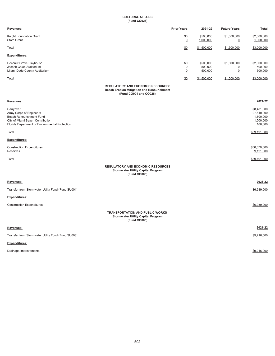## **CULTURAL AFFAIRS (Fund CO026)**

| Revenues:                                                                                                                                              | <b>Prior Years</b>                                                                                                      | 2021-22                         | <b>Future Years</b>                 | Total                                                          |
|--------------------------------------------------------------------------------------------------------------------------------------------------------|-------------------------------------------------------------------------------------------------------------------------|---------------------------------|-------------------------------------|----------------------------------------------------------------|
| Knight Foundation Grant<br><b>State Grant</b>                                                                                                          | \$0<br>$\overline{0}$                                                                                                   | \$500,000<br>1,000,000          | \$1,500,000<br>$\overline{0}$       | \$2,000,000<br>1,000,000                                       |
| Total                                                                                                                                                  | \$0                                                                                                                     | \$1,500,000                     | \$1,500,000                         | \$3,000,000                                                    |
| Expenditures:                                                                                                                                          |                                                                                                                         |                                 |                                     |                                                                |
| Coconut Grove Playhouse<br>Joseph Caleb Auditorium<br>Miami-Dade County Auditorium                                                                     | \$0<br>$\mathbf 0$<br>$\underline{0}$                                                                                   | \$500,000<br>500,000<br>500,000 | \$1,500,000<br>0<br>$\underline{0}$ | \$2,000,000<br>500,000<br>500,000                              |
| Total                                                                                                                                                  | \$0                                                                                                                     | \$1,500,000                     | \$1,500,000                         | \$3,000,000                                                    |
|                                                                                                                                                        | <b>REGULATORY AND ECONOMIC RESOURCES</b><br><b>Beach Erosion Mitigation and Renourishment</b><br>(Fund CO001 and CO026) |                                 |                                     |                                                                |
| Revenues:                                                                                                                                              |                                                                                                                         |                                 |                                     | 2021-22                                                        |
| Carryover<br>Army Corps of Engineers<br>Beach Renourishment Fund<br>City of Miami Beach Contribution<br>Florida Department of Environmental Protection |                                                                                                                         |                                 |                                     | \$8,481,000<br>27,610,000<br>1,500,000<br>1,500,000<br>100,000 |
| Total                                                                                                                                                  |                                                                                                                         |                                 |                                     | \$39,191,000                                                   |
| Expenditures:                                                                                                                                          |                                                                                                                         |                                 |                                     |                                                                |
| <b>Construction Expenditures</b><br>Reserves                                                                                                           |                                                                                                                         |                                 |                                     | \$30,070,000<br>9,121,000                                      |
| Total                                                                                                                                                  |                                                                                                                         |                                 |                                     | \$39,191,000                                                   |
|                                                                                                                                                        | <b>REGULATORY AND ECONOMIC RESOURCES</b><br><b>Stormwater Utility Capital Program</b><br>(Fund CO005)                   |                                 |                                     |                                                                |
| Revenues:                                                                                                                                              |                                                                                                                         |                                 |                                     | 2021-22                                                        |
| Transfer from Stormwater Utility Fund (Fund SU001)                                                                                                     |                                                                                                                         |                                 |                                     | \$6,939,000                                                    |
| Expenditures:                                                                                                                                          |                                                                                                                         |                                 |                                     |                                                                |
| <b>Construction Expenditures</b>                                                                                                                       |                                                                                                                         |                                 |                                     | \$6,939,000                                                    |
|                                                                                                                                                        | <b>TRANSPORTATION AND PUBLIC WORKS</b><br><b>Stormwater Utility Capital Program</b><br>(Fund CO005)                     |                                 |                                     |                                                                |
| Revenues:                                                                                                                                              |                                                                                                                         |                                 |                                     | 2021-22                                                        |
| Transfer from Stormwater Utility Fund (Fund SU003)                                                                                                     |                                                                                                                         |                                 |                                     | \$9,216,000                                                    |
| Expenditures:                                                                                                                                          |                                                                                                                         |                                 |                                     |                                                                |
| Drainage Improvements                                                                                                                                  |                                                                                                                         |                                 |                                     | \$9,216,000                                                    |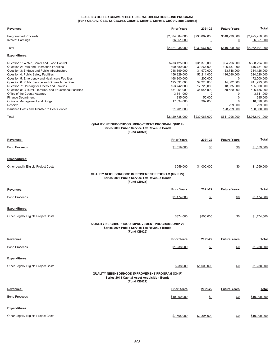### **BUILDING BETTER COMMUNITIES GENERAL OBLIGATION BOND PROGRAM (Fund CBA012, CBB012, CBC012, CBD012, CBE012, CBF012, CBG012 and CBH012)**

| <b>Prior Years</b>                                                                                                                                                | 2021-22                                                                                                                                                | <b>Future Years</b>                                                                                                                                            | Total                                                                                                                                                                                  |
|-------------------------------------------------------------------------------------------------------------------------------------------------------------------|--------------------------------------------------------------------------------------------------------------------------------------------------------|----------------------------------------------------------------------------------------------------------------------------------------------------------------|----------------------------------------------------------------------------------------------------------------------------------------------------------------------------------------|
| \$2,084,684,000<br>36,351,000                                                                                                                                     | \$230,067,000<br>$\overline{0}$                                                                                                                        | \$610,999,000<br>$\overline{0}$                                                                                                                                | \$2,925,750,000<br>36,351,000                                                                                                                                                          |
| \$2,121,035,000                                                                                                                                                   | \$230,067,000                                                                                                                                          | \$610,999,000                                                                                                                                                  | \$2,962,101,000                                                                                                                                                                        |
|                                                                                                                                                                   |                                                                                                                                                        |                                                                                                                                                                |                                                                                                                                                                                        |
| \$233,125,000<br>490,380,000<br>248,399,000<br>156,329,000<br>168,300,000<br>195,391,000<br>153,742,000<br>431,961,000<br>3,541,000<br>235,000<br>17,634,000<br>0 | \$31,373,000<br>30,264,000<br>31,979,000<br>52,211,000<br>4,200,000<br>32,220,000<br>12,723,000<br>34,655,000<br>$\mathbf 0$<br>50,000<br>392,000<br>0 | \$94,296,000<br>126, 137, 000<br>53,748,000<br>116,080,000<br>$\Omega$<br>14,382,000<br>18,535,000<br>59,520,000<br>0<br>$\mathbf 0$<br>$\mathbf 0$<br>299,000 | \$358,794,000<br>646,781,000<br>334,126,000<br>324,620,000<br>172,500,000<br>241,993,000<br>185,000,000<br>526,136,000<br>3,541,000<br>285,000<br>18,026,000<br>299,000<br>150,000,000 |
|                                                                                                                                                                   |                                                                                                                                                        |                                                                                                                                                                | \$2,962,101,000                                                                                                                                                                        |
| <b>QUALITY NEIGHBORHOOD IMPROVEMENT PROGRAM (QNIP II)</b><br>Series 2002 Public Service Tax Revenue Bonds<br>(Fund CB024)                                         |                                                                                                                                                        |                                                                                                                                                                |                                                                                                                                                                                        |
| <b>Prior Years</b>                                                                                                                                                | 2021-22                                                                                                                                                | <b>Future Years</b>                                                                                                                                            | <u>Total</u>                                                                                                                                                                           |
| \$1,559,000                                                                                                                                                       | \$0                                                                                                                                                    | <u>\$0</u>                                                                                                                                                     | \$1,559,000                                                                                                                                                                            |
|                                                                                                                                                                   |                                                                                                                                                        |                                                                                                                                                                |                                                                                                                                                                                        |
| \$559,000                                                                                                                                                         | \$1,000,000                                                                                                                                            | \$0                                                                                                                                                            | \$1,559,000                                                                                                                                                                            |
| QUALITY NEIGHBORHOOD IMPROVEMENT PROGRAM (QNIP IV)<br>Series 2006 Public Service Tax Revenue Bonds<br>(Fund CB025)                                                |                                                                                                                                                        |                                                                                                                                                                |                                                                                                                                                                                        |
| <b>Prior Years</b>                                                                                                                                                | 2021-22                                                                                                                                                | <b>Future Years</b>                                                                                                                                            | Total                                                                                                                                                                                  |
| \$1,174,000                                                                                                                                                       | <u>\$0</u>                                                                                                                                             | 80                                                                                                                                                             | <u>\$1,174,000</u>                                                                                                                                                                     |
|                                                                                                                                                                   |                                                                                                                                                        |                                                                                                                                                                |                                                                                                                                                                                        |
| \$374,000                                                                                                                                                         | \$800,000                                                                                                                                              | <u>\$0</u>                                                                                                                                                     | \$1,174,000                                                                                                                                                                            |
| <b>QUALITY NEIGHBORHOOD IMPROVEMENT PROGRAM (QNIP V)</b><br>Series 2007 Public Service Tax Revenue Bonds<br>(Fund CB026)                                          |                                                                                                                                                        |                                                                                                                                                                |                                                                                                                                                                                        |
| <b>Prior Years</b>                                                                                                                                                | 2021-22                                                                                                                                                | <b>Future Years</b>                                                                                                                                            | <u>Total</u>                                                                                                                                                                           |
| \$1,238,000                                                                                                                                                       | $\underline{\$0}$                                                                                                                                      | \$0                                                                                                                                                            | \$1,238,000                                                                                                                                                                            |
|                                                                                                                                                                   |                                                                                                                                                        |                                                                                                                                                                |                                                                                                                                                                                        |
| \$238,000                                                                                                                                                         | \$1,000,000                                                                                                                                            | 80                                                                                                                                                             | \$1,238,000                                                                                                                                                                            |
| <b>QUALITY NEIGHBORHOOD IMPROVEMENT PROGRAM (QNIP)</b><br><b>Series 2018 Capital Asset Acquisition Bonds</b><br>(Fund CB027)                                      |                                                                                                                                                        |                                                                                                                                                                |                                                                                                                                                                                        |
| <b>Prior Years</b>                                                                                                                                                | 2021-22                                                                                                                                                | <b>Future Years</b>                                                                                                                                            | <u>Total</u>                                                                                                                                                                           |
| \$10,000,000                                                                                                                                                      | \$0                                                                                                                                                    | 80                                                                                                                                                             | \$10,000,000                                                                                                                                                                           |
|                                                                                                                                                                   |                                                                                                                                                        |                                                                                                                                                                |                                                                                                                                                                                        |
| \$7,605,000                                                                                                                                                       | \$2,395,000                                                                                                                                            | <u>\$0</u>                                                                                                                                                     | \$10,000,000                                                                                                                                                                           |
|                                                                                                                                                                   | 21,701,000<br>\$2,120,738,000                                                                                                                          | $\overline{0}$<br>\$230,067,000                                                                                                                                | 128,299,000<br>\$611,296,000                                                                                                                                                           |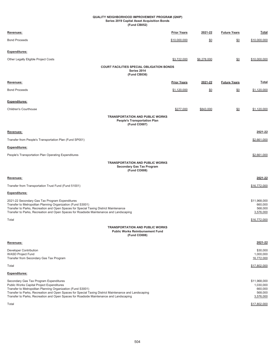#### **(Fund CB052) Series 2019 Capital Asset Acquisition Bonds QUALITY NEIGHBORHOOD IMPROVEMENT PROGRAM (QNIP)**

| Revenues:                                                                                                                                                                                                                                                                                                                                             | <b>Prior Years</b> | 2021-22     | <b>Future Years</b> | Total                                                        |
|-------------------------------------------------------------------------------------------------------------------------------------------------------------------------------------------------------------------------------------------------------------------------------------------------------------------------------------------------------|--------------------|-------------|---------------------|--------------------------------------------------------------|
| <b>Bond Proceeds</b>                                                                                                                                                                                                                                                                                                                                  | \$10,000,000       | \$0         | \$0                 | \$10,000,000                                                 |
| Expenditures:                                                                                                                                                                                                                                                                                                                                         |                    |             |                     |                                                              |
| Other Legally Eligible Project Costs                                                                                                                                                                                                                                                                                                                  | \$3,722,000        | \$6,278,000 | \$0                 | \$10,000,000                                                 |
| <b>COURT FACILITIES SPECIAL OBLIGATION BONDS</b><br>Series 2014<br>(Fund CB036)                                                                                                                                                                                                                                                                       |                    |             |                     |                                                              |
| Revenues:                                                                                                                                                                                                                                                                                                                                             | <b>Prior Years</b> | 2021-22     | <b>Future Years</b> | Total                                                        |
| <b>Bond Proceeds</b>                                                                                                                                                                                                                                                                                                                                  | \$1,120,000        | \$0         | <u>\$0</u>          | \$1,120,000                                                  |
| <b>Expenditures:</b>                                                                                                                                                                                                                                                                                                                                  |                    |             |                     |                                                              |
| <b>Children's Courthouse</b>                                                                                                                                                                                                                                                                                                                          | \$277,000          | \$843,000   | \$0                 | \$1,120,000                                                  |
| <b>TRANSPORTATION AND PUBLIC WORKS</b><br><b>People's Transportation Plan</b><br>(Fund CO007)                                                                                                                                                                                                                                                         |                    |             |                     |                                                              |
| Revenues:                                                                                                                                                                                                                                                                                                                                             |                    |             |                     | 2021-22                                                      |
| Transfer from People's Transportation Plan (Fund SP001)                                                                                                                                                                                                                                                                                               |                    |             |                     | \$2,661,000                                                  |
| <b>Expenditures:</b>                                                                                                                                                                                                                                                                                                                                  |                    |             |                     |                                                              |
| People's Transportation Plan Operating Expenditures                                                                                                                                                                                                                                                                                                   |                    |             |                     | \$2,661,000                                                  |
| <b>TRANSPORTATION AND PUBLIC WORKS</b><br><b>Secondary Gas Tax Program</b><br>(Fund CO008)                                                                                                                                                                                                                                                            |                    |             |                     |                                                              |
| Revenues:                                                                                                                                                                                                                                                                                                                                             |                    |             |                     | 2021-22                                                      |
| Transfer from Transportation Trust Fund (Fund 51001)                                                                                                                                                                                                                                                                                                  |                    |             |                     | \$16,772,000                                                 |
| Expenditures:                                                                                                                                                                                                                                                                                                                                         |                    |             |                     |                                                              |
| 2021-22 Secondary Gas Tax Program Expenditures<br>Transfer to Metropolitan Planning Organization (Fund S3001)<br>Transfer to Parks, Recreation and Open Spaces for Special Taxing District Maintenance<br>Transfer to Parks, Recreation and Open Spaces for Roadside Maintenance and Landscaping                                                      |                    |             |                     | \$11,968,000<br>660,000<br>568,000<br>3,576,000              |
| Total                                                                                                                                                                                                                                                                                                                                                 |                    |             |                     | \$16,772,000                                                 |
| <b>TRANSPORTATION AND PUBLIC WORKS</b><br><b>Public Works Reimbursement Fund</b><br>(Fund CO008)                                                                                                                                                                                                                                                      |                    |             |                     |                                                              |
| Revenues:                                                                                                                                                                                                                                                                                                                                             |                    |             |                     | 2021-22                                                      |
| Developer Contribution<br><b>WASD Project Fund</b><br>Transfer from Secondary Gas Tax Program                                                                                                                                                                                                                                                         |                    |             |                     | \$30,000<br>1,000,000<br>16,772,000                          |
| Total                                                                                                                                                                                                                                                                                                                                                 |                    |             |                     | \$17,802,000                                                 |
| Expenditures:                                                                                                                                                                                                                                                                                                                                         |                    |             |                     |                                                              |
| Secondary Gas Tax Program Expenditures<br>Public Works Capital Project Expenditures<br>Transfer to Metropolitan Planning Organization (Fund S3001)<br>Transfer to Parks, Recreation and Open Spaces for Special Taxing District Maintenance and Landscaping<br>Transfer to Parks, Recreation and Open Spaces for Roadside Maintenance and Landscaping |                    |             |                     | \$11,968,000<br>1,030,000<br>660,000<br>568,000<br>3,576,000 |
| Total                                                                                                                                                                                                                                                                                                                                                 |                    |             |                     | \$17,802,000                                                 |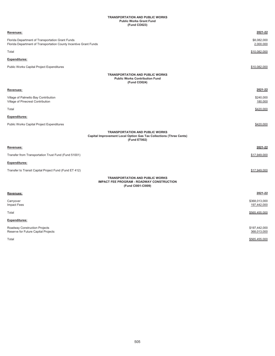## **TRANSPORTATION AND PUBLIC WORKS Public Works Grant Fund (Fund CO023)**

| Revenues:                                                                                                                    | 2021-22                      |
|------------------------------------------------------------------------------------------------------------------------------|------------------------------|
| Florida Department of Transportation Grant Funds<br>Florida Department of Transportation County Incentive Grant Funds        | \$8,082,000<br>2,000,000     |
| Total                                                                                                                        | \$10,082,000                 |
| Expenditures:                                                                                                                |                              |
| Public Works Capital Project Expenditures                                                                                    | \$10.082.000                 |
| <b>TRANSPORTATION AND PUBLIC WORKS</b><br><b>Public Works Contribution Fund</b><br>(Fund CO024)                              |                              |
| Revenues:                                                                                                                    | 2021-22                      |
| Village of Palmetto Bay Contribution<br>Village of Pinecrest Contribution                                                    | \$240,000<br>180,000         |
| Total                                                                                                                        | \$420,000                    |
| <b>Expenditures:</b>                                                                                                         |                              |
| Public Works Capital Project Expenditures                                                                                    | \$420,000                    |
| <b>TRANSPORTATION AND PUBLIC WORKS</b><br>Capital Improvement Local Option Gas Tax Collections (Three Cents)<br>(Fund ET002) |                              |
| Revenues:                                                                                                                    | 2021-22                      |
| Transfer from Transportation Trust Fund (Fund 51001)                                                                         | \$17,949,000                 |
| <b>Expenditures:</b>                                                                                                         |                              |
| Transfer to Transit Capital Project Fund (Fund ET 412)                                                                       | \$17,949,000                 |
| <b>TRANSPORTATION AND PUBLIC WORKS</b><br><b>IMPACT FEE PROGRAM - ROADWAY CONSTRUCTION</b><br>(Fund Cl001-Cl009)             |                              |
| Revenues:                                                                                                                    | 2021-22                      |
| Carryover<br><b>Impact Fees</b>                                                                                              | \$368,013,000<br>197,442,000 |
| Total                                                                                                                        | \$565,455,000                |
| <b>Expenditures:</b>                                                                                                         |                              |
| Roadway Construction Projects<br>Reserve for Future Capital Projects                                                         | \$197,442,000<br>368,013,000 |
| Total                                                                                                                        | \$565,455,000                |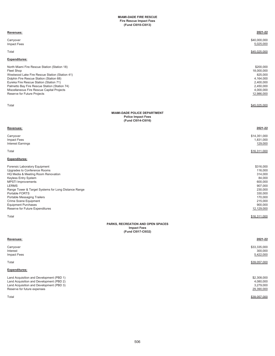| Revenues:                                                                                                                                                                                                                                                                                                                                                                   | 2021-22                                                                                                                              |
|-----------------------------------------------------------------------------------------------------------------------------------------------------------------------------------------------------------------------------------------------------------------------------------------------------------------------------------------------------------------------------|--------------------------------------------------------------------------------------------------------------------------------------|
| Carryover<br>Impact Fees                                                                                                                                                                                                                                                                                                                                                    | \$40,000,000<br>5,025,000                                                                                                            |
| Total                                                                                                                                                                                                                                                                                                                                                                       | \$45,025,000                                                                                                                         |
| <b>Expenditures:</b>                                                                                                                                                                                                                                                                                                                                                        |                                                                                                                                      |
| North Miami Fire Rescue Station (Station 18)<br><b>Fleet Shop</b><br>Westwood Lake Fire Rescue Station (Station 41)<br>Dolphin Fire Rescue Station (Station 68)<br>Eureka Fire Rescue Station (Station 71)<br>Palmetto Bay Fire Rescue Station (Station 74)<br>Miscellaneous Fire Rescue Capital Projects<br>Reserve for Future Projects                                    | \$200,000<br>18,000,000<br>825,000<br>4,164,000<br>2,400,000<br>2,450,000<br>4,000,000<br>12,986,000                                 |
| Total                                                                                                                                                                                                                                                                                                                                                                       | \$45,025,000                                                                                                                         |
| <b>MIAMI-DADE POLICE DEPARTMENT</b><br><b>Police Impact Fees</b><br>(Fund Cl014-Cl016)                                                                                                                                                                                                                                                                                      |                                                                                                                                      |
| Revenues:                                                                                                                                                                                                                                                                                                                                                                   | 2021-22                                                                                                                              |
| Carryover<br>Impact Fees<br><b>Interest Earnings</b>                                                                                                                                                                                                                                                                                                                        | \$14,351,000<br>1,831,000<br>129,000                                                                                                 |
| Total                                                                                                                                                                                                                                                                                                                                                                       | \$16,311,000                                                                                                                         |
| <b>Expenditures:</b>                                                                                                                                                                                                                                                                                                                                                        |                                                                                                                                      |
| Forensic Laboratory Equipment<br>Upgrades to Conference Rooms<br>HQ Media & Meeting Room Renovation<br>Keyless Entry System<br><b>MPSTI</b> Improvements<br><b>LERMS</b><br>Range Tower & Target Systems for Long Distance Range<br>Portable FORTS<br>Portable Messaging Trailers<br>Crime Scene Equipment<br><b>Equipment Purchases</b><br>Reserve for Future Expenditures | \$316,000<br>116,000<br>314,000<br>84,000<br>600,000<br>907,000<br>230,000<br>330,000<br>170,000<br>215,000<br>900,000<br>12,129,000 |
| Total                                                                                                                                                                                                                                                                                                                                                                       | \$16,311,000                                                                                                                         |
| PARKS, RECREATION AND OPEN SPACES<br><b>Impact Fees</b><br>(Fund Cl017-Cl032)                                                                                                                                                                                                                                                                                               |                                                                                                                                      |
| Revenues:                                                                                                                                                                                                                                                                                                                                                                   | 2021-22                                                                                                                              |
| Carryover<br>Interest<br>Impact Fees                                                                                                                                                                                                                                                                                                                                        | \$33,335,000<br>300,000<br>5,422,000                                                                                                 |
| Total                                                                                                                                                                                                                                                                                                                                                                       | \$39,057,000                                                                                                                         |
| Expenditures:                                                                                                                                                                                                                                                                                                                                                               |                                                                                                                                      |
| Land Acquisition and Development (PBD 1)<br>Land Acquisition and Development (PBD 2)<br>Land Acquisition and Development (PBD 3)                                                                                                                                                                                                                                            | \$2,308,000<br>4,080,000<br>3,279,000                                                                                                |

Reserve for future expenses 29,390,000 networks are also assembled to the control of the control of the control of the control of the control of the control of the control of the control of the control of the control of th

Total \$39,057,000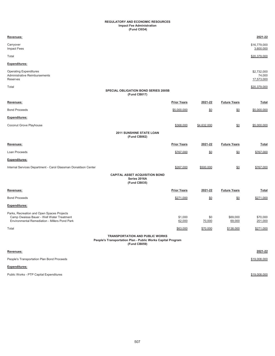## **Impact Fee Administration (Fund CI034) REGULATORY AND ECONOMIC RESOURCES**

| Revenues:                                                                                                                                |                                                                                                                       |                   |                     | 2021-22                             |
|------------------------------------------------------------------------------------------------------------------------------------------|-----------------------------------------------------------------------------------------------------------------------|-------------------|---------------------|-------------------------------------|
| Carryover<br><b>Impact Fees</b>                                                                                                          |                                                                                                                       |                   |                     | \$16,779,000<br>3,600,000           |
| Total                                                                                                                                    |                                                                                                                       |                   |                     | \$20,379,000                        |
| Expenditures:                                                                                                                            |                                                                                                                       |                   |                     |                                     |
| <b>Operating Expenditures</b><br>Administrative Reimbursements<br>Reserves                                                               |                                                                                                                       |                   |                     | \$2,732,000<br>74,000<br>17,573,000 |
| Total                                                                                                                                    |                                                                                                                       |                   |                     | \$20,379,000                        |
|                                                                                                                                          | SPECIAL OBLIGATION BOND SERIES 2005B<br>(Fund CB017)                                                                  |                   |                     |                                     |
| Revenues:                                                                                                                                | <b>Prior Years</b>                                                                                                    | 2021-22           | <b>Future Years</b> | Total                               |
| <b>Bond Proceeds</b>                                                                                                                     | \$5,000,000                                                                                                           | $\underline{\$0}$ | $\underline{\$0}$   | \$5,000,000                         |
| Expenditures:                                                                                                                            |                                                                                                                       |                   |                     |                                     |
| Coconut Grove Playhouse                                                                                                                  | \$368,000                                                                                                             | \$4,632,000       | $\underline{\$0}$   | \$5,000,000                         |
|                                                                                                                                          | <b>2011 SUNSHINE STATE LOAN</b><br>(Fund CB062)                                                                       |                   |                     |                                     |
| Revenues:                                                                                                                                | <b>Prior Years</b>                                                                                                    | 2021-22           | <b>Future Years</b> | <b>Total</b>                        |
| Loan Proceeds                                                                                                                            | \$767,000                                                                                                             | \$0               | $\underline{\$0}$   | \$767,000                           |
| Expenditures:                                                                                                                            |                                                                                                                       |                   |                     |                                     |
| Internal Services Department - Carol Glassman Donaldson Center                                                                           | \$267,000                                                                                                             | \$500,000         | $\underline{\$0}$   | \$767,000                           |
|                                                                                                                                          | <b>CAPITAL ASSET ACQUISITION BOND</b><br>Series 2016A<br>(Fund CB035)                                                 |                   |                     |                                     |
| Revenues:                                                                                                                                | <b>Prior Years</b>                                                                                                    | 2021-22           | <b>Future Years</b> | <b>Total</b>                        |
| <b>Bond Proceeds</b>                                                                                                                     | \$271,000                                                                                                             | \$0               | \$0                 | \$271,000                           |
| <b>Expenditures:</b>                                                                                                                     |                                                                                                                       |                   |                     |                                     |
| Parks, Recreation and Open Spaces Projects<br>Camp Owaissa Bauer - Well Water Treatment<br>Environmental Remediation - Millers Pond Park | \$1,000<br>62,000                                                                                                     | \$0<br>70,000     | \$69,000<br>69,000  | \$70,000<br>201,000                 |
| Total                                                                                                                                    | \$63,000                                                                                                              | \$70,000          | \$138,000           | \$271,000                           |
|                                                                                                                                          | <b>TRANSPORTATION AND PUBLIC WORKS</b><br>People's Transportation Plan - Public Works Capital Program<br>(Fund CB059) |                   |                     |                                     |
|                                                                                                                                          |                                                                                                                       |                   |                     |                                     |

| Revenues:                                  | 2021-22      |
|--------------------------------------------|--------------|
| People's Transportation Plan Bond Proceeds | \$19,008,000 |
| <b>Expenditures:</b>                       |              |
| Public Works - PTP Capital Expenditures    | \$19,008,000 |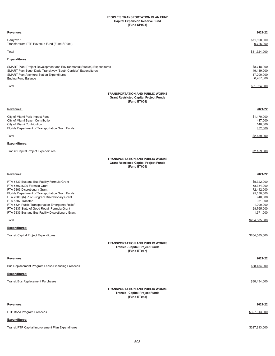## **PEOPLE'S TRANSPORTATION PLAN FUND Capital Expansion Reserve Fund (Fund SP003)**

| Revenues:                                                                                                                                                                                                                                                                                                                                                                                    | 2021-22                                                                                                             |
|----------------------------------------------------------------------------------------------------------------------------------------------------------------------------------------------------------------------------------------------------------------------------------------------------------------------------------------------------------------------------------------------|---------------------------------------------------------------------------------------------------------------------|
| Carryover<br>Transfer from PTP Revenue Fund (Fund SP001)                                                                                                                                                                                                                                                                                                                                     | \$71,598,000<br>9,726,000                                                                                           |
| Total                                                                                                                                                                                                                                                                                                                                                                                        | \$81,324,000                                                                                                        |
| Expenditures:                                                                                                                                                                                                                                                                                                                                                                                |                                                                                                                     |
| SMART Plan (Project Development and Environmental Studies) Expenditures<br>SMART Plan South Dade Transitway (South Corridor) Expenditures<br><b>SMART Plan Aventura Station Expenditures</b><br><b>Ending Fund Balance</b>                                                                                                                                                                   | \$8,718,000<br>49,139,000<br>17,200,000<br>6,267,000                                                                |
| Total                                                                                                                                                                                                                                                                                                                                                                                        | \$81,324,000                                                                                                        |
| <b>TRANSPORTATION AND PUBLIC WORKS</b><br><b>Grant Restricted Capital Project Funds</b><br>(Fund ET004)                                                                                                                                                                                                                                                                                      |                                                                                                                     |
| Revenues:                                                                                                                                                                                                                                                                                                                                                                                    | 2021-22                                                                                                             |
| City of Miami Park Impact Fees<br>City of Miami Beach Contribution<br>City of Miami Contribution<br>Florida Department of Transportation Grant Funds                                                                                                                                                                                                                                         | \$1,170,000<br>417,000<br>140,000<br>432,000                                                                        |
| Total                                                                                                                                                                                                                                                                                                                                                                                        | \$2,159,000                                                                                                         |
| Expenditures:                                                                                                                                                                                                                                                                                                                                                                                |                                                                                                                     |
| <b>Transit Capital Project Expenditures</b>                                                                                                                                                                                                                                                                                                                                                  | \$2,159,000                                                                                                         |
| <b>TRANSPORTATION AND PUBLIC WORKS</b><br><b>Grant Restricted Capital Project Funds</b><br>(Fund ET005)                                                                                                                                                                                                                                                                                      |                                                                                                                     |
| Revenues:                                                                                                                                                                                                                                                                                                                                                                                    | 2021-22                                                                                                             |
| FTA 5339 Bus and Bus Facility Formula Grant<br>FTA 5307/5309 Formula Grant<br>FTA 5309 Discretionary Grant<br>Florida Department of Transportation Grant Funds<br>FTA 20005(b) Pilot Program Discretionary Grant<br>FTA 5307 Transfer<br>FTA 5324 Public Transportation Emergency Relief<br>FTA 5337 State of Good Repair Formula Grant<br>FTA 5339 Bus and Bus Facility Discretionary Grant | \$5,322,000<br>58,384,000<br>72,442,000<br>95,130,000<br>940,000<br>931,000<br>1,000,000<br>28,765,000<br>1,671,000 |
| Total                                                                                                                                                                                                                                                                                                                                                                                        | \$264,585,000                                                                                                       |
| Expenditures:                                                                                                                                                                                                                                                                                                                                                                                |                                                                                                                     |
| <b>Transit Capital Project Expenditures</b>                                                                                                                                                                                                                                                                                                                                                  | \$264.585.000                                                                                                       |
| <b>TRANSPORTATION AND PUBLIC WORKS</b><br><b>Transit - Capital Project Funds</b><br>(Fund ET017)                                                                                                                                                                                                                                                                                             |                                                                                                                     |
| <u>Revenues:</u>                                                                                                                                                                                                                                                                                                                                                                             | 2021-22                                                                                                             |
| Bus Replacement Program Lease/Financing Proceeds                                                                                                                                                                                                                                                                                                                                             | \$38,434,000                                                                                                        |
| <b>Expenditures:</b>                                                                                                                                                                                                                                                                                                                                                                         |                                                                                                                     |
| <b>Transit Bus Replacement Purchases</b>                                                                                                                                                                                                                                                                                                                                                     | \$38,434,000                                                                                                        |
| <b>TRANSPORTATION AND PUBLIC WORKS</b><br><b>Transit - Capital Project Funds</b><br>(Fund ET042)                                                                                                                                                                                                                                                                                             |                                                                                                                     |
| Revenues:                                                                                                                                                                                                                                                                                                                                                                                    | 2021-22                                                                                                             |
| PTP Bond Program Proceeds                                                                                                                                                                                                                                                                                                                                                                    | \$327,813,000                                                                                                       |
| <b>Expenditures:</b>                                                                                                                                                                                                                                                                                                                                                                         |                                                                                                                     |
| Transit PTP Capital Improvement Plan Expenditures                                                                                                                                                                                                                                                                                                                                            | \$327,813,000                                                                                                       |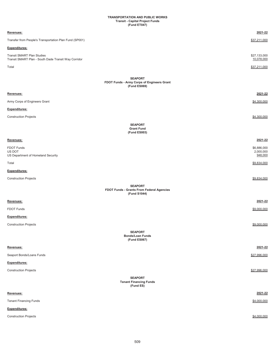### **TRANSPORTATION AND PUBLIC WORKS Transit - Capital Project Funds (Fund ET047)**

| Revenues:                                                                                 | 2021-22                             |
|-------------------------------------------------------------------------------------------|-------------------------------------|
| Transfer from People's Transportation Plan Fund (SP001)                                   | \$37,211,000                        |
| Expenditures:                                                                             |                                     |
| <b>Transit SMART Plan Studies</b><br>Transit SMART Plan - South Dade Transit Way Corridor | \$27,133,000<br>10,078,000          |
| Total                                                                                     | \$37,211,000                        |
| <b>SEAPORT</b>                                                                            |                                     |
| FDOT Funds - Army Corps of Engineers Grant<br>(Fund ES069)                                |                                     |
| Revenues:                                                                                 | 2021-22                             |
| Army Corps of Engineers Grant                                                             | \$4,300,000                         |
| Expenditures:                                                                             |                                     |
| <b>Construction Projects</b>                                                              | \$4,300,000                         |
| <b>SEAPORT</b>                                                                            |                                     |
| <b>Grant Fund</b><br>(Fund ES003)                                                         |                                     |
| Revenues:                                                                                 | 2021-22                             |
| <b>FDOT Funds</b><br>US DOT<br>US Department of Homeland Security                         | \$6,886,000<br>2,000,000<br>948,000 |
| Total                                                                                     | \$9,834,000                         |
| Expenditures:                                                                             |                                     |
| <b>Construction Projects</b>                                                              | \$9,834,000                         |
| <b>SEAPORT</b>                                                                            |                                     |
| FDOT Funds - Grants From Federal Agencies<br>(Fund S1044)                                 |                                     |
| Revenues:                                                                                 | 2021-22                             |
| FDOT Funds                                                                                | \$9,000,000                         |
| Expenditures:                                                                             |                                     |
| <b>Construction Projects</b>                                                              | \$9,000,000                         |
| <b>SEAPORT</b><br><b>Bonds/Loan Funds</b><br>(Fund ES067)                                 |                                     |
| Revenues:                                                                                 | 2021-22                             |
| Seaport Bonds/Loans Funds                                                                 | \$27,996,000                        |
| Expenditures:                                                                             |                                     |
| <b>Construction Projects</b>                                                              | \$27,996,000                        |
| <b>SEAPORT</b><br><b>Tenant Financing Funds</b><br>(Fund ES)                              |                                     |
| Revenues:                                                                                 | 2021-22                             |
| <b>Tenant Financing Funds</b>                                                             | \$4,000,000                         |
| Expenditures:                                                                             |                                     |
| <b>Construction Projects</b>                                                              | \$4,000,000                         |
|                                                                                           |                                     |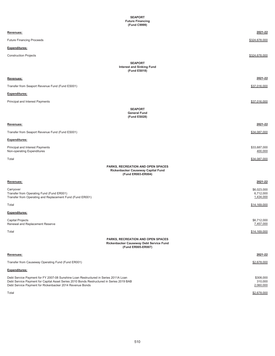| <b>SEAPORT</b><br><b>Future Financing</b><br>(Fund C9999)                                                                                                                                                                                   |                                       |
|---------------------------------------------------------------------------------------------------------------------------------------------------------------------------------------------------------------------------------------------|---------------------------------------|
| Revenues:                                                                                                                                                                                                                                   | 2021-22                               |
| <b>Future Financing Proceeds</b>                                                                                                                                                                                                            | \$324,678,000                         |
| <b>Expenditures:</b>                                                                                                                                                                                                                        |                                       |
| <b>Construction Projects</b>                                                                                                                                                                                                                | \$324,678,000                         |
| <b>SEAPORT</b><br><b>Interest and Sinking Fund</b><br>(Fund ES018)                                                                                                                                                                          |                                       |
| Revenues:                                                                                                                                                                                                                                   | 2021-22                               |
| Transfer from Seaport Revenue Fund (Fund ES001)                                                                                                                                                                                             | \$37,016,000                          |
| <b>Expenditures:</b>                                                                                                                                                                                                                        |                                       |
| Principal and Interest Payments                                                                                                                                                                                                             | \$37,016,000                          |
| <b>SEAPORT</b><br><b>General Fund</b><br>(Fund ES028)                                                                                                                                                                                       |                                       |
| Revenues:                                                                                                                                                                                                                                   | 2021-22                               |
| Transfer from Seaport Revenue Fund (Fund ES001)                                                                                                                                                                                             | \$34,087,000                          |
| Expenditures:                                                                                                                                                                                                                               |                                       |
| Principal and Interest Payments<br>Non-operating Expenditures                                                                                                                                                                               | \$33,687,000<br>400,000               |
| Total                                                                                                                                                                                                                                       | \$34,087,000                          |
| PARKS, RECREATION AND OPEN SPACES<br>Rickenbacker Causeway Capital Fund<br>(Fund ER003-ER004)                                                                                                                                               |                                       |
| Revenues:                                                                                                                                                                                                                                   | 2021-22                               |
| Carryover<br>Transfer from Operating Fund (Fund ER001)<br>Transfer from Operating and Replacement Fund (Fund ER001)                                                                                                                         | \$6,023,000<br>6,712,000<br>1,434,000 |
| Total                                                                                                                                                                                                                                       | \$14,169,000                          |
| Expenditures:                                                                                                                                                                                                                               |                                       |
| Capital Projects<br>Renewal and Replacement Reserve                                                                                                                                                                                         | \$6,712,000<br>7,457,000              |
| Total                                                                                                                                                                                                                                       | \$14,169,000                          |
| PARKS, RECREATION AND OPEN SPACES<br>Rickenbacker Causeway Debt Service Fund<br>(Fund ER005-ER007)                                                                                                                                          |                                       |
| Revenues:                                                                                                                                                                                                                                   | 2021-22                               |
| Transfer from Causeway Operating Fund (Fund ER001)                                                                                                                                                                                          | \$2,678,000                           |
| Expenditures:                                                                                                                                                                                                                               |                                       |
| Debt Service Payment for FY 2007-08 Sunshine Loan Restructured in Series 2011A Loan<br>Debt Service Payment for Capital Asset Series 2010 Bonds Restructured in Series 2019 BAB<br>Debt Service Payment for Rickenbacker 2014 Revenue Bonds | \$308,000<br>310,000<br>2,060,000     |

Total \$2,678,000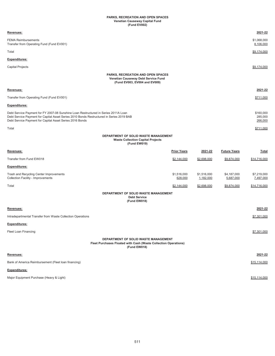## **PARKS, RECREATION AND OPEN SPACES Venetian Causeway Capital Fund (Fund EV002)**

| Revenues:                                                                                                                                                                                                                                   |                        |                          |                          | 2021-22                         |
|---------------------------------------------------------------------------------------------------------------------------------------------------------------------------------------------------------------------------------------------|------------------------|--------------------------|--------------------------|---------------------------------|
| <b>FEMA Reimbursements</b><br>Transfer from Operating Fund (Fund EV001)                                                                                                                                                                     |                        |                          |                          | \$1,068,000<br>8,106,000        |
| Total                                                                                                                                                                                                                                       |                        |                          |                          | \$9,174,000                     |
| Expenditures:                                                                                                                                                                                                                               |                        |                          |                          |                                 |
| <b>Capital Projects</b>                                                                                                                                                                                                                     |                        |                          |                          | \$9,174,000                     |
| PARKS, RECREATION AND OPEN SPACES<br>Venetian Causeway Debt Service Fund<br>(Fund EV003, EV004 and EV009)                                                                                                                                   |                        |                          |                          |                                 |
| Revenues:                                                                                                                                                                                                                                   |                        |                          |                          | 2021-22                         |
| Transfer from Operating Fund (Fund EV001)                                                                                                                                                                                                   |                        |                          |                          | \$711,000                       |
| Expenditures:                                                                                                                                                                                                                               |                        |                          |                          |                                 |
| Debt Service Payment for FY 2007-08 Sunshine Loan Restructured in Series 2011A Loan<br>Debt Service Payment for Capital Asset Series 2010 Bonds Restructured in Series 2019 BAB<br>Debt Service Payment for Capital Asset Series 2016 Bonds |                        |                          |                          | \$160,000<br>285,000<br>266,000 |
| Total                                                                                                                                                                                                                                       |                        |                          |                          | \$711,000                       |
| DEPARTMENT OF SOLID WASTE MANAGEMENT<br><b>Waste Collection Capital Projects</b><br>(Fund EW019)                                                                                                                                            |                        |                          |                          |                                 |
| Revenues:                                                                                                                                                                                                                                   | <b>Prior Years</b>     | 2021-22                  | <b>Future Years</b>      | Total                           |
| Transfer from Fund EW018                                                                                                                                                                                                                    | \$2,144,000            | \$2,698,000              | \$9,874,000              | \$14,716,000                    |
| <b>Expenditures:</b>                                                                                                                                                                                                                        |                        |                          |                          |                                 |
| Trash and Recycling Center Improvements<br>Collection Facility - Improvements                                                                                                                                                               | \$1,516,000<br>628,000 | \$1,516,000<br>1,182,000 | \$4,187,000<br>5,687,000 | \$7,219,000<br>7,497,000        |
| Total                                                                                                                                                                                                                                       | \$2,144,000            | \$2,698,000              | \$9,874,000              | \$14,716,000                    |
| DEPARTMENT OF SOLID WASTE MANAGEMENT<br><b>Debt Service</b><br>(Fund EW018)                                                                                                                                                                 |                        |                          |                          |                                 |
| Revenues:                                                                                                                                                                                                                                   |                        |                          |                          | 2021-22                         |
| Intradepartmental Transfer from Waste Collection Operations                                                                                                                                                                                 |                        |                          |                          | \$7,301,000                     |
| <b>Expenditures:</b>                                                                                                                                                                                                                        |                        |                          |                          |                                 |
| Fleet Loan Financing                                                                                                                                                                                                                        |                        |                          |                          | \$7,301,000                     |
| DEPARTMENT OF SOLID WASTE MANAGEMENT<br>Fleet Purchases Floated with Cash (Waste Collection Operations)<br>(Fund EW018)                                                                                                                     |                        |                          |                          |                                 |
| Revenues:                                                                                                                                                                                                                                   |                        |                          |                          | 2021-22                         |
| Bank of America Reimbursement (Fleet loan financing)                                                                                                                                                                                        |                        |                          |                          | \$15,114,000                    |
| <b>Expenditures:</b>                                                                                                                                                                                                                        |                        |                          |                          |                                 |
| Major Equipment Purchase (Heavy & Light)                                                                                                                                                                                                    |                        |                          |                          | \$15,114,000                    |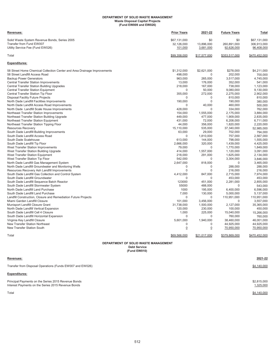## **DEPARTMENT OF SOLID WASTE MANAGEMENT Waste Disposal Capital Projects (Fund EW009 and EW026)**

| Revenues:                                                                | <b>Prior Years</b>    | 2021-22             | <b>Future Years</b>      | Total                    |
|--------------------------------------------------------------------------|-----------------------|---------------------|--------------------------|--------------------------|
| Solid Waste System Revenue Bonds, Series 2005                            | \$67,131,000          | \$0                 | \$0                      | \$67,131,000             |
| Transfer from Fund EW007                                                 | 32,126,000            | 13,896,000          | 260,891,000              | 306,913,000              |
| Utility Service Fee (Fund EW026)                                         | 101,000               | 3,681,000           | 92,626,000               | 96,408,000               |
| Total                                                                    | \$99,358,000          | \$17,577,000        | \$353.517.000            | \$470.452.000            |
| <b>Expenditures:</b>                                                     |                       |                     |                          |                          |
| 58 Street Home Chemical Collection Center and Area Drainage Improvements | \$1,312,000           | \$2,621,000         | \$278,000                | \$4,211,000              |
| 58 Street Landfill Access Road                                           | 498,000               | $\Omega$            | 202,000                  | 700,000                  |
| <b>Backup Power Generators</b>                                           | 963,000               | 265,000             | 3,517,000                | 4,745,000                |
| <b>Central Transfer Station Improvements</b>                             | 13,000                | 176,000             | 352,000                  | 541,000                  |
| Central Transfer Station Building Upgrades                               | 218,000               | 167,000             | 738,000                  | 1,123,000                |
| <b>Central Transfer Station Equipment</b>                                | $\mathbf 0$           | 50,000              | 9,080,000                | 9,130,000                |
| Central Transfer Station Tip Floor                                       | 355,000               | 272,000             | 2,275,000                | 2,902,000                |
| Disposal Facility Future Projects                                        | O                     | $\Omega$            | 810,000                  | 810,000                  |
| North Dade Landfill Facilities Improvements                              | 190,000               | $\Omega$            | 190,000                  | 380,000                  |
| North Dade Landfill Access Road Improvements                             | 0                     | 40,000              | 460,000                  | 500,000                  |
| North Dade Landfill Scale House Improvements                             | 428,000               | $\Omega$            | 334,000                  | 762,000                  |
| Northeast Transfer Station Improvements                                  | 154,000               | 1,555,000           | 2,175,000                | 3,884,000                |
| Northeast Transfer Station Building Upgrade                              | 449,000               | 477,000             | 1,909,000                | 2,835,000                |
| Northeast Transfer Station Equipment                                     | 431,000               | 72,000              | 6,208,000                | 6,711,000                |
| Northeast Transfer Station Tipping Floor                                 | 44,000                | 356,000             | 1,820,000                | 2,220,000                |
| <b>Resources Recovery</b>                                                | 15,110,000            | 535,000             | 37,340,000               | 52,985,000               |
| South Dade Landfill Building Improvements                                | 63,000                | 29,000              | 702,000                  | 794,000                  |
| South Dade Landfill Access Road                                          | 0                     | 1,810,000           | 757,000                  | 2,567,000                |
| South Dade Scalehouse                                                    | 613,000               | 144,000             | 798,000                  | 1,555,000                |
| South Dade Landfill Tip Floor                                            | 2,666,000             | 320,000             | 1,439,000                | 4,425,000                |
| West Transfer Station Improvements                                       | 79,000                | $\Omega$            | 1,770,000                | 1,849,000                |
| West Transfer Station Building Upgrade                                   | 414,000               | 1,557,000           | 1,120,000                | 3,091,000                |
| West Transfer Station Equipment                                          | 218,000               | 291,000             | 1,625,000                | 2,134,000                |
| West Transfer Station Tip Floor                                          | 542,000               | $\Omega$            | 3,304,000                | 3,846,000                |
| North Dade Landfill Gas Management System                                | 2,647,000             | 818,000             | $\mathbf 0$              | 3,465,000                |
| North Dade Landfill Groundwater and Monitoring Wells                     | 0                     | $\mathbf 0$         | 288,000                  | 288,000                  |
| Resources Recovery Ash Landfill Improvements                             | $\Omega$              | $\Omega$            | 216,000                  | 216,000                  |
| South Dade Landfill Gas Collection and Control System                    | 4,412,000             | 847,000             | 2,715,000                | 7,974,000                |
| South Dade Landfill Groundwater                                          | 0                     | $\Omega$            | 453,000                  | 453,000                  |
| South Dade Landfill Sequence Batch Reactor                               | 123000                | 451,000             | 2.281.000                | 2.855.000                |
| South Dade Landfill Stormwater System                                    | 55000                 | 488,000             | $\Omega$                 | 543,000                  |
| North Dade Landfill Land Purchase                                        | 1000                  | 195,000             | 6,400,000                | 6,596,000                |
| South Dade Landfill Land Purchase                                        | 7,000<br>$\mathbf 0$  | 130,000             | 5,000,000                | 5,137,000                |
| Landfill Construction, Closure and Remediation Future Projects           |                       | $\mathbf 0$         | 110,951,000              | 110,951,000              |
| Miami Garden Landfill Closure                                            | 101,000<br>31,738,000 | 3,456,000           | $\Omega$                 | 3,557,000                |
| Munisport Landfill Closure Grant                                         |                       | 1,500,000           | 2,127,000                | 35,365,000               |
| North Dade Landfill Vertical Expansion                                   | 120,000               | 230,000             | 100,000                  | 450,000                  |
| South Dade Landfill Cell 4 Closure                                       | 1,000<br>$\Omega$     | 225,000             | 15,040,000               | 15,266,000               |
| South Dade Landfill Horizontal Expansion                                 |                       | $\Omega$            | 760,000                  | 760,000                  |
| Virginia Key Landfill Closure                                            | 5,601,000             | 1,940,000           | 38,460,000               | 46,001,000               |
| New Transfer Station Northeast<br><b>New Transfer Station South</b>      | 0<br>$\underline{0}$  | 0<br>$\overline{0}$ | 44,925,000<br>70,950,000 | 44,925,000<br>70,950,000 |
|                                                                          |                       |                     |                          |                          |
| Total                                                                    | \$69,566,000          | \$21.017.000        | \$379.869.000            | \$470.452.000            |

## **(Fund EW010) DEPARTMENT OF SOLID WASTE MANAGEMENT Debt Service**

## **Revenues: 2021-22**

Transfer from Disposal Operations (Funds EW007 and EW026) **\$4,140,000** \$4,140,000

## **Expenditures:**

Principal Payments on the Series 2015 Revenue Bonds \$2,815,000 Interest Payments on the Series 2015 Revenue Bonds 1,325,000 and the Series of the Series 2015 Revenue Bonds 1,325,000 and the Series 2015 Revenue Bonds 1,325,000 and the Series 2015 Revenue Bonds 1,325,000 and the Series

Total \$4,140,000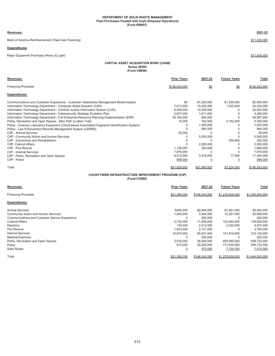## **DEPARTMENT OF SOLID WASTE MANAGEMENT Fleet Purchases Floated with Cash (Disposal Operations) (Fund EW007)**

### **Revenues: 2021-22**

Bank of America Reimbursement (Fleet loan financing) **\$11,430,000 \$11,430,000** 

## **Expenditures:**

Major Equipment Purchase (Heavy & Light) \$11,430,000 \$11,430,000 \$12,430,000 \$11,430,000 \$12,430,000 \$12,430,000 \$12,430,000 \$12,430,000 \$12,430,000 \$12,430,000 \$12,430,000 \$12,430,000 \$12,430,000 \$12,430,000 \$12,430,000 \$

## **CAPITAL ASSET ACQUISITION BOND (CAAB) Series 2020C (Fund CB058)**

| Revenues:                                                                                        | <b>Prior Years</b> | 2021-22      | <b>Future Years</b> | Total         |
|--------------------------------------------------------------------------------------------------|--------------------|--------------|---------------------|---------------|
| <b>Financing Proceeds</b>                                                                        | \$146.543.000      | \$0          | \$0                 | \$146.543.000 |
| <b>Expenditures:</b>                                                                             |                    |              |                     |               |
| Communications and Customer Experience - Customer relationship Management Modernization          | \$0                | \$1,250,000  | \$1,250,000         | \$2,500,000   |
| Information Technology Department - Computer-Aided Dispatch (CAD)                                | 7,613,000          | 15,292,000   | 1,525,000           | 24,430,000    |
| Information Technology Department - Criminal Justice Information System (CJIS)                   | 8,485,000          | 14,439,000   |                     | 22,924,000    |
| Information Technology Department - Cybersecurity Strategic Evolution Plan                       | 2.637.000          | 1,611,000    |                     | 4,248,000     |
| Information Technology Department - Full Enterprise Resource Planning Implementation (ERP)       | 55,163,000         | 804,000      | U                   | 55,967,000    |
| Parks, Recreation and Open Spaces - Bike Path (Ludlam Trail)                                     | 15,000             | 162,000      | 4,182,000           | 4,359,000     |
| Police - Forensic Laboratory Equipment (Cloud-based Automated Fingerprint Identification System) |                    | 1,500,000    |                     | 1,500,000     |
| Police - Law Enforcement Records Management System (LERMS)                                       |                    | 964,000      |                     | 964.000       |
| CIIP - Animal Services                                                                           | 50,000             |              | U                   | 50.000        |
| CIIP - Community Action and Human Services                                                       | O                  | 5,500,000    | U                   | 5,500,000     |
| CIIP - Corrections and Rehabilitation                                                            |                    |              | 250,000             | 250,000       |
| CIIP- Cultural Affairs                                                                           |                    | 2,000,000    |                     | 2,000,000     |
| CIIP - Fire Rescue                                                                               | 1,136,000          | 550,000      | O                   | 1,686,000     |
| CIIP - Internal Services                                                                         | 7,816,000          |              | O                   | 7,816,000     |
| CIIP - Parks, Recreation and Open Spaces                                                         | 8,015,000          | 3,418,000    | 17,000              | 11,450,000    |
| CIIP - Police                                                                                    | 899,000            | C            | <u>0</u>            | 899,000       |
| Total                                                                                            | \$91,829,000       | \$47,490,000 | \$7,224,000         | \$146,543,000 |
|                                                                                                  |                    |              |                     |               |

## **(Fund CO080) COUNTYWIDE INFRASTRUCTURE IMPROVEMENT PROGRAM (CIIP)**

| <b>Revenues:</b>                                      | <b>Prior Years</b> | 2021-22       | <b>Future Years</b> | Total           |
|-------------------------------------------------------|--------------------|---------------|---------------------|-----------------|
| <b>Financing Proceeds</b>                             | \$21,385,000       | \$146,343,000 | \$1,276,826,000     | \$1,444,554,000 |
| <b>Expenditures:</b>                                  |                    |               |                     |                 |
| <b>Animal Services</b>                                | \$455,000          | \$2,938,000   | \$1,561,000         | \$4,954,000     |
| <b>Community Action and Human Services</b>            | 1,944,000          | 3,464,000     | 15,281,000          | 20,689,000      |
| <b>Communications and Customer Service Experience</b> | 0                  | 200,000       | 0                   | 200,000         |
| <b>Cultural Affairs</b>                               | 2,732,000          | 11,856,000    | 122,040,000         | 136,628,000     |
| Elections                                             | 130,000            | 2,512,000     | 2,330,000           | 4,972,000       |
| <b>Fire Rescue</b>                                    | 1,623,000          | 2,141,000     | $\Omega$            | 3,764,000       |
| <b>Internal Services</b>                              | 10,670,000         | 65,631,000    | 141,819,000         | 218,120,000     |
| <b>Medical Examiner</b>                               | 0                  | 200,000       | $\Omega$            | 200,000         |
| Parks, Recreation and Open Spaces                     | 3,016,000          | 26,648,000    | 809,060,000         | 838,724,000     |
| Police                                                | 815,000            | 30,283,000    | 177,635,000         | 208,733,000     |
| Solid Waste                                           |                    | 470,000       | 7,100,000           | 7,570,000       |
| Total                                                 | \$21,385,000       | \$146,343,000 | \$1,276,826,000     | \$1,444,554,000 |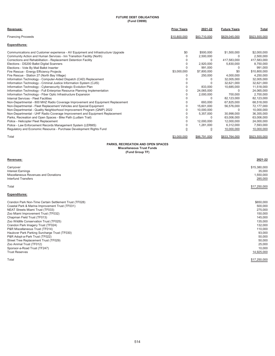## **FUTURE DEBT OBLIGATIONS (Fund C9999)**

| Revenues:                                                                        | <b>Prior Years</b> | 2021-22        | <b>Future Years</b> | Total         |
|----------------------------------------------------------------------------------|--------------------|----------------|---------------------|---------------|
| <b>Financing Proceeds</b>                                                        | \$10,800,000       | \$83,710,000   | \$829,045,000       | \$923,555,000 |
| <b>Expenditures:</b>                                                             |                    |                |                     |               |
| Communications and Customer experience - AV Equipment and Infrastructure Upgrade | \$0                | \$500,000      | \$1,500,000         | \$2,000,000   |
| Community Action and Human Services - Inn Transition Facility (North)            | $\Omega$           | 2,500,000      | 0                   | 2,500,000     |
| Corrections and Rehabilitation - Replacement Detention Facility                  |                    | $\Omega$       | 417,583,000         | 417,583,000   |
| Elections - DS200 Ballot Digital Scanners                                        | 0                  | 2,920,000      | 5,830,000           | 8,750,000     |
| Elections - Vote By Mail Ballot Inserter                                         |                    | 991.000        | 0                   | 991,000       |
| Fire Rescue - Energy Efficiency Projects                                         | \$3,000,000        | \$7,800,000    | \$0                 | \$10,800,000  |
| Fire Rescue - Station 27 (North Bay Village)                                     | 0                  | 250,000        | 4,000,000           | 4,250,000     |
| Information Technology - Computer-Aided Dispatch (CAD) Replacement               | O                  | 0              | 32,005,000          | 32,005,000    |
| Information Technology - Criminal Justice Information System (CJIS)              | O                  | $\Omega$       | 32,621,000          | 32,621,000    |
| Information Technology - Cybersecurity Strategic Evolution Plan                  | 0                  | 833,000        | 10,685,000          | 11,518,000    |
| Information Technology - Full Enterprise Resource Planning Implementation        | $\Omega$           | 24,065,000     | $\Omega$            | 24,065,000    |
| Information Technology - Fiber Optic Infrastructure Expansion                    | 0                  | 2,000,000      | 700.000             | 2.700.000     |
| <b>Internal Services - Fleet Facilities</b>                                      | O                  | $\Omega$       | 82,123,000          | 82,123,000    |
| Non-Departmental - 800 MHZ Radio Coverage Improvement and Equipment Replacement  | 0                  | 693.000        | 67,825,000          | 68,518,000    |
| Non-Departmental - Fleet Replacement Vehicles and Special Equipment              | 0                  | 15,601,000     | 56,576,000          | 72,177,000    |
| Non-Departmental - Quality Neighborhood Improvement Program (QNIP) 2022          | 0                  | 10,000,000     | 0                   | 10,000,000    |
| Non-Departmental - UHF Radio Coverage Improvement and Equipment Replacement      | 0                  | 5,357,000      | 30,998,000          | 36,355,000    |
| Parks, Recreation and Open Spaces - Bike Path (Ludlam Trail)                     | 0                  | $\Omega$       | 63,006,000          | 63,006,000    |
| Police - Helicopter Fleet Replacement                                            | 0                  | 12.000.000     | 12.000.000          | 24,000,000    |
| Police - Law Enforcement Records Management System (LERMS)                       | 0                  | 1,281,000      | 6.312.000           | 7,593,000     |
| Regulatory and Economic Resource - Purchase Development Rights Fund              | $\overline{0}$     | $\overline{0}$ | 10.000.000          | 10,000,000    |
| Total                                                                            | \$3.000.000        | \$86,791,000   | \$833.764.000       | \$923.555.000 |

## **PARKS, RECREATION AND OPEN SPACES**

**Miscellaneous Trust Funds (Fund Group TF)**

## **Revenues: 2021-22**

Carryover \$15,380,000 Interest Earnings 35,000 Miscellaneous Revenues and Donations 1,550,000 Carryover \$15,380,000<br>Interest Earnings 35,000<br>Miscellaneous Revenues and Donations 35,000<br>Interfund Transfers 285,000<br>Interfund Transfers 285,000

Total \$17,250,000

## **Expenditures:**

| Crandon Park Non-Time Certain Settlement Trust (TF028) | \$650,000    |
|--------------------------------------------------------|--------------|
| Coastal Park & Marina Improvement Trust (TF031)        | 500,000      |
| <b>NEAT Streets Miami Trust (TF033)</b>                | 275,000      |
| Zoo Miami Improvement Trust (TF032)                    | 150,000      |
| Chapman Field Trust (TF013)                            | 145,000      |
| Zoo Wildlife Conservation Trust (TF025)                | 135,000      |
| Crandon Park Imagery Trust (TF024)                     | 132,000      |
| P&R Miscellaneous Trust (TF014)                        | 110,000      |
| Haulover Park Parking Surcharge Trust (TF030)          | 93.000       |
| P&R Adopt-a-Park Trust (TF022)                         | 50,000       |
| Street Tree Replacement Trust (TF029)                  | 50,000       |
| Zoo Animal Trust (TF012)                               | 25,000       |
| Sponsor-a-Road Trust (TF247)                           | 10,000       |
| <b>Trust Reserves</b>                                  | 14,925,000   |
| Total                                                  | \$17,250,000 |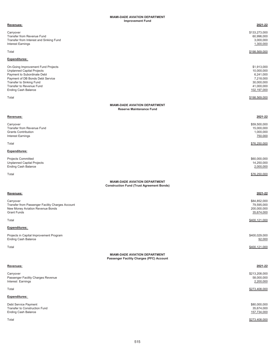#### **Improvement Fund MIAMI-DADE AVIATION DEPARTMENT**

| Revenues:                                                                                                                                                                                                                        | 2021-22                                                                                        |
|----------------------------------------------------------------------------------------------------------------------------------------------------------------------------------------------------------------------------------|------------------------------------------------------------------------------------------------|
| Carryover<br>Transfer from Revenue Fund<br>Transfer from Interest and Sinking Fund<br><b>Interest Earnings</b>                                                                                                                   | \$133,273,000<br>60,996,000<br>3,000,000<br>1,300,000                                          |
| Total                                                                                                                                                                                                                            | \$198,569,000                                                                                  |
| Expenditures:                                                                                                                                                                                                                    |                                                                                                |
| On-Going Improvement Fund Projects<br><b>Unplanned Capital Projects</b><br>Payment to Subordinate Debt<br>Payment of DB Bonds Debt Service<br>Transfer to Sinking Fund<br>Transfer to Revenue Fund<br><b>Ending Cash Balance</b> | \$1,913,000<br>10,000,000<br>6,241,000<br>7,218,000<br>30,000,000<br>41,000,000<br>102,197,000 |
| Total                                                                                                                                                                                                                            | \$198,569,000                                                                                  |
| <b>MIAMI-DADE AVIATION DEPARTMENT</b><br><b>Reserve Maintenance Fund</b>                                                                                                                                                         |                                                                                                |
| Revenues:                                                                                                                                                                                                                        | 2021-22                                                                                        |
| Carryover<br>Transfer from Revenue Fund<br><b>Grants Contribution</b><br><b>Interest Earnings</b>                                                                                                                                | \$59,500,000<br>15,000,000<br>1,000,000<br>750,000                                             |
| Total                                                                                                                                                                                                                            | \$76,250,000                                                                                   |
| Expenditures:                                                                                                                                                                                                                    |                                                                                                |
| <b>Projects Committed</b><br><b>Unplanned Capital Projects</b><br><b>Ending Cash Balance</b>                                                                                                                                     | \$60,000,000<br>14,250,000<br>2,000,000                                                        |
| Total                                                                                                                                                                                                                            | \$76,250,000                                                                                   |
| <b>MIAMI-DADE AVIATION DEPARTMENT</b><br><b>Construction Fund (Trust Agreement Bonds)</b>                                                                                                                                        |                                                                                                |
| Revenues:                                                                                                                                                                                                                        | 2021-22                                                                                        |
| Carryover<br>Transfer from Passenger Facility Charges Account<br>New Money Aviation Revenue Bonds<br><b>Grant Funds</b>                                                                                                          | \$84,852,000<br>79,595,000<br>200,000,000<br>35,674,000                                        |
| Total                                                                                                                                                                                                                            | \$400,121,000                                                                                  |
| <b>Expenditures:</b>                                                                                                                                                                                                             |                                                                                                |
| Projects in Capital Improvement Program<br><b>Ending Cash Balance</b>                                                                                                                                                            | \$400,029,000<br>92,000                                                                        |
| Total                                                                                                                                                                                                                            | \$400,121,000                                                                                  |
| <b>MIAMI-DADE AVIATION DEPARTMENT</b><br>Passenger Facility Charges (PFC) Account                                                                                                                                                |                                                                                                |
| Revenues:                                                                                                                                                                                                                        | 2021-22                                                                                        |
| Carryover<br>Passenger Facility Charges Revenue<br>Interest Earnings                                                                                                                                                             | \$213,208,000<br>58,000,000<br>2,200,000                                                       |
| Total                                                                                                                                                                                                                            | \$273,408,000                                                                                  |
| Expenditures:                                                                                                                                                                                                                    |                                                                                                |
| Debt Service Payment<br>Transfer to Construction Fund<br><b>Ending Cash Balance</b>                                                                                                                                              | \$80,000,000<br>35,674,000<br>157,734,000                                                      |
| Total                                                                                                                                                                                                                            | \$273,408,000                                                                                  |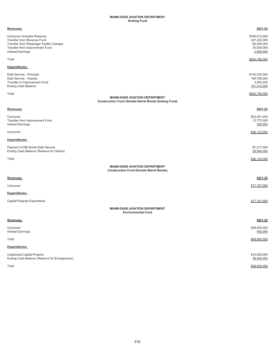### **MIAMI-DADE AVIATION DEPARTMENT Sinking Fund**

| Revenues:                                                                                                                                                            | 2021-22                                                               |
|----------------------------------------------------------------------------------------------------------------------------------------------------------------------|-----------------------------------------------------------------------|
| Carryover (includes Reserve)<br>Transfer from Revenue Fund<br>Transfer from Passenger Facility Charges<br>Transfer from Improvement Fund<br><b>Interest Earnings</b> | \$164,913,000<br>227,333,000<br>80,000,000<br>30,000,000<br>2,500,000 |
| Total                                                                                                                                                                | \$504,746,000                                                         |
| Expenditures:                                                                                                                                                        |                                                                       |
| Debt Service - Principal<br>Debt Service - Interest<br>Transfer to Improvement Fund<br><b>Ending Cash Balance</b>                                                    | \$140,535,000<br>199,799,000<br>3,000,000<br>161,412,000              |
| Total<br><b>MIAMI-DADE AVIATION DEPARTMENT</b><br><b>Construction Fund (Double Barrel Bonds Sinking Fund)</b>                                                        | \$504,746,000                                                         |
| Revenues:                                                                                                                                                            | 2021-22                                                               |
| Carryover<br>Transfer from Improvement Fund<br><b>Interest Earnings</b>                                                                                              | \$23,051,000<br>12,772,000<br>300,000                                 |
| Carryover                                                                                                                                                            | \$36,123,000                                                          |
| Expenditures:                                                                                                                                                        |                                                                       |
| Payment of DB Bonds Debt Service<br>Ending Cash Balance (Reserve for Claims)                                                                                         | \$7,217,000<br>28,906,000                                             |
| Total                                                                                                                                                                | \$36,123,000                                                          |
| <b>MIAMI-DADE AVIATION DEPARTMENT</b><br><b>Construction Fund (Double Barrel Bonds)</b>                                                                              |                                                                       |
| Revenues:                                                                                                                                                            | 2021-22                                                               |
| Carryover                                                                                                                                                            | \$17,157,000                                                          |
| Expenditures:                                                                                                                                                        |                                                                       |
| Capital Projects Expenditure                                                                                                                                         | \$17,157,000                                                          |
| <b>MIAMI-DADE AVIATION DEPARTMENT</b><br><b>Environmental Fund</b>                                                                                                   |                                                                       |
| Revenues:                                                                                                                                                            | 2021-22                                                               |
| Carryover<br><b>Interest Earnings</b>                                                                                                                                | \$48,000,000<br>400,000                                               |
| Total                                                                                                                                                                | \$48,400,000                                                          |
| Expenditures:                                                                                                                                                        |                                                                       |
| <b>Unplanned Capital Projects</b><br>Ending Cash Balance (Reserve for Emergencies)                                                                                   | \$10,000,000<br>38,400,000                                            |
| Total                                                                                                                                                                | \$48,400,000                                                          |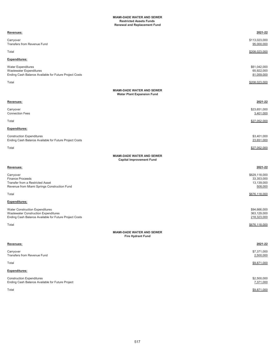## **MIAMI-DADE WATER AND SEWER Restricted Assets Funds Renewal and Replacement Fund**

| Revenues:                                                                                                                                       | 2021-22                                              |
|-------------------------------------------------------------------------------------------------------------------------------------------------|------------------------------------------------------|
| Carryover<br>Transfers from Revenue Fund                                                                                                        | \$113,023,000<br>95,000,000                          |
| Total                                                                                                                                           | \$208,023,000                                        |
| Expenditures:                                                                                                                                   |                                                      |
| <b>Water Expenditures</b><br>Wastewater Expenditures<br>Ending Cash Balance Available for Future Project Costs                                  | \$61,042,000<br>65,922,000<br>81,059,000             |
| Total                                                                                                                                           | \$208.023.000                                        |
| <b>MIAMI-DADE WATER AND SEWER</b><br><b>Water Plant Expansion Fund</b>                                                                          |                                                      |
| Revenues:                                                                                                                                       | 2021-22                                              |
| Carryover<br><b>Connection Fees</b>                                                                                                             | \$23,651,000<br>3,401,000                            |
| Total                                                                                                                                           | \$27,052,000                                         |
| Expenditures:                                                                                                                                   |                                                      |
| <b>Construction Expenditures</b><br>Ending Cash Balance Available for Future Project Costs                                                      | \$3,401,000<br>23,651,000                            |
| Total                                                                                                                                           | \$27,052,000                                         |
| <b>MIAMI-DADE WATER AND SEWER</b><br><b>Capital Improvement Fund</b>                                                                            |                                                      |
| Revenues:                                                                                                                                       | 2021-22                                              |
| Carryover<br><b>Finance Proceeds</b><br>Transfer from a Restricted Asset<br>Revenue from Miami Springs Construction Fund                        | \$629,118,000<br>33,353,000<br>13,139,000<br>508,000 |
| Total                                                                                                                                           | \$676,118,000                                        |
| Expenditures:                                                                                                                                   |                                                      |
| <b>Water Construction Expenditures</b><br><b>Wastewater Construction Expenditures</b><br>Ending Cash Balance Available for Future Project Costs | \$94,666,000<br>363,129,000<br>218,323,000           |
| Total                                                                                                                                           | \$676,118,000                                        |
| MIAMI-DADE WATER AND SEWER<br><b>Fire Hydrant Fund</b>                                                                                          |                                                      |
| Revenues:                                                                                                                                       | 2021-22                                              |
| Carryover<br>Transfers from Revenue Fund                                                                                                        | \$7,371,000<br>2,500,000                             |
| Total                                                                                                                                           | \$9,871,000                                          |
| Expenditures:                                                                                                                                   |                                                      |
| <b>Construction Expenditures</b><br>Ending Cash Balance Available for Future Project                                                            | \$2,500,000<br>7,371,000                             |
| Total                                                                                                                                           | \$9,871,000                                          |